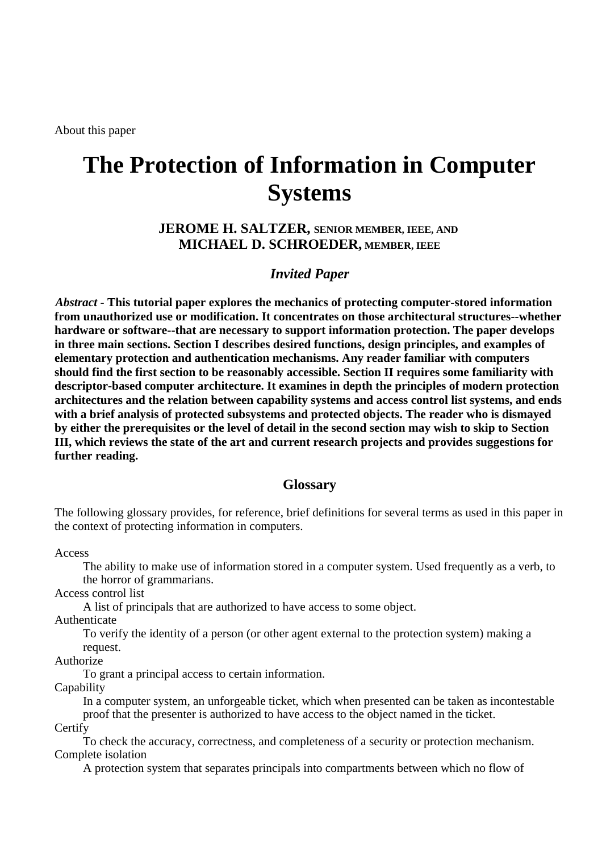About this paper

# **The Protection of Information in Computer Systems**

### **JEROME H. SALTZER, SENIOR MEMBER, IEEE, AND MICHAEL D. SCHROEDER, MEMBER, IEEE**

### *Invited Paper*

*Abstract* **- This tutorial paper explores the mechanics of protecting computer-stored information from unauthorized use or modification. It concentrates on those architectural structures--whether hardware or software--that are necessary to support information protection. The paper develops in three main sections. Section I describes desired functions, design principles, and examples of elementary protection and authentication mechanisms. Any reader familiar with computers should find the first section to be reasonably accessible. Section II requires some familiarity with descriptor-based computer architecture. It examines in depth the principles of modern protection architectures and the relation between capability systems and access control list systems, and ends with a brief analysis of protected subsystems and protected objects. The reader who is dismayed by either the prerequisites or the level of detail in the second section may wish to skip to Section III, which reviews the state of the art and current research projects and provides suggestions for further reading.**

### **Glossary**

The following glossary provides, for reference, brief definitions for several terms as used in this paper in the context of protecting information in computers.

Access

The ability to make use of information stored in a computer system. Used frequently as a verb, to the horror of grammarians.

Access control list

A list of principals that are authorized to have access to some object.

Authenticate

To verify the identity of a person (or other agent external to the protection system) making a request.

Authorize

To grant a principal access to certain information.

**Capability** 

In a computer system, an unforgeable ticket, which when presented can be taken as incontestable proof that the presenter is authorized to have access to the object named in the ticket.

**Certify** 

To check the accuracy, correctness, and completeness of a security or protection mechanism. Complete isolation

A protection system that separates principals into compartments between which no flow of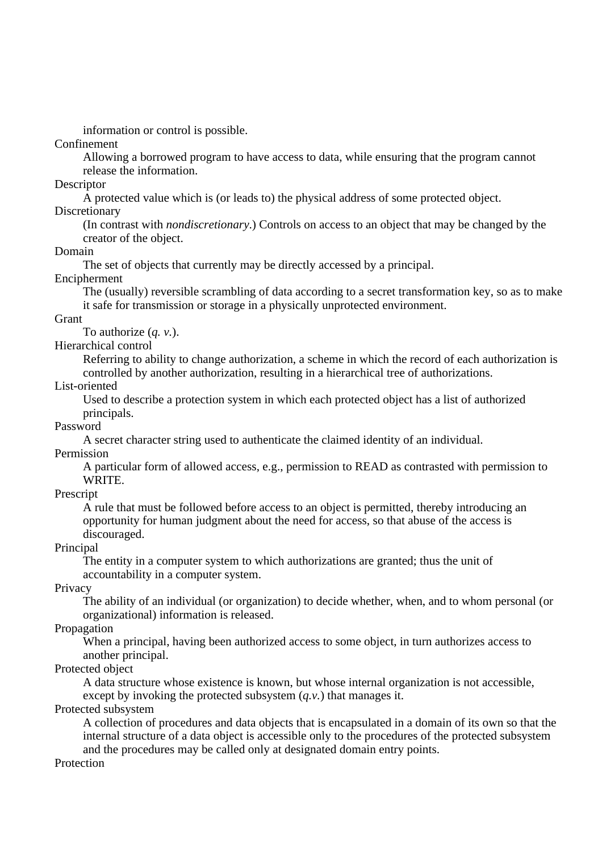information or control is possible.

### Confinement

Allowing a borrowed program to have access to data, while ensuring that the program cannot release the information.

### **Descriptor**

A protected value which is (or leads to) the physical address of some protected object.

### Discretionary

(In contrast with *nondiscretionary*.) Controls on access to an object that may be changed by the creator of the object.

### Domain

The set of objects that currently may be directly accessed by a principal.

### Encipherment

The (usually) reversible scrambling of data according to a secret transformation key, so as to make it safe for transmission or storage in a physically unprotected environment.

### Grant

### To authorize (*q. v.*).

Hierarchical control

Referring to ability to change authorization, a scheme in which the record of each authorization is controlled by another authorization, resulting in a hierarchical tree of authorizations.

### List-oriented

Used to describe a protection system in which each protected object has a list of authorized principals.

### Password

A secret character string used to authenticate the claimed identity of an individual.

### Permission

A particular form of allowed access, e.g., permission to READ as contrasted with permission to WRITE.

### Prescript

A rule that must be followed before access to an object is permitted, thereby introducing an opportunity for human judgment about the need for access, so that abuse of the access is discouraged.

### Principal

The entity in a computer system to which authorizations are granted; thus the unit of accountability in a computer system.

### Privacy

The ability of an individual (or organization) to decide whether, when, and to whom personal (or organizational) information is released.

### Propagation

When a principal, having been authorized access to some object, in turn authorizes access to another principal.

### Protected object

A data structure whose existence is known, but whose internal organization is not accessible, except by invoking the protected subsystem (*q.v.*) that manages it.

### Protected subsystem

A collection of procedures and data objects that is encapsulated in a domain of its own so that the internal structure of a data object is accessible only to the procedures of the protected subsystem and the procedures may be called only at designated domain entry points.

### Protection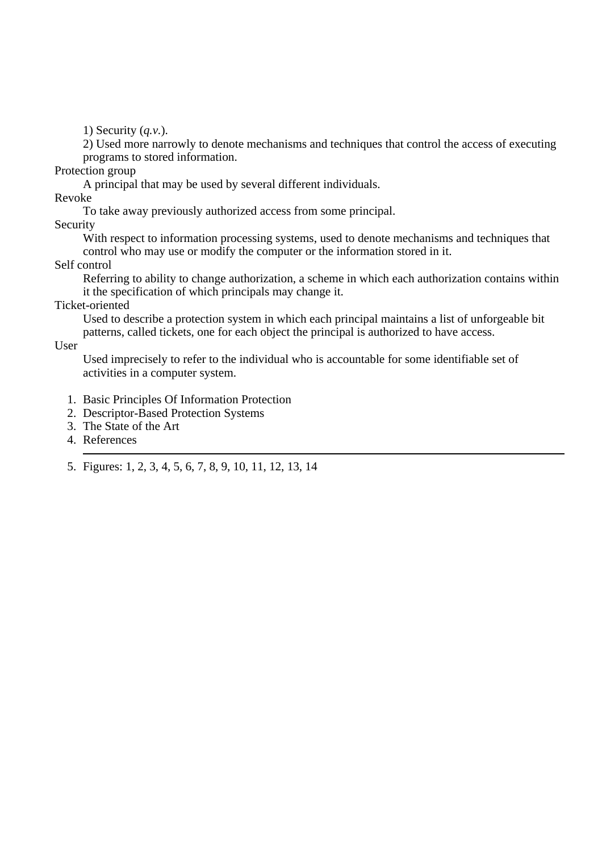1) Security (*q.v.*).

2) Used more narrowly to denote mechanisms and techniques that control the access of executing programs to stored information.

Protection group

A principal that may be used by several different individuals.

Revoke

To take away previously authorized access from some principal.

Security

With respect to information processing systems, used to denote mechanisms and techniques that control who may use or modify the computer or the information stored in it.

Self control

Referring to ability to change authorization, a scheme in which each authorization contains within it the specification of which principals may change it.

Ticket-oriented

Used to describe a protection system in which each principal maintains a list of unforgeable bit patterns, called tickets, one for each object the principal is authorized to have access.

User

Used imprecisely to refer to the individual who is accountable for some identifiable set of activities in a computer system.

- 1. Basic Principles Of Information Protection
- 2. Descriptor-Based Protection Systems
- 3. The State of the Art
- 4. References
- 5. Figures: 1, 2, 3, 4, 5, 6, 7, 8, 9, 10, 11, 12, 13, 14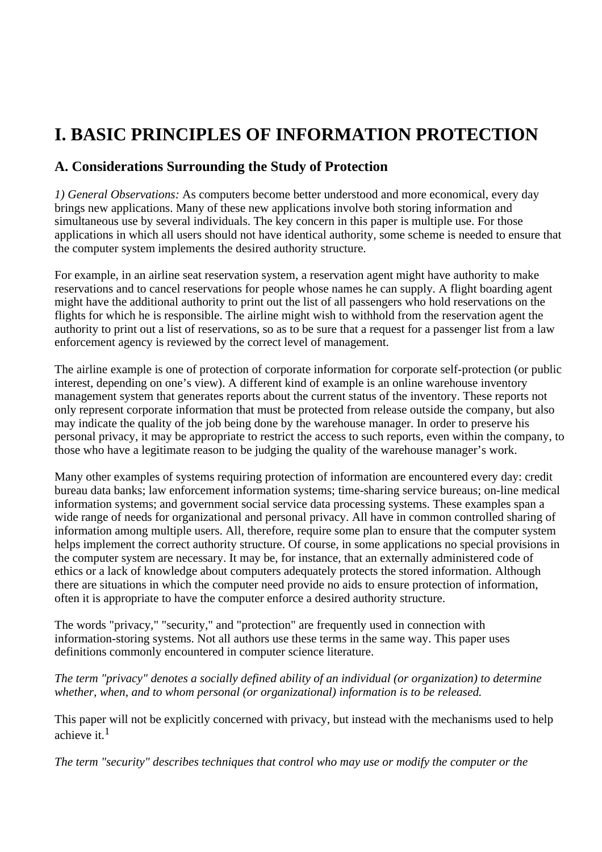## **I. BASIC PRINCIPLES OF INFORMATION PROTECTION**

## **A. Considerations Surrounding the Study of Protection**

*1) General Observations:* As computers become better understood and more economical, every day brings new applications. Many of these new applications involve both storing information and simultaneous use by several individuals. The key concern in this paper is multiple use. For those applications in which all users should not have identical authority, some scheme is needed to ensure that the computer system implements the desired authority structure.

For example, in an airline seat reservation system, a reservation agent might have authority to make reservations and to cancel reservations for people whose names he can supply. A flight boarding agent might have the additional authority to print out the list of all passengers who hold reservations on the flights for which he is responsible. The airline might wish to withhold from the reservation agent the authority to print out a list of reservations, so as to be sure that a request for a passenger list from a law enforcement agency is reviewed by the correct level of management.

The airline example is one of protection of corporate information for corporate self-protection (or public interest, depending on one's view). A different kind of example is an online warehouse inventory management system that generates reports about the current status of the inventory. These reports not only represent corporate information that must be protected from release outside the company, but also may indicate the quality of the job being done by the warehouse manager. In order to preserve his personal privacy, it may be appropriate to restrict the access to such reports, even within the company, to those who have a legitimate reason to be judging the quality of the warehouse manager's work.

Many other examples of systems requiring protection of information are encountered every day: credit bureau data banks; law enforcement information systems; time-sharing service bureaus; on-line medical information systems; and government social service data processing systems. These examples span a wide range of needs for organizational and personal privacy. All have in common controlled sharing of information among multiple users. All, therefore, require some plan to ensure that the computer system helps implement the correct authority structure. Of course, in some applications no special provisions in the computer system are necessary. It may be, for instance, that an externally administered code of ethics or a lack of knowledge about computers adequately protects the stored information. Although there are situations in which the computer need provide no aids to ensure protection of information, often it is appropriate to have the computer enforce a desired authority structure.

The words "privacy," "security," and "protection" are frequently used in connection with information-storing systems. Not all authors use these terms in the same way. This paper uses definitions commonly encountered in computer science literature.

*The term "privacy" denotes a socially defined ability of an individual (or organization) to determine whether, when, and to whom personal (or organizational) information is to be released.*

This paper will not be explicitly concerned with privacy, but instead with the mechanisms used to help achieve it  $<sup>1</sup>$ </sup>

*The term "security" describes techniques that control who may use or modify the computer or the*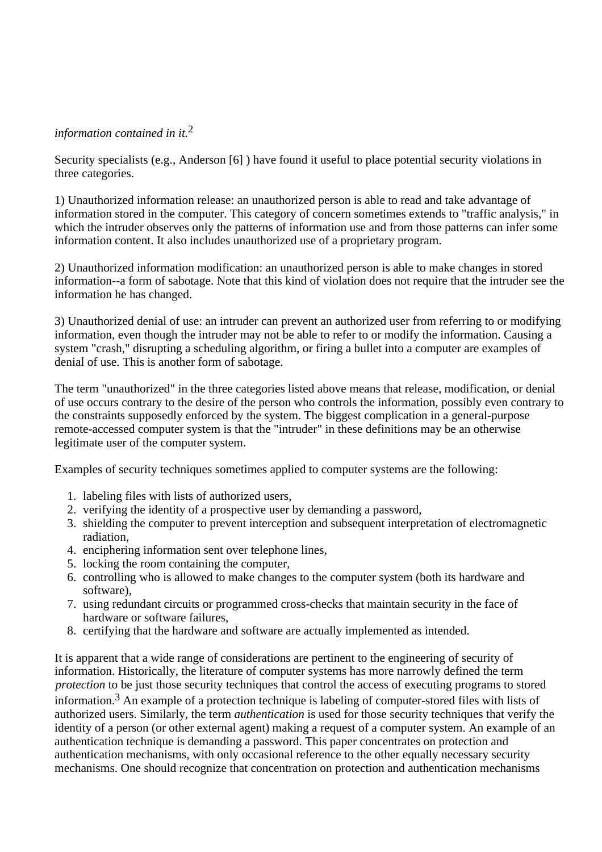### *information contained in it.*<sup>2</sup>

Security specialists (e.g., Anderson [6] ) have found it useful to place potential security violations in three categories.

1) Unauthorized information release: an unauthorized person is able to read and take advantage of information stored in the computer. This category of concern sometimes extends to "traffic analysis," in which the intruder observes only the patterns of information use and from those patterns can infer some information content. It also includes unauthorized use of a proprietary program.

2) Unauthorized information modification: an unauthorized person is able to make changes in stored information--a form of sabotage. Note that this kind of violation does not require that the intruder see the information he has changed.

3) Unauthorized denial of use: an intruder can prevent an authorized user from referring to or modifying information, even though the intruder may not be able to refer to or modify the information. Causing a system "crash," disrupting a scheduling algorithm, or firing a bullet into a computer are examples of denial of use. This is another form of sabotage.

The term "unauthorized" in the three categories listed above means that release, modification, or denial of use occurs contrary to the desire of the person who controls the information, possibly even contrary to the constraints supposedly enforced by the system. The biggest complication in a general-purpose remote-accessed computer system is that the "intruder" in these definitions may be an otherwise legitimate user of the computer system.

Examples of security techniques sometimes applied to computer systems are the following:

- 1. labeling files with lists of authorized users,
- 2. verifying the identity of a prospective user by demanding a password,
- 3. shielding the computer to prevent interception and subsequent interpretation of electromagnetic radiation,
- 4. enciphering information sent over telephone lines,
- 5. locking the room containing the computer,
- 6. controlling who is allowed to make changes to the computer system (both its hardware and software),
- 7. using redundant circuits or programmed cross-checks that maintain security in the face of hardware or software failures,
- 8. certifying that the hardware and software are actually implemented as intended.

It is apparent that a wide range of considerations are pertinent to the engineering of security of information. Historically, the literature of computer systems has more narrowly defined the term *protection* to be just those security techniques that control the access of executing programs to stored information.<sup>3</sup> An example of a protection technique is labeling of computer-stored files with lists of authorized users. Similarly, the term *authentication* is used for those security techniques that verify the identity of a person (or other external agent) making a request of a computer system. An example of an authentication technique is demanding a password. This paper concentrates on protection and authentication mechanisms, with only occasional reference to the other equally necessary security mechanisms. One should recognize that concentration on protection and authentication mechanisms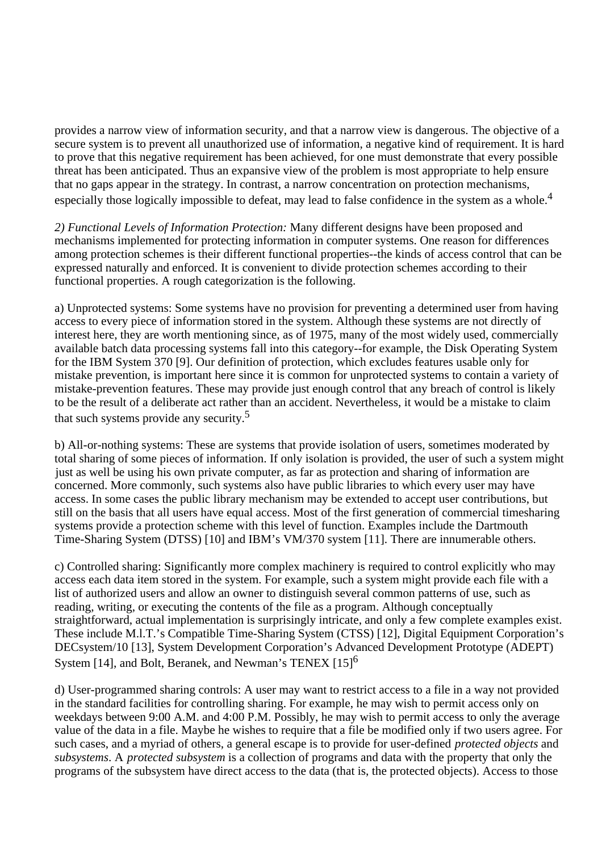provides a narrow view of information security, and that a narrow view is dangerous. The objective of a secure system is to prevent all unauthorized use of information, a negative kind of requirement. It is hard to prove that this negative requirement has been achieved, for one must demonstrate that every possible threat has been anticipated. Thus an expansive view of the problem is most appropriate to help ensure that no gaps appear in the strategy. In contrast, a narrow concentration on protection mechanisms, especially those logically impossible to defeat, may lead to false confidence in the system as a whole.<sup>4</sup>

*2) Functional Levels of Information Protection:* Many different designs have been proposed and mechanisms implemented for protecting information in computer systems. One reason for differences among protection schemes is their different functional properties--the kinds of access control that can be expressed naturally and enforced. It is convenient to divide protection schemes according to their functional properties. A rough categorization is the following.

a) Unprotected systems: Some systems have no provision for preventing a determined user from having access to every piece of information stored in the system. Although these systems are not directly of interest here, they are worth mentioning since, as of 1975, many of the most widely used, commercially available batch data processing systems fall into this category--for example, the Disk Operating System for the IBM System 370 [9]. Our definition of protection, which excludes features usable only for mistake prevention, is important here since it is common for unprotected systems to contain a variety of mistake-prevention features. These may provide just enough control that any breach of control is likely to be the result of a deliberate act rather than an accident. Nevertheless, it would be a mistake to claim that such systems provide any security.<sup>5</sup>

b) All-or-nothing systems: These are systems that provide isolation of users, sometimes moderated by total sharing of some pieces of information. If only isolation is provided, the user of such a system might just as well be using his own private computer, as far as protection and sharing of information are concerned. More commonly, such systems also have public libraries to which every user may have access. In some cases the public library mechanism may be extended to accept user contributions, but still on the basis that all users have equal access. Most of the first generation of commercial timesharing systems provide a protection scheme with this level of function. Examples include the Dartmouth Time-Sharing System (DTSS) [10] and IBM's VM/370 system [11]. There are innumerable others.

c) Controlled sharing: Significantly more complex machinery is required to control explicitly who may access each data item stored in the system. For example, such a system might provide each file with a list of authorized users and allow an owner to distinguish several common patterns of use, such as reading, writing, or executing the contents of the file as a program. Although conceptually straightforward, actual implementation is surprisingly intricate, and only a few complete examples exist. These include M.l.T.'s Compatible Time-Sharing System (CTSS) [12], Digital Equipment Corporation's DECsystem/10 [13], System Development Corporation's Advanced Development Prototype (ADEPT) System [14], and Bolt, Beranek, and Newman's TENEX [15]<sup>6</sup>

d) User-programmed sharing controls: A user may want to restrict access to a file in a way not provided in the standard facilities for controlling sharing. For example, he may wish to permit access only on weekdays between 9:00 A.M. and 4:00 P.M. Possibly, he may wish to permit access to only the average value of the data in a file. Maybe he wishes to require that a file be modified only if two users agree. For such cases, and a myriad of others, a general escape is to provide for user-defined *protected objects* and *subsystems*. A *protected subsystem* is a collection of programs and data with the property that only the programs of the subsystem have direct access to the data (that is, the protected objects). Access to those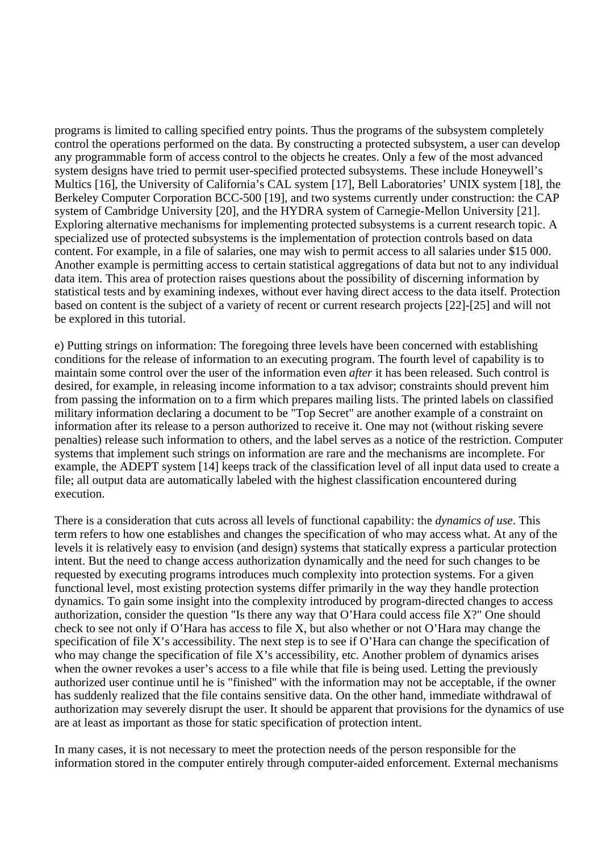programs is limited to calling specified entry points. Thus the programs of the subsystem completely control the operations performed on the data. By constructing a protected subsystem, a user can develop any programmable form of access control to the objects he creates. Only a few of the most advanced system designs have tried to permit user-specified protected subsystems. These include Honeywell's Multics [16], the University of California's CAL system [17], Bell Laboratories' UNIX system [18], the Berkeley Computer Corporation BCC-500 [19], and two systems currently under construction: the CAP system of Cambridge University [20], and the HYDRA system of Carnegie-Mellon University [21]. Exploring alternative mechanisms for implementing protected subsystems is a current research topic. A specialized use of protected subsystems is the implementation of protection controls based on data content. For example, in a file of salaries, one may wish to permit access to all salaries under \$15 000. Another example is permitting access to certain statistical aggregations of data but not to any individual data item. This area of protection raises questions about the possibility of discerning information by statistical tests and by examining indexes, without ever having direct access to the data itself. Protection based on content is the subject of a variety of recent or current research projects [22]-[25] and will not be explored in this tutorial.

e) Putting strings on information: The foregoing three levels have been concerned with establishing conditions for the release of information to an executing program. The fourth level of capability is to maintain some control over the user of the information even *after* it has been released. Such control is desired, for example, in releasing income information to a tax advisor; constraints should prevent him from passing the information on to a firm which prepares mailing lists. The printed labels on classified military information declaring a document to be "Top Secret" are another example of a constraint on information after its release to a person authorized to receive it. One may not (without risking severe penalties) release such information to others, and the label serves as a notice of the restriction. Computer systems that implement such strings on information are rare and the mechanisms are incomplete. For example, the ADEPT system [14] keeps track of the classification level of all input data used to create a file; all output data are automatically labeled with the highest classification encountered during execution.

There is a consideration that cuts across all levels of functional capability: the *dynamics of use*. This term refers to how one establishes and changes the specification of who may access what. At any of the levels it is relatively easy to envision (and design) systems that statically express a particular protection intent. But the need to change access authorization dynamically and the need for such changes to be requested by executing programs introduces much complexity into protection systems. For a given functional level, most existing protection systems differ primarily in the way they handle protection dynamics. To gain some insight into the complexity introduced by program-directed changes to access authorization, consider the question "Is there any way that O'Hara could access file X?" One should check to see not only if O'Hara has access to file X, but also whether or not O'Hara may change the specification of file X's accessibility. The next step is to see if O'Hara can change the specification of who may change the specification of file X's accessibility, etc. Another problem of dynamics arises when the owner revokes a user's access to a file while that file is being used. Letting the previously authorized user continue until he is "finished" with the information may not be acceptable, if the owner has suddenly realized that the file contains sensitive data. On the other hand, immediate withdrawal of authorization may severely disrupt the user. It should be apparent that provisions for the dynamics of use are at least as important as those for static specification of protection intent.

In many cases, it is not necessary to meet the protection needs of the person responsible for the information stored in the computer entirely through computer-aided enforcement. External mechanisms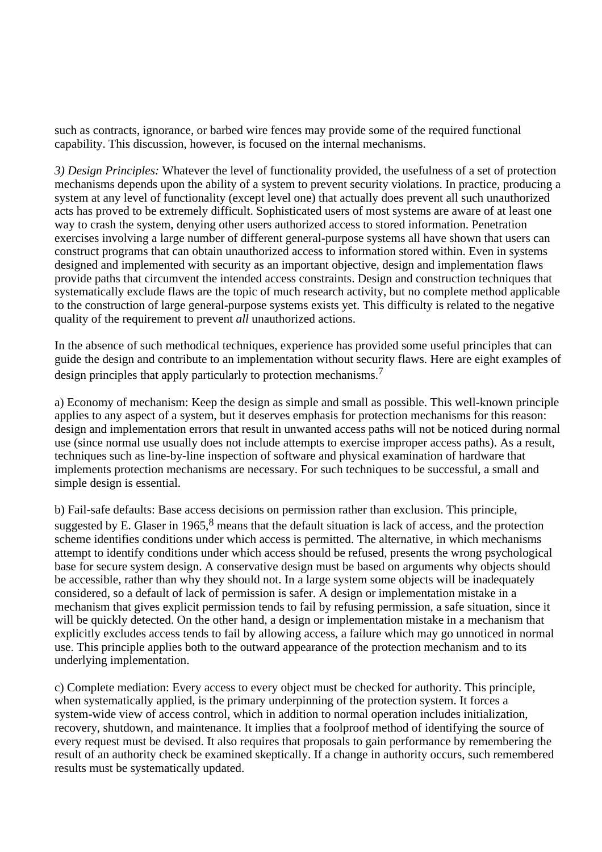such as contracts, ignorance, or barbed wire fences may provide some of the required functional capability. This discussion, however, is focused on the internal mechanisms.

*3) Design Principles:* Whatever the level of functionality provided, the usefulness of a set of protection mechanisms depends upon the ability of a system to prevent security violations. In practice, producing a system at any level of functionality (except level one) that actually does prevent all such unauthorized acts has proved to be extremely difficult. Sophisticated users of most systems are aware of at least one way to crash the system, denying other users authorized access to stored information. Penetration exercises involving a large number of different general-purpose systems all have shown that users can construct programs that can obtain unauthorized access to information stored within. Even in systems designed and implemented with security as an important objective, design and implementation flaws provide paths that circumvent the intended access constraints. Design and construction techniques that systematically exclude flaws are the topic of much research activity, but no complete method applicable to the construction of large general-purpose systems exists yet. This difficulty is related to the negative quality of the requirement to prevent *all* unauthorized actions.

In the absence of such methodical techniques, experience has provided some useful principles that can guide the design and contribute to an implementation without security flaws. Here are eight examples of design principles that apply particularly to protection mechanisms.<sup>7</sup>

a) Economy of mechanism: Keep the design as simple and small as possible. This well-known principle applies to any aspect of a system, but it deserves emphasis for protection mechanisms for this reason: design and implementation errors that result in unwanted access paths will not be noticed during normal use (since normal use usually does not include attempts to exercise improper access paths). As a result, techniques such as line-by-line inspection of software and physical examination of hardware that implements protection mechanisms are necessary. For such techniques to be successful, a small and simple design is essential.

b) Fail-safe defaults: Base access decisions on permission rather than exclusion. This principle, suggested by E. Glaser in 1965, $8$  means that the default situation is lack of access, and the protection scheme identifies conditions under which access is permitted. The alternative, in which mechanisms attempt to identify conditions under which access should be refused, presents the wrong psychological base for secure system design. A conservative design must be based on arguments why objects should be accessible, rather than why they should not. In a large system some objects will be inadequately considered, so a default of lack of permission is safer. A design or implementation mistake in a mechanism that gives explicit permission tends to fail by refusing permission, a safe situation, since it will be quickly detected. On the other hand, a design or implementation mistake in a mechanism that explicitly excludes access tends to fail by allowing access, a failure which may go unnoticed in normal use. This principle applies both to the outward appearance of the protection mechanism and to its underlying implementation.

c) Complete mediation: Every access to every object must be checked for authority. This principle, when systematically applied, is the primary underpinning of the protection system. It forces a system-wide view of access control, which in addition to normal operation includes initialization, recovery, shutdown, and maintenance. It implies that a foolproof method of identifying the source of every request must be devised. It also requires that proposals to gain performance by remembering the result of an authority check be examined skeptically. If a change in authority occurs, such remembered results must be systematically updated.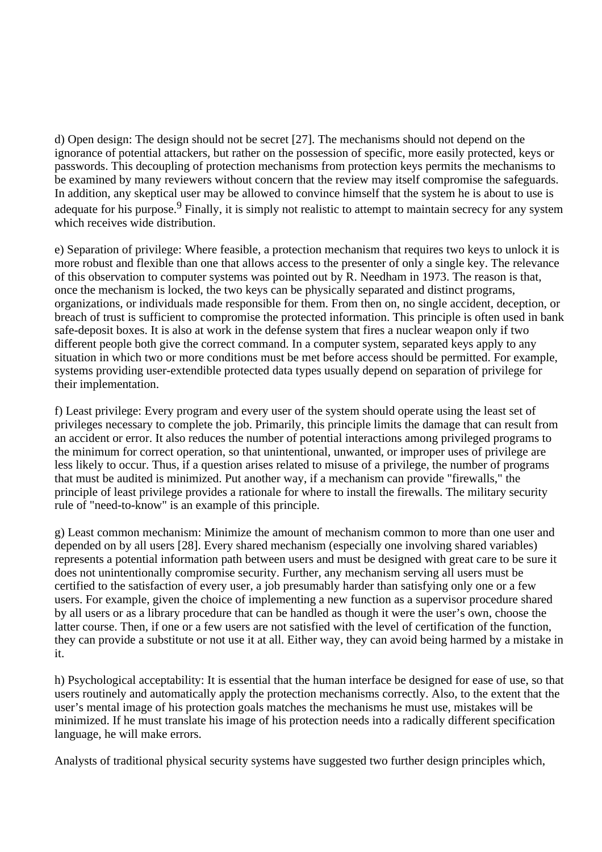d) Open design: The design should not be secret [27]. The mechanisms should not depend on the ignorance of potential attackers, but rather on the possession of specific, more easily protected, keys or passwords. This decoupling of protection mechanisms from protection keys permits the mechanisms to be examined by many reviewers without concern that the review may itself compromise the safeguards. In addition, any skeptical user may be allowed to convince himself that the system he is about to use is adequate for his purpose.<sup>9</sup> Finally, it is simply not realistic to attempt to maintain secrecy for any system which receives wide distribution.

e) Separation of privilege: Where feasible, a protection mechanism that requires two keys to unlock it is more robust and flexible than one that allows access to the presenter of only a single key. The relevance of this observation to computer systems was pointed out by R. Needham in 1973. The reason is that, once the mechanism is locked, the two keys can be physically separated and distinct programs, organizations, or individuals made responsible for them. From then on, no single accident, deception, or breach of trust is sufficient to compromise the protected information. This principle is often used in bank safe-deposit boxes. It is also at work in the defense system that fires a nuclear weapon only if two different people both give the correct command. In a computer system, separated keys apply to any situation in which two or more conditions must be met before access should be permitted. For example, systems providing user-extendible protected data types usually depend on separation of privilege for their implementation.

f) Least privilege: Every program and every user of the system should operate using the least set of privileges necessary to complete the job. Primarily, this principle limits the damage that can result from an accident or error. It also reduces the number of potential interactions among privileged programs to the minimum for correct operation, so that unintentional, unwanted, or improper uses of privilege are less likely to occur. Thus, if a question arises related to misuse of a privilege, the number of programs that must be audited is minimized. Put another way, if a mechanism can provide "firewalls," the principle of least privilege provides a rationale for where to install the firewalls. The military security rule of "need-to-know" is an example of this principle.

g) Least common mechanism: Minimize the amount of mechanism common to more than one user and depended on by all users [28]. Every shared mechanism (especially one involving shared variables) represents a potential information path between users and must be designed with great care to be sure it does not unintentionally compromise security. Further, any mechanism serving all users must be certified to the satisfaction of every user, a job presumably harder than satisfying only one or a few users. For example, given the choice of implementing a new function as a supervisor procedure shared by all users or as a library procedure that can be handled as though it were the user's own, choose the latter course. Then, if one or a few users are not satisfied with the level of certification of the function, they can provide a substitute or not use it at all. Either way, they can avoid being harmed by a mistake in it.

h) Psychological acceptability: It is essential that the human interface be designed for ease of use, so that users routinely and automatically apply the protection mechanisms correctly. Also, to the extent that the user's mental image of his protection goals matches the mechanisms he must use, mistakes will be minimized. If he must translate his image of his protection needs into a radically different specification language, he will make errors.

Analysts of traditional physical security systems have suggested two further design principles which,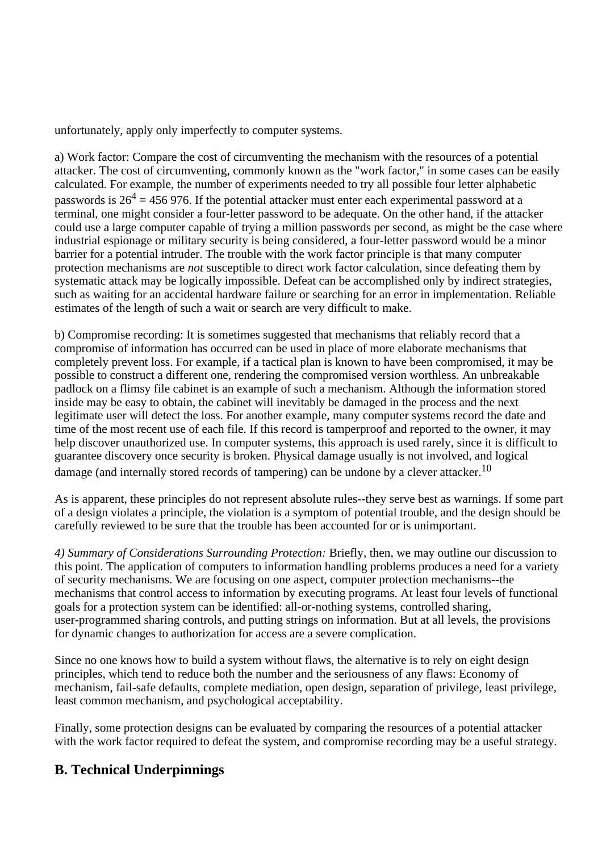unfortunately, apply only imperfectly to computer systems.

a) Work factor: Compare the cost of circumventing the mechanism with the resources of a potential attacker. The cost of circumventing, commonly known as the "work factor," in some cases can be easily calculated. For example, the number of experiments needed to try all possible four letter alphabetic passwords is  $26^4 = 456$  976. If the potential attacker must enter each experimental password at a terminal, one might consider a four-letter password to be adequate. On the other hand, if the attacker could use a large computer capable of trying a million passwords per second, as might be the case where industrial espionage or military security is being considered, a four-letter password would be a minor barrier for a potential intruder. The trouble with the work factor principle is that many computer protection mechanisms are *not* susceptible to direct work factor calculation, since defeating them by systematic attack may be logically impossible. Defeat can be accomplished only by indirect strategies, such as waiting for an accidental hardware failure or searching for an error in implementation. Reliable estimates of the length of such a wait or search are very difficult to make.

b) Compromise recording: It is sometimes suggested that mechanisms that reliably record that a compromise of information has occurred can be used in place of more elaborate mechanisms that completely prevent loss. For example, if a tactical plan is known to have been compromised, it may be possible to construct a different one, rendering the compromised version worthless. An unbreakable padlock on a flimsy file cabinet is an example of such a mechanism. Although the information stored inside may be easy to obtain, the cabinet will inevitably be damaged in the process and the next legitimate user will detect the loss. For another example, many computer systems record the date and time of the most recent use of each file. If this record is tamperproof and reported to the owner, it may help discover unauthorized use. In computer systems, this approach is used rarely, since it is difficult to guarantee discovery once security is broken. Physical damage usually is not involved, and logical damage (and internally stored records of tampering) can be undone by a clever attacker.<sup>10</sup>

As is apparent, these principles do not represent absolute rules--they serve best as warnings. If some part of a design violates a principle, the violation is a symptom of potential trouble, and the design should be carefully reviewed to be sure that the trouble has been accounted for or is unimportant.

*4) Summary of Considerations Surrounding Protection:* Briefly, then, we may outline our discussion to this point. The application of computers to information handling problems produces a need for a variety of security mechanisms. We are focusing on one aspect, computer protection mechanisms--the mechanisms that control access to information by executing programs. At least four levels of functional goals for a protection system can be identified: all-or-nothing systems, controlled sharing, user-programmed sharing controls, and putting strings on information. But at all levels, the provisions for dynamic changes to authorization for access are a severe complication.

Since no one knows how to build a system without flaws, the alternative is to rely on eight design principles, which tend to reduce both the number and the seriousness of any flaws: Economy of mechanism, fail-safe defaults, complete mediation, open design, separation of privilege, least privilege, least common mechanism, and psychological acceptability.

Finally, some protection designs can be evaluated by comparing the resources of a potential attacker with the work factor required to defeat the system, and compromise recording may be a useful strategy.

### **B. Technical Underpinnings**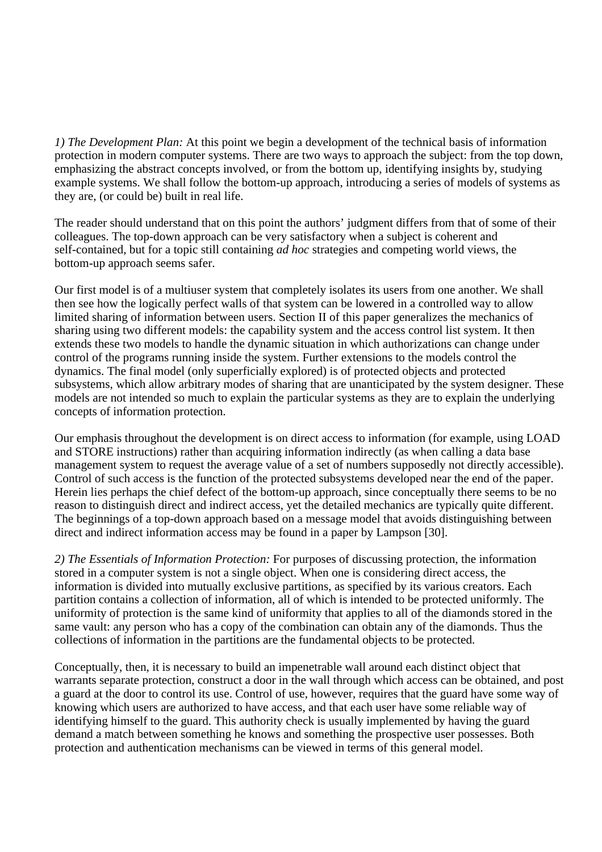*1) The Development Plan:* At this point we begin a development of the technical basis of information protection in modern computer systems. There are two ways to approach the subject: from the top down, emphasizing the abstract concepts involved, or from the bottom up, identifying insights by, studying example systems. We shall follow the bottom-up approach, introducing a series of models of systems as they are, (or could be) built in real life.

The reader should understand that on this point the authors' judgment differs from that of some of their colleagues. The top-down approach can be very satisfactory when a subject is coherent and self-contained, but for a topic still containing *ad hoc* strategies and competing world views, the bottom-up approach seems safer.

Our first model is of a multiuser system that completely isolates its users from one another. We shall then see how the logically perfect walls of that system can be lowered in a controlled way to allow limited sharing of information between users. Section II of this paper generalizes the mechanics of sharing using two different models: the capability system and the access control list system. It then extends these two models to handle the dynamic situation in which authorizations can change under control of the programs running inside the system. Further extensions to the models control the dynamics. The final model (only superficially explored) is of protected objects and protected subsystems, which allow arbitrary modes of sharing that are unanticipated by the system designer. These models are not intended so much to explain the particular systems as they are to explain the underlying concepts of information protection.

Our emphasis throughout the development is on direct access to information (for example, using LOAD and STORE instructions) rather than acquiring information indirectly (as when calling a data base management system to request the average value of a set of numbers supposedly not directly accessible). Control of such access is the function of the protected subsystems developed near the end of the paper. Herein lies perhaps the chief defect of the bottom-up approach, since conceptually there seems to be no reason to distinguish direct and indirect access, yet the detailed mechanics are typically quite different. The beginnings of a top-down approach based on a message model that avoids distinguishing between direct and indirect information access may be found in a paper by Lampson [30].

*2) The Essentials of Information Protection:* For purposes of discussing protection, the information stored in a computer system is not a single object. When one is considering direct access, the information is divided into mutually exclusive partitions, as specified by its various creators. Each partition contains a collection of information, all of which is intended to be protected uniformly. The uniformity of protection is the same kind of uniformity that applies to all of the diamonds stored in the same vault: any person who has a copy of the combination can obtain any of the diamonds. Thus the collections of information in the partitions are the fundamental objects to be protected.

Conceptually, then, it is necessary to build an impenetrable wall around each distinct object that warrants separate protection, construct a door in the wall through which access can be obtained, and post a guard at the door to control its use. Control of use, however, requires that the guard have some way of knowing which users are authorized to have access, and that each user have some reliable way of identifying himself to the guard. This authority check is usually implemented by having the guard demand a match between something he knows and something the prospective user possesses. Both protection and authentication mechanisms can be viewed in terms of this general model.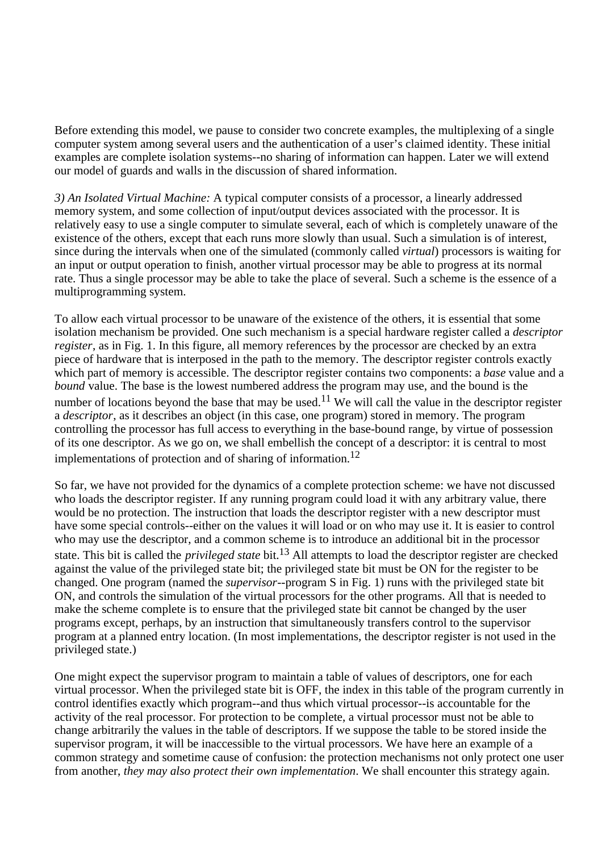Before extending this model, we pause to consider two concrete examples, the multiplexing of a single computer system among several users and the authentication of a user's claimed identity. These initial examples are complete isolation systems--no sharing of information can happen. Later we will extend our model of guards and walls in the discussion of shared information.

*3) An Isolated Virtual Machine:* A typical computer consists of a processor, a linearly addressed memory system, and some collection of input/output devices associated with the processor. It is relatively easy to use a single computer to simulate several, each of which is completely unaware of the existence of the others, except that each runs more slowly than usual. Such a simulation is of interest, since during the intervals when one of the simulated (commonly called *virtual*) processors is waiting for an input or output operation to finish, another virtual processor may be able to progress at its normal rate. Thus a single processor may be able to take the place of several. Such a scheme is the essence of a multiprogramming system.

To allow each virtual processor to be unaware of the existence of the others, it is essential that some isolation mechanism be provided. One such mechanism is a special hardware register called a *descriptor register*, as in Fig. 1. In this figure, all memory references by the processor are checked by an extra piece of hardware that is interposed in the path to the memory. The descriptor register controls exactly which part of memory is accessible. The descriptor register contains two components: a *base* value and a *bound* value. The base is the lowest numbered address the program may use, and the bound is the number of locations beyond the base that may be used.<sup>11</sup> We will call the value in the descriptor register a *descriptor*, as it describes an object (in this case, one program) stored in memory. The program controlling the processor has full access to everything in the base-bound range, by virtue of possession of its one descriptor. As we go on, we shall embellish the concept of a descriptor: it is central to most implementations of protection and of sharing of information.<sup>12</sup>

So far, we have not provided for the dynamics of a complete protection scheme: we have not discussed who loads the descriptor register. If any running program could load it with any arbitrary value, there would be no protection. The instruction that loads the descriptor register with a new descriptor must have some special controls--either on the values it will load or on who may use it. It is easier to control who may use the descriptor, and a common scheme is to introduce an additional bit in the processor state. This bit is called the *privileged state* bit.13 All attempts to load the descriptor register are checked against the value of the privileged state bit; the privileged state bit must be ON for the register to be changed. One program (named the *supervisor*--program S in Fig. 1) runs with the privileged state bit ON, and controls the simulation of the virtual processors for the other programs. All that is needed to make the scheme complete is to ensure that the privileged state bit cannot be changed by the user programs except, perhaps, by an instruction that simultaneously transfers control to the supervisor program at a planned entry location. (In most implementations, the descriptor register is not used in the privileged state.)

One might expect the supervisor program to maintain a table of values of descriptors, one for each virtual processor. When the privileged state bit is OFF, the index in this table of the program currently in control identifies exactly which program--and thus which virtual processor--is accountable for the activity of the real processor. For protection to be complete, a virtual processor must not be able to change arbitrarily the values in the table of descriptors. If we suppose the table to be stored inside the supervisor program, it will be inaccessible to the virtual processors. We have here an example of a common strategy and sometime cause of confusion: the protection mechanisms not only protect one user from another, *they may also protect their own implementation*. We shall encounter this strategy again.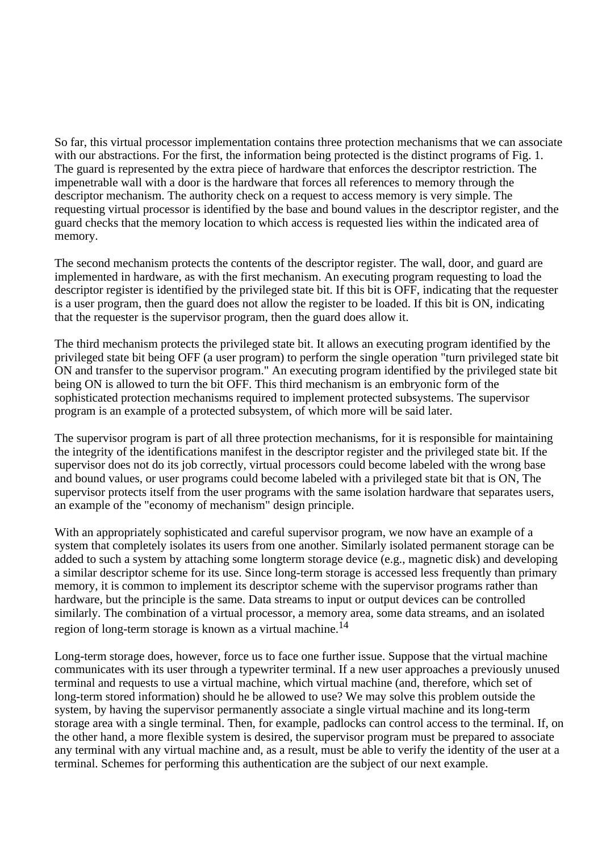So far, this virtual processor implementation contains three protection mechanisms that we can associate with our abstractions. For the first, the information being protected is the distinct programs of Fig. 1. The guard is represented by the extra piece of hardware that enforces the descriptor restriction. The impenetrable wall with a door is the hardware that forces all references to memory through the descriptor mechanism. The authority check on a request to access memory is very simple. The requesting virtual processor is identified by the base and bound values in the descriptor register, and the guard checks that the memory location to which access is requested lies within the indicated area of memory.

The second mechanism protects the contents of the descriptor register. The wall, door, and guard are implemented in hardware, as with the first mechanism. An executing program requesting to load the descriptor register is identified by the privileged state bit. If this bit is OFF, indicating that the requester is a user program, then the guard does not allow the register to be loaded. If this bit is ON, indicating that the requester is the supervisor program, then the guard does allow it.

The third mechanism protects the privileged state bit. It allows an executing program identified by the privileged state bit being OFF (a user program) to perform the single operation "turn privileged state bit ON and transfer to the supervisor program." An executing program identified by the privileged state bit being ON is allowed to turn the bit OFF. This third mechanism is an embryonic form of the sophisticated protection mechanisms required to implement protected subsystems. The supervisor program is an example of a protected subsystem, of which more will be said later.

The supervisor program is part of all three protection mechanisms, for it is responsible for maintaining the integrity of the identifications manifest in the descriptor register and the privileged state bit. If the supervisor does not do its job correctly, virtual processors could become labeled with the wrong base and bound values, or user programs could become labeled with a privileged state bit that is ON, The supervisor protects itself from the user programs with the same isolation hardware that separates users, an example of the "economy of mechanism" design principle.

With an appropriately sophisticated and careful supervisor program, we now have an example of a system that completely isolates its users from one another. Similarly isolated permanent storage can be added to such a system by attaching some longterm storage device (e.g., magnetic disk) and developing a similar descriptor scheme for its use. Since long-term storage is accessed less frequently than primary memory, it is common to implement its descriptor scheme with the supervisor programs rather than hardware, but the principle is the same. Data streams to input or output devices can be controlled similarly. The combination of a virtual processor, a memory area, some data streams, and an isolated region of long-term storage is known as a virtual machine.<sup>14</sup>

Long-term storage does, however, force us to face one further issue. Suppose that the virtual machine communicates with its user through a typewriter terminal. If a new user approaches a previously unused terminal and requests to use a virtual machine, which virtual machine (and, therefore, which set of long-term stored information) should he be allowed to use? We may solve this problem outside the system, by having the supervisor permanently associate a single virtual machine and its long-term storage area with a single terminal. Then, for example, padlocks can control access to the terminal. If, on the other hand, a more flexible system is desired, the supervisor program must be prepared to associate any terminal with any virtual machine and, as a result, must be able to verify the identity of the user at a terminal. Schemes for performing this authentication are the subject of our next example.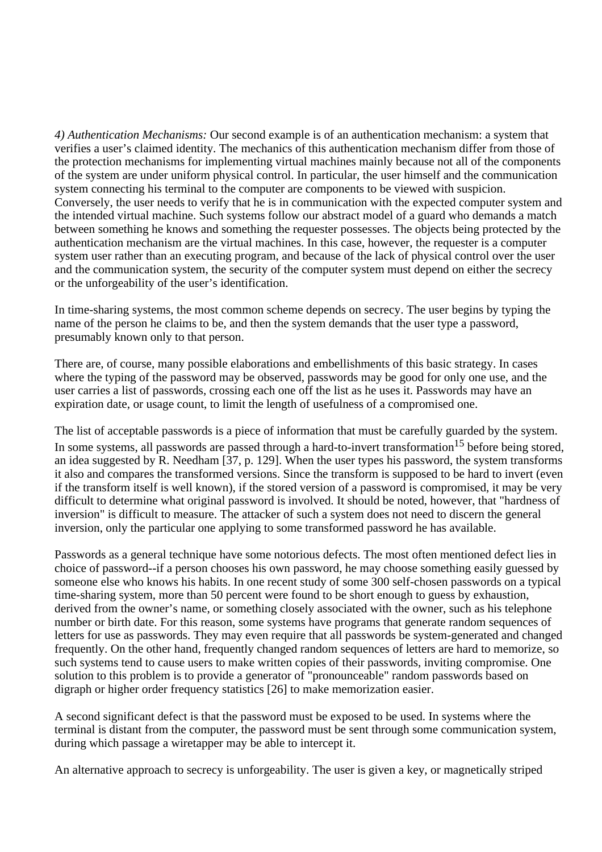*4) Authentication Mechanisms:* Our second example is of an authentication mechanism: a system that verifies a user's claimed identity. The mechanics of this authentication mechanism differ from those of the protection mechanisms for implementing virtual machines mainly because not all of the components of the system are under uniform physical control. In particular, the user himself and the communication system connecting his terminal to the computer are components to be viewed with suspicion. Conversely, the user needs to verify that he is in communication with the expected computer system and the intended virtual machine. Such systems follow our abstract model of a guard who demands a match between something he knows and something the requester possesses. The objects being protected by the authentication mechanism are the virtual machines. In this case, however, the requester is a computer system user rather than an executing program, and because of the lack of physical control over the user and the communication system, the security of the computer system must depend on either the secrecy or the unforgeability of the user's identification.

In time-sharing systems, the most common scheme depends on secrecy. The user begins by typing the name of the person he claims to be, and then the system demands that the user type a password, presumably known only to that person.

There are, of course, many possible elaborations and embellishments of this basic strategy. In cases where the typing of the password may be observed, passwords may be good for only one use, and the user carries a list of passwords, crossing each one off the list as he uses it. Passwords may have an expiration date, or usage count, to limit the length of usefulness of a compromised one.

The list of acceptable passwords is a piece of information that must be carefully guarded by the system. In some systems, all passwords are passed through a hard-to-invert transformation<sup>15</sup> before being stored, an idea suggested by R. Needham [37, p. 129]. When the user types his password, the system transforms it also and compares the transformed versions. Since the transform is supposed to be hard to invert (even if the transform itself is well known), if the stored version of a password is compromised, it may be very difficult to determine what original password is involved. It should be noted, however, that "hardness of inversion" is difficult to measure. The attacker of such a system does not need to discern the general inversion, only the particular one applying to some transformed password he has available.

Passwords as a general technique have some notorious defects. The most often mentioned defect lies in choice of password--if a person chooses his own password, he may choose something easily guessed by someone else who knows his habits. In one recent study of some 300 self-chosen passwords on a typical time-sharing system, more than 50 percent were found to be short enough to guess by exhaustion, derived from the owner's name, or something closely associated with the owner, such as his telephone number or birth date. For this reason, some systems have programs that generate random sequences of letters for use as passwords. They may even require that all passwords be system-generated and changed frequently. On the other hand, frequently changed random sequences of letters are hard to memorize, so such systems tend to cause users to make written copies of their passwords, inviting compromise. One solution to this problem is to provide a generator of "pronounceable" random passwords based on digraph or higher order frequency statistics [26] to make memorization easier.

A second significant defect is that the password must be exposed to be used. In systems where the terminal is distant from the computer, the password must be sent through some communication system, during which passage a wiretapper may be able to intercept it.

An alternative approach to secrecy is unforgeability. The user is given a key, or magnetically striped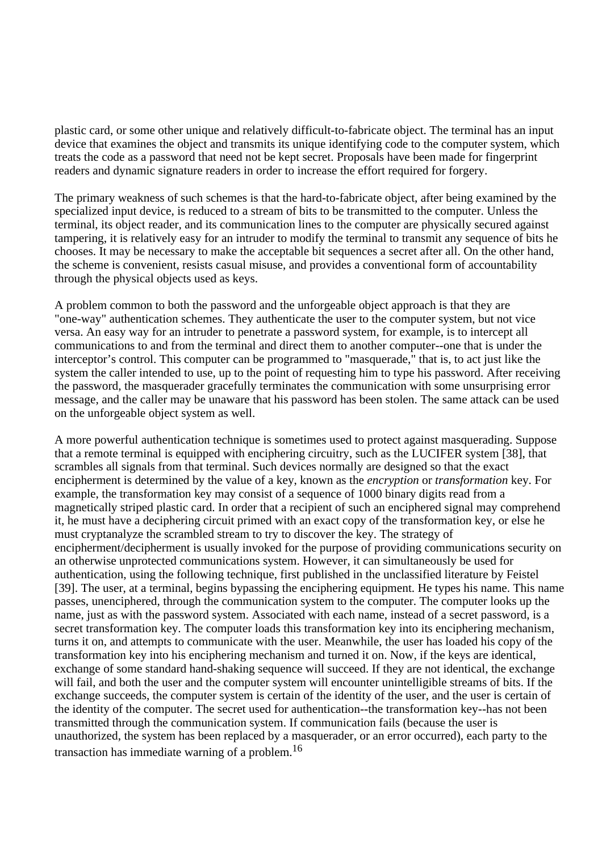plastic card, or some other unique and relatively difficult-to-fabricate object. The terminal has an input device that examines the object and transmits its unique identifying code to the computer system, which treats the code as a password that need not be kept secret. Proposals have been made for fingerprint readers and dynamic signature readers in order to increase the effort required for forgery.

The primary weakness of such schemes is that the hard-to-fabricate object, after being examined by the specialized input device, is reduced to a stream of bits to be transmitted to the computer. Unless the terminal, its object reader, and its communication lines to the computer are physically secured against tampering, it is relatively easy for an intruder to modify the terminal to transmit any sequence of bits he chooses. It may be necessary to make the acceptable bit sequences a secret after all. On the other hand, the scheme is convenient, resists casual misuse, and provides a conventional form of accountability through the physical objects used as keys.

A problem common to both the password and the unforgeable object approach is that they are "one-way" authentication schemes. They authenticate the user to the computer system, but not vice versa. An easy way for an intruder to penetrate a password system, for example, is to intercept all communications to and from the terminal and direct them to another computer--one that is under the interceptor's control. This computer can be programmed to "masquerade," that is, to act just like the system the caller intended to use, up to the point of requesting him to type his password. After receiving the password, the masquerader gracefully terminates the communication with some unsurprising error message, and the caller may be unaware that his password has been stolen. The same attack can be used on the unforgeable object system as well.

A more powerful authentication technique is sometimes used to protect against masquerading. Suppose that a remote terminal is equipped with enciphering circuitry, such as the LUCIFER system [38], that scrambles all signals from that terminal. Such devices normally are designed so that the exact encipherment is determined by the value of a key, known as the *encryption* or *transformation* key. For example, the transformation key may consist of a sequence of 1000 binary digits read from a magnetically striped plastic card. In order that a recipient of such an enciphered signal may comprehend it, he must have a deciphering circuit primed with an exact copy of the transformation key, or else he must cryptanalyze the scrambled stream to try to discover the key. The strategy of encipherment/decipherment is usually invoked for the purpose of providing communications security on an otherwise unprotected communications system. However, it can simultaneously be used for authentication, using the following technique, first published in the unclassified literature by Feistel [39]. The user, at a terminal, begins bypassing the enciphering equipment. He types his name. This name passes, unenciphered, through the communication system to the computer. The computer looks up the name, just as with the password system. Associated with each name, instead of a secret password, is a secret transformation key. The computer loads this transformation key into its enciphering mechanism, turns it on, and attempts to communicate with the user. Meanwhile, the user has loaded his copy of the transformation key into his enciphering mechanism and turned it on. Now, if the keys are identical, exchange of some standard hand-shaking sequence will succeed. If they are not identical, the exchange will fail, and both the user and the computer system will encounter unintelligible streams of bits. If the exchange succeeds, the computer system is certain of the identity of the user, and the user is certain of the identity of the computer. The secret used for authentication--the transformation key--has not been transmitted through the communication system. If communication fails (because the user is unauthorized, the system has been replaced by a masquerader, or an error occurred), each party to the transaction has immediate warning of a problem.<sup>16</sup>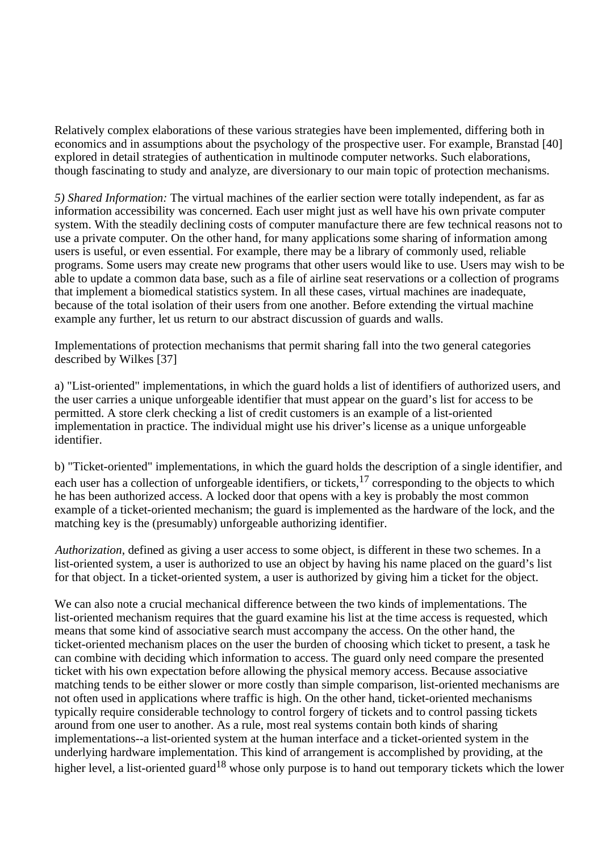Relatively complex elaborations of these various strategies have been implemented, differing both in economics and in assumptions about the psychology of the prospective user. For example, Branstad [40] explored in detail strategies of authentication in multinode computer networks. Such elaborations, though fascinating to study and analyze, are diversionary to our main topic of protection mechanisms.

*5) Shared Information:* The virtual machines of the earlier section were totally independent, as far as information accessibility was concerned. Each user might just as well have his own private computer system. With the steadily declining costs of computer manufacture there are few technical reasons not to use a private computer. On the other hand, for many applications some sharing of information among users is useful, or even essential. For example, there may be a library of commonly used, reliable programs. Some users may create new programs that other users would like to use. Users may wish to be able to update a common data base, such as a file of airline seat reservations or a collection of programs that implement a biomedical statistics system. In all these cases, virtual machines are inadequate, because of the total isolation of their users from one another. Before extending the virtual machine example any further, let us return to our abstract discussion of guards and walls.

Implementations of protection mechanisms that permit sharing fall into the two general categories described by Wilkes [37]

a) "List-oriented" implementations, in which the guard holds a list of identifiers of authorized users, and the user carries a unique unforgeable identifier that must appear on the guard's list for access to be permitted. A store clerk checking a list of credit customers is an example of a list-oriented implementation in practice. The individual might use his driver's license as a unique unforgeable identifier.

b) "Ticket-oriented" implementations, in which the guard holds the description of a single identifier, and each user has a collection of unforgeable identifiers, or tickets, $17$  corresponding to the objects to which he has been authorized access. A locked door that opens with a key is probably the most common example of a ticket-oriented mechanism; the guard is implemented as the hardware of the lock, and the matching key is the (presumably) unforgeable authorizing identifier.

*Authorization*, defined as giving a user access to some object, is different in these two schemes. In a list-oriented system, a user is authorized to use an object by having his name placed on the guard's list for that object. In a ticket-oriented system, a user is authorized by giving him a ticket for the object.

We can also note a crucial mechanical difference between the two kinds of implementations. The list-oriented mechanism requires that the guard examine his list at the time access is requested, which means that some kind of associative search must accompany the access. On the other hand, the ticket-oriented mechanism places on the user the burden of choosing which ticket to present, a task he can combine with deciding which information to access. The guard only need compare the presented ticket with his own expectation before allowing the physical memory access. Because associative matching tends to be either slower or more costly than simple comparison, list-oriented mechanisms are not often used in applications where traffic is high. On the other hand, ticket-oriented mechanisms typically require considerable technology to control forgery of tickets and to control passing tickets around from one user to another. As a rule, most real systems contain both kinds of sharing implementations--a list-oriented system at the human interface and a ticket-oriented system in the underlying hardware implementation. This kind of arrangement is accomplished by providing, at the higher level, a list-oriented guard<sup>18</sup> whose only purpose is to hand out temporary tickets which the lower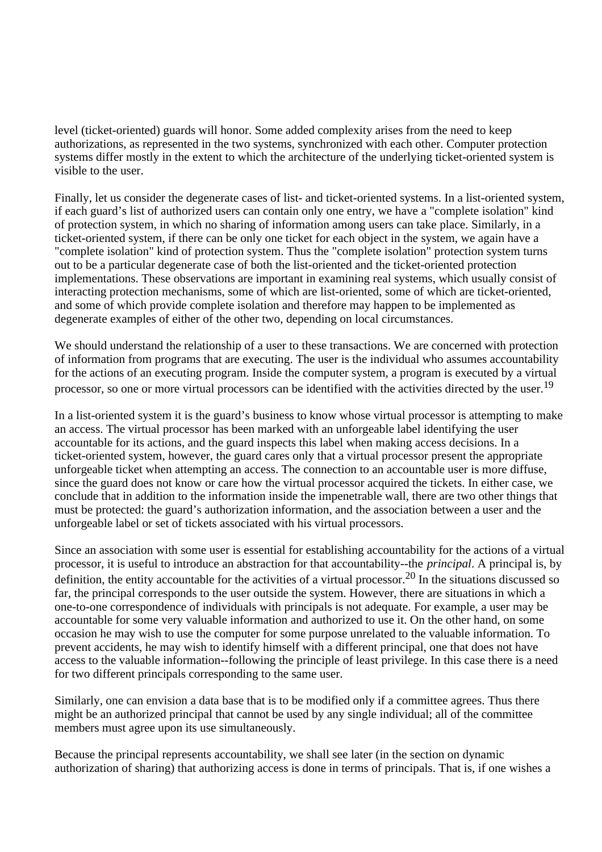level (ticket-oriented) guards will honor. Some added complexity arises from the need to keep authorizations, as represented in the two systems, synchronized with each other. Computer protection systems differ mostly in the extent to which the architecture of the underlying ticket-oriented system is visible to the user.

Finally, let us consider the degenerate cases of list- and ticket-oriented systems. In a list-oriented system, if each guard's list of authorized users can contain only one entry, we have a "complete isolation" kind of protection system, in which no sharing of information among users can take place. Similarly, in a ticket-oriented system, if there can be only one ticket for each object in the system, we again have a "complete isolation" kind of protection system. Thus the "complete isolation" protection system turns out to be a particular degenerate case of both the list-oriented and the ticket-oriented protection implementations. These observations are important in examining real systems, which usually consist of interacting protection mechanisms, some of which are list-oriented, some of which are ticket-oriented, and some of which provide complete isolation and therefore may happen to be implemented as degenerate examples of either of the other two, depending on local circumstances.

We should understand the relationship of a user to these transactions. We are concerned with protection of information from programs that are executing. The user is the individual who assumes accountability for the actions of an executing program. Inside the computer system, a program is executed by a virtual processor, so one or more virtual processors can be identified with the activities directed by the user.<sup>19</sup>

In a list-oriented system it is the guard's business to know whose virtual processor is attempting to make an access. The virtual processor has been marked with an unforgeable label identifying the user accountable for its actions, and the guard inspects this label when making access decisions. In a ticket-oriented system, however, the guard cares only that a virtual processor present the appropriate unforgeable ticket when attempting an access. The connection to an accountable user is more diffuse, since the guard does not know or care how the virtual processor acquired the tickets. In either case, we conclude that in addition to the information inside the impenetrable wall, there are two other things that must be protected: the guard's authorization information, and the association between a user and the unforgeable label or set of tickets associated with his virtual processors.

Since an association with some user is essential for establishing accountability for the actions of a virtual processor, it is useful to introduce an abstraction for that accountability--the *principal*. A principal is, by definition, the entity accountable for the activities of a virtual processor.<sup>20</sup> In the situations discussed so far, the principal corresponds to the user outside the system. However, there are situations in which a one-to-one correspondence of individuals with principals is not adequate. For example, a user may be accountable for some very valuable information and authorized to use it. On the other hand, on some occasion he may wish to use the computer for some purpose unrelated to the valuable information. To prevent accidents, he may wish to identify himself with a different principal, one that does not have access to the valuable information--following the principle of least privilege. In this case there is a need for two different principals corresponding to the same user.

Similarly, one can envision a data base that is to be modified only if a committee agrees. Thus there might be an authorized principal that cannot be used by any single individual; all of the committee members must agree upon its use simultaneously.

Because the principal represents accountability, we shall see later (in the section on dynamic authorization of sharing) that authorizing access is done in terms of principals. That is, if one wishes a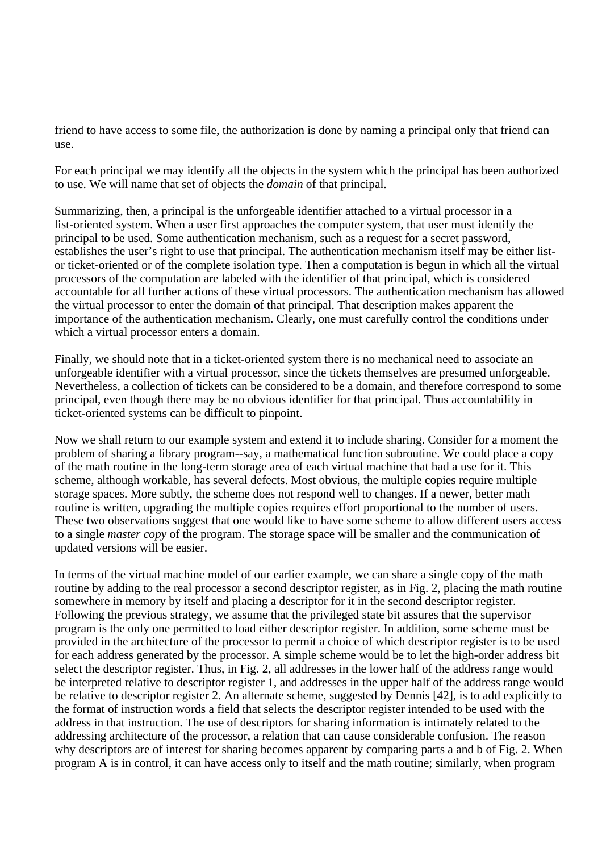friend to have access to some file, the authorization is done by naming a principal only that friend can use.

For each principal we may identify all the objects in the system which the principal has been authorized to use. We will name that set of objects the *domain* of that principal.

Summarizing, then, a principal is the unforgeable identifier attached to a virtual processor in a list-oriented system. When a user first approaches the computer system, that user must identify the principal to be used. Some authentication mechanism, such as a request for a secret password, establishes the user's right to use that principal. The authentication mechanism itself may be either listor ticket-oriented or of the complete isolation type. Then a computation is begun in which all the virtual processors of the computation are labeled with the identifier of that principal, which is considered accountable for all further actions of these virtual processors. The authentication mechanism has allowed the virtual processor to enter the domain of that principal. That description makes apparent the importance of the authentication mechanism. Clearly, one must carefully control the conditions under which a virtual processor enters a domain.

Finally, we should note that in a ticket-oriented system there is no mechanical need to associate an unforgeable identifier with a virtual processor, since the tickets themselves are presumed unforgeable. Nevertheless, a collection of tickets can be considered to be a domain, and therefore correspond to some principal, even though there may be no obvious identifier for that principal. Thus accountability in ticket-oriented systems can be difficult to pinpoint.

Now we shall return to our example system and extend it to include sharing. Consider for a moment the problem of sharing a library program--say, a mathematical function subroutine. We could place a copy of the math routine in the long-term storage area of each virtual machine that had a use for it. This scheme, although workable, has several defects. Most obvious, the multiple copies require multiple storage spaces. More subtly, the scheme does not respond well to changes. If a newer, better math routine is written, upgrading the multiple copies requires effort proportional to the number of users. These two observations suggest that one would like to have some scheme to allow different users access to a single *master copy* of the program. The storage space will be smaller and the communication of updated versions will be easier.

In terms of the virtual machine model of our earlier example, we can share a single copy of the math routine by adding to the real processor a second descriptor register, as in Fig. 2, placing the math routine somewhere in memory by itself and placing a descriptor for it in the second descriptor register. Following the previous strategy, we assume that the privileged state bit assures that the supervisor program is the only one permitted to load either descriptor register. In addition, some scheme must be provided in the architecture of the processor to permit a choice of which descriptor register is to be used for each address generated by the processor. A simple scheme would be to let the high-order address bit select the descriptor register. Thus, in Fig. 2, all addresses in the lower half of the address range would be interpreted relative to descriptor register 1, and addresses in the upper half of the address range would be relative to descriptor register 2. An alternate scheme, suggested by Dennis [42], is to add explicitly to the format of instruction words a field that selects the descriptor register intended to be used with the address in that instruction. The use of descriptors for sharing information is intimately related to the addressing architecture of the processor, a relation that can cause considerable confusion. The reason why descriptors are of interest for sharing becomes apparent by comparing parts a and b of Fig. 2. When program A is in control, it can have access only to itself and the math routine; similarly, when program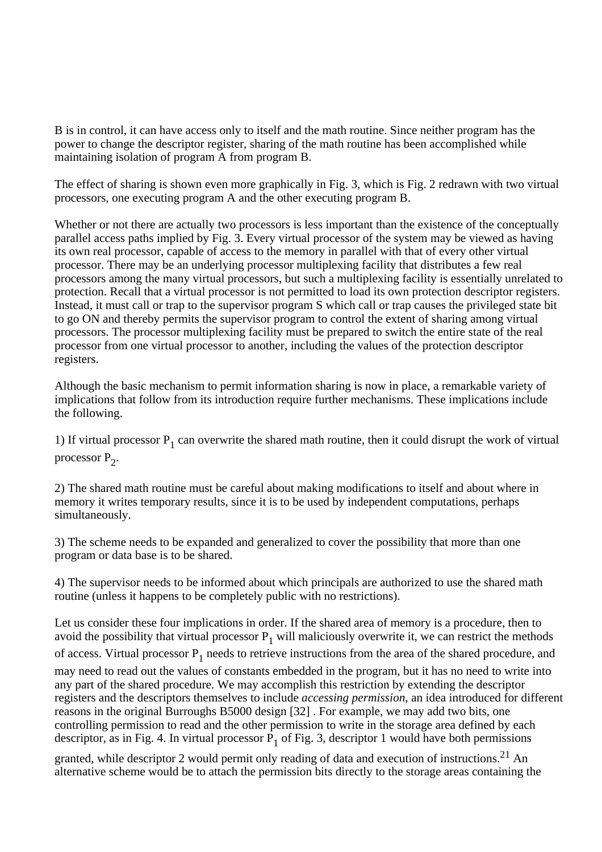B is in control, it can have access only to itself and the math routine. Since neither program has the power to change the descriptor register, sharing of the math routine has been accomplished while maintaining isolation of program A from program B.

The effect of sharing is shown even more graphically in Fig. 3, which is Fig. 2 redrawn with two virtual processors, one executing program A and the other executing program B.

Whether or not there are actually two processors is less important than the existence of the conceptually parallel access paths implied by Fig. 3. Every virtual processor of the system may be viewed as having its own real processor, capable of access to the memory in parallel with that of every other virtual processor. There may be an underlying processor multiplexing facility that distributes a few real processors among the many virtual processors, but such a multiplexing facility is essentially unrelated to protection. Recall that a virtual processor is not permitted to load its own protection descriptor registers. Instead, it must call or trap to the supervisor program S which call or trap causes the privileged state bit to go ON and thereby permits the supervisor program to control the extent of sharing among virtual processors. The processor multiplexing facility must be prepared to switch the entire state of the real processor from one virtual processor to another, including the values of the protection descriptor registers.

Although the basic mechanism to permit information sharing is now in place, a remarkable variety of implications that follow from its introduction require further mechanisms. These implications include the following.

1) If virtual processor  $P_1$  can overwrite the shared math routine, then it could disrupt the work of virtual processor  $P_2$ .

2) The shared math routine must be careful about making modifications to itself and about where in memory it writes temporary results, since it is to be used by independent computations, perhaps simultaneously.

3) The scheme needs to be expanded and generalized to cover the possibility that more than one program or data base is to be shared.

4) The supervisor needs to be informed about which principals are authorized to use the shared math routine (unless it happens to be completely public with no restrictions).

Let us consider these four implications in order. If the shared area of memory is a procedure, then to avoid the possibility that virtual processor  $P_1$  will maliciously overwrite it, we can restrict the methods of access. Virtual processor  $P_1$  needs to retrieve instructions from the area of the shared procedure, and may need to read out the values of constants embedded in the program, but it has no need to write into any part of the shared procedure. We may accomplish this restriction by extending the descriptor registers and the descriptors themselves to include *accessing permission*, an idea introduced for different reasons in the original Burroughs B5000 design [32] . For example, we may add two bits, one controlling permission to read and the other permission to write in the storage area defined by each descriptor, as in Fig. 4. In virtual processor  $P_1$  of Fig. 3, descriptor 1 would have both permissions

granted, while descriptor 2 would permit only reading of data and execution of instructions.<sup>21</sup> An alternative scheme would be to attach the permission bits directly to the storage areas containing the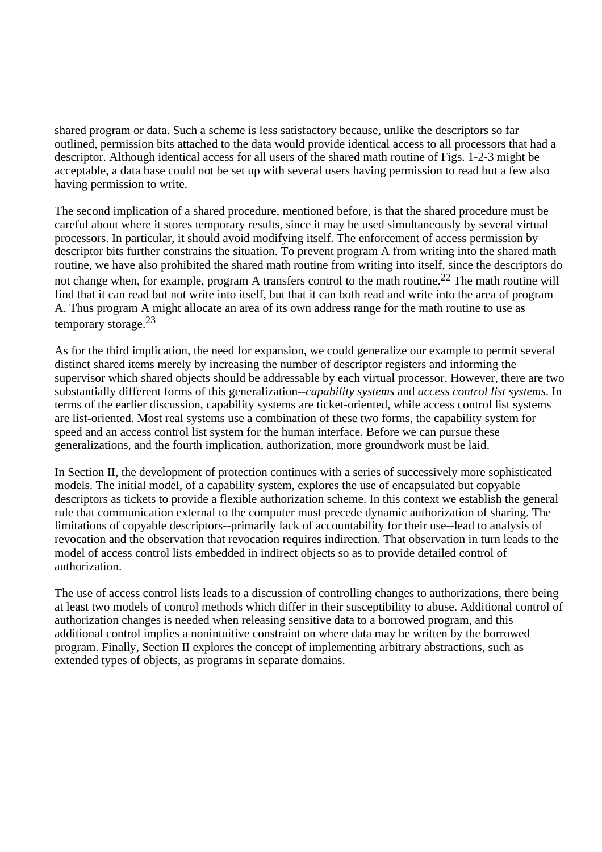shared program or data. Such a scheme is less satisfactory because, unlike the descriptors so far outlined, permission bits attached to the data would provide identical access to all processors that had a descriptor. Although identical access for all users of the shared math routine of Figs. 1-2-3 might be acceptable, a data base could not be set up with several users having permission to read but a few also having permission to write.

The second implication of a shared procedure, mentioned before, is that the shared procedure must be careful about where it stores temporary results, since it may be used simultaneously by several virtual processors. In particular, it should avoid modifying itself. The enforcement of access permission by descriptor bits further constrains the situation. To prevent program A from writing into the shared math routine, we have also prohibited the shared math routine from writing into itself, since the descriptors do not change when, for example, program A transfers control to the math routine.<sup>22</sup> The math routine will find that it can read but not write into itself, but that it can both read and write into the area of program A. Thus program A might allocate an area of its own address range for the math routine to use as temporary storage.<sup>23</sup>

As for the third implication, the need for expansion, we could generalize our example to permit several distinct shared items merely by increasing the number of descriptor registers and informing the supervisor which shared objects should be addressable by each virtual processor. However, there are two substantially different forms of this generalization--*capability systems* and *access control list systems*. In terms of the earlier discussion, capability systems are ticket-oriented, while access control list systems are list-oriented. Most real systems use a combination of these two forms, the capability system for speed and an access control list system for the human interface. Before we can pursue these generalizations, and the fourth implication, authorization, more groundwork must be laid.

In Section II, the development of protection continues with a series of successively more sophisticated models. The initial model, of a capability system, explores the use of encapsulated but copyable descriptors as tickets to provide a flexible authorization scheme. In this context we establish the general rule that communication external to the computer must precede dynamic authorization of sharing. The limitations of copyable descriptors--primarily lack of accountability for their use--lead to analysis of revocation and the observation that revocation requires indirection. That observation in turn leads to the model of access control lists embedded in indirect objects so as to provide detailed control of authorization.

The use of access control lists leads to a discussion of controlling changes to authorizations, there being at least two models of control methods which differ in their susceptibility to abuse. Additional control of authorization changes is needed when releasing sensitive data to a borrowed program, and this additional control implies a nonintuitive constraint on where data may be written by the borrowed program. Finally, Section II explores the concept of implementing arbitrary abstractions, such as extended types of objects, as programs in separate domains.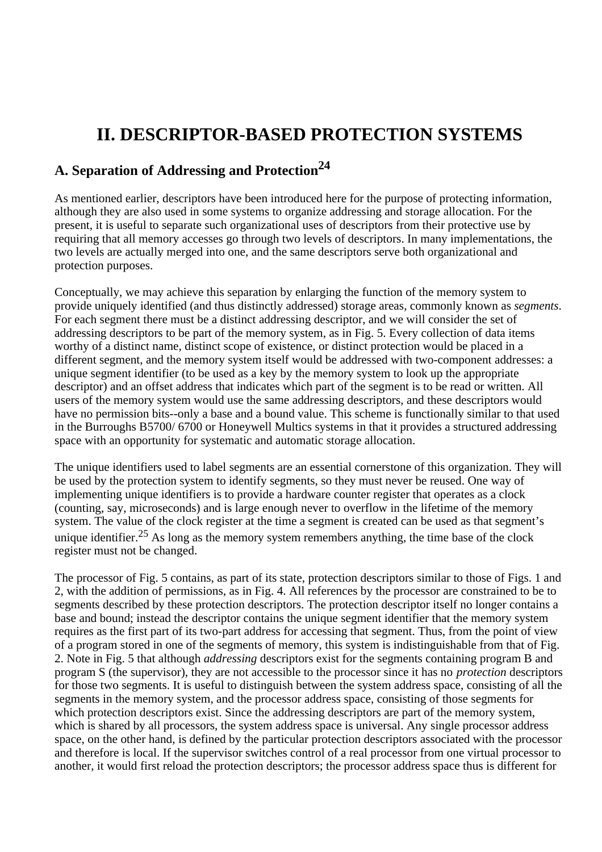## **II. DESCRIPTOR-BASED PROTECTION SYSTEMS**

## **A. Separation of Addressing and Protection<sup>24</sup>**

As mentioned earlier, descriptors have been introduced here for the purpose of protecting information, although they are also used in some systems to organize addressing and storage allocation. For the present, it is useful to separate such organizational uses of descriptors from their protective use by requiring that all memory accesses go through two levels of descriptors. In many implementations, the two levels are actually merged into one, and the same descriptors serve both organizational and protection purposes.

Conceptually, we may achieve this separation by enlarging the function of the memory system to provide uniquely identified (and thus distinctly addressed) storage areas, commonly known as *segments*. For each segment there must be a distinct addressing descriptor, and we will consider the set of addressing descriptors to be part of the memory system, as in Fig. 5. Every collection of data items worthy of a distinct name, distinct scope of existence, or distinct protection would be placed in a different segment, and the memory system itself would be addressed with two-component addresses: a unique segment identifier (to be used as a key by the memory system to look up the appropriate descriptor) and an offset address that indicates which part of the segment is to be read or written. All users of the memory system would use the same addressing descriptors, and these descriptors would have no permission bits--only a base and a bound value. This scheme is functionally similar to that used in the Burroughs B5700/ 6700 or Honeywell Multics systems in that it provides a structured addressing space with an opportunity for systematic and automatic storage allocation.

The unique identifiers used to label segments are an essential cornerstone of this organization. They will be used by the protection system to identify segments, so they must never be reused. One way of implementing unique identifiers is to provide a hardware counter register that operates as a clock (counting, say, microseconds) and is large enough never to overflow in the lifetime of the memory system. The value of the clock register at the time a segment is created can be used as that segment's unique identifier.<sup>25</sup> As long as the memory system remembers anything, the time base of the clock register must not be changed.

The processor of Fig. 5 contains, as part of its state, protection descriptors similar to those of Figs. 1 and 2, with the addition of permissions, as in Fig. 4. All references by the processor are constrained to be to segments described by these protection descriptors. The protection descriptor itself no longer contains a base and bound; instead the descriptor contains the unique segment identifier that the memory system requires as the first part of its two-part address for accessing that segment. Thus, from the point of view of a program stored in one of the segments of memory, this system is indistinguishable from that of Fig. 2. Note in Fig. 5 that although *addressing* descriptors exist for the segments containing program B and program S (the supervisor), they are not accessible to the processor since it has no *protection* descriptors for those two segments. It is useful to distinguish between the system address space, consisting of all the segments in the memory system, and the processor address space, consisting of those segments for which protection descriptors exist. Since the addressing descriptors are part of the memory system, which is shared by all processors, the system address space is universal. Any single processor address space, on the other hand, is defined by the particular protection descriptors associated with the processor and therefore is local. If the supervisor switches control of a real processor from one virtual processor to another, it would first reload the protection descriptors; the processor address space thus is different for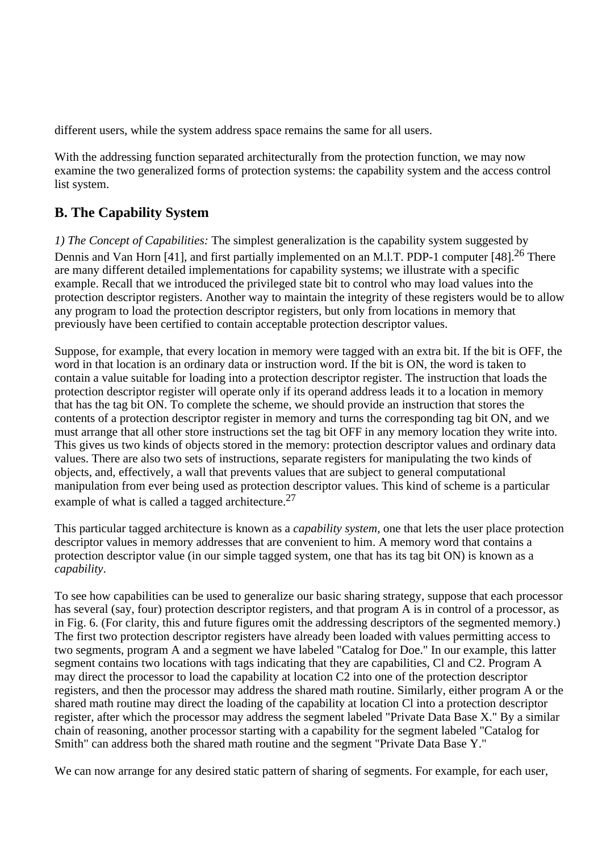different users, while the system address space remains the same for all users.

With the addressing function separated architecturally from the protection function, we may now examine the two generalized forms of protection systems: the capability system and the access control list system.

## **B. The Capability System**

*1) The Concept of Capabilities:* The simplest generalization is the capability system suggested by Dennis and Van Horn [41], and first partially implemented on an M.l.T. PDP-1 computer [48].<sup>26</sup> There are many different detailed implementations for capability systems; we illustrate with a specific example. Recall that we introduced the privileged state bit to control who may load values into the protection descriptor registers. Another way to maintain the integrity of these registers would be to allow any program to load the protection descriptor registers, but only from locations in memory that previously have been certified to contain acceptable protection descriptor values.

Suppose, for example, that every location in memory were tagged with an extra bit. If the bit is OFF, the word in that location is an ordinary data or instruction word. If the bit is ON, the word is taken to contain a value suitable for loading into a protection descriptor register. The instruction that loads the protection descriptor register will operate only if its operand address leads it to a location in memory that has the tag bit ON. To complete the scheme, we should provide an instruction that stores the contents of a protection descriptor register in memory and turns the corresponding tag bit ON, and we must arrange that all other store instructions set the tag bit OFF in any memory location they write into. This gives us two kinds of objects stored in the memory: protection descriptor values and ordinary data values. There are also two sets of instructions, separate registers for manipulating the two kinds of objects, and, effectively, a wall that prevents values that are subject to general computational manipulation from ever being used as protection descriptor values. This kind of scheme is a particular example of what is called a tagged architecture.<sup>27</sup>

This particular tagged architecture is known as a *capability system,* one that lets the user place protection descriptor values in memory addresses that are convenient to him. A memory word that contains a protection descriptor value (in our simple tagged system, one that has its tag bit ON) is known as a *capability*.

To see how capabilities can be used to generalize our basic sharing strategy, suppose that each processor has several (say, four) protection descriptor registers, and that program A is in control of a processor, as in Fig. 6. (For clarity, this and future figures omit the addressing descriptors of the segmented memory.) The first two protection descriptor registers have already been loaded with values permitting access to two segments, program A and a segment we have labeled "Catalog for Doe." In our example, this latter segment contains two locations with tags indicating that they are capabilities, Cl and C2. Program A may direct the processor to load the capability at location C2 into one of the protection descriptor registers, and then the processor may address the shared math routine. Similarly, either program A or the shared math routine may direct the loading of the capability at location Cl into a protection descriptor register, after which the processor may address the segment labeled "Private Data Base X." By a similar chain of reasoning, another processor starting with a capability for the segment labeled "Catalog for Smith" can address both the shared math routine and the segment "Private Data Base Y."

We can now arrange for any desired static pattern of sharing of segments. For example, for each user,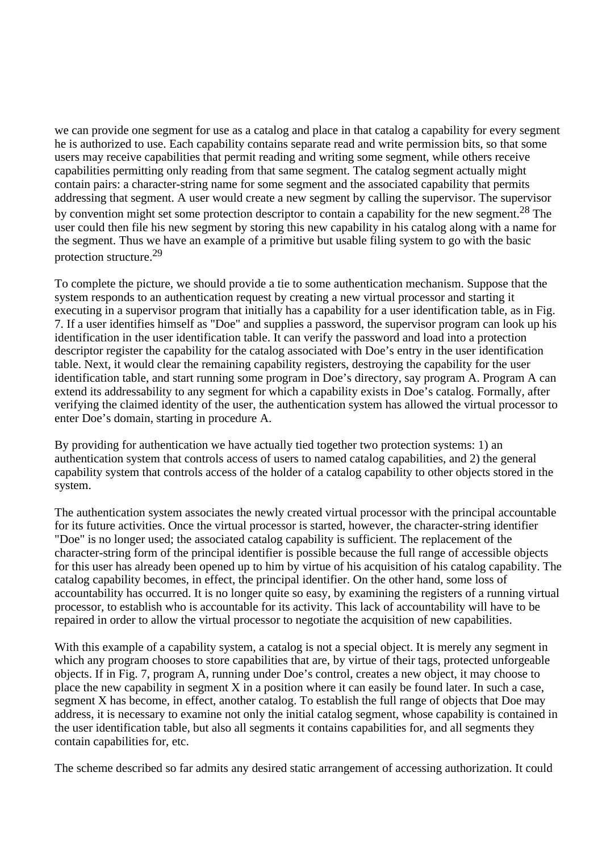we can provide one segment for use as a catalog and place in that catalog a capability for every segment he is authorized to use. Each capability contains separate read and write permission bits, so that some users may receive capabilities that permit reading and writing some segment, while others receive capabilities permitting only reading from that same segment. The catalog segment actually might contain pairs: a character-string name for some segment and the associated capability that permits addressing that segment. A user would create a new segment by calling the supervisor. The supervisor by convention might set some protection descriptor to contain a capability for the new segment.28 The user could then file his new segment by storing this new capability in his catalog along with a name for the segment. Thus we have an example of a primitive but usable filing system to go with the basic protection structure.<sup>29</sup>

To complete the picture, we should provide a tie to some authentication mechanism. Suppose that the system responds to an authentication request by creating a new virtual processor and starting it executing in a supervisor program that initially has a capability for a user identification table, as in Fig. 7. If a user identifies himself as "Doe" and supplies a password, the supervisor program can look up his identification in the user identification table. It can verify the password and load into a protection descriptor register the capability for the catalog associated with Doe's entry in the user identification table. Next, it would clear the remaining capability registers, destroying the capability for the user identification table, and start running some program in Doe's directory, say program A. Program A can extend its addressability to any segment for which a capability exists in Doe's catalog. Formally, after verifying the claimed identity of the user, the authentication system has allowed the virtual processor to enter Doe's domain, starting in procedure A.

By providing for authentication we have actually tied together two protection systems: 1) an authentication system that controls access of users to named catalog capabilities, and 2) the general capability system that controls access of the holder of a catalog capability to other objects stored in the system.

The authentication system associates the newly created virtual processor with the principal accountable for its future activities. Once the virtual processor is started, however, the character-string identifier "Doe" is no longer used; the associated catalog capability is sufficient. The replacement of the character-string form of the principal identifier is possible because the full range of accessible objects for this user has already been opened up to him by virtue of his acquisition of his catalog capability. The catalog capability becomes, in effect, the principal identifier. On the other hand, some loss of accountability has occurred. It is no longer quite so easy, by examining the registers of a running virtual processor, to establish who is accountable for its activity. This lack of accountability will have to be repaired in order to allow the virtual processor to negotiate the acquisition of new capabilities.

With this example of a capability system, a catalog is not a special object. It is merely any segment in which any program chooses to store capabilities that are, by virtue of their tags, protected unforgeable objects. If in Fig. 7, program A, running under Doe's control, creates a new object, it may choose to place the new capability in segment X in a position where it can easily be found later. In such a case, segment X has become, in effect, another catalog. To establish the full range of objects that Doe may address, it is necessary to examine not only the initial catalog segment, whose capability is contained in the user identification table, but also all segments it contains capabilities for, and all segments they contain capabilities for, etc.

The scheme described so far admits any desired static arrangement of accessing authorization. It could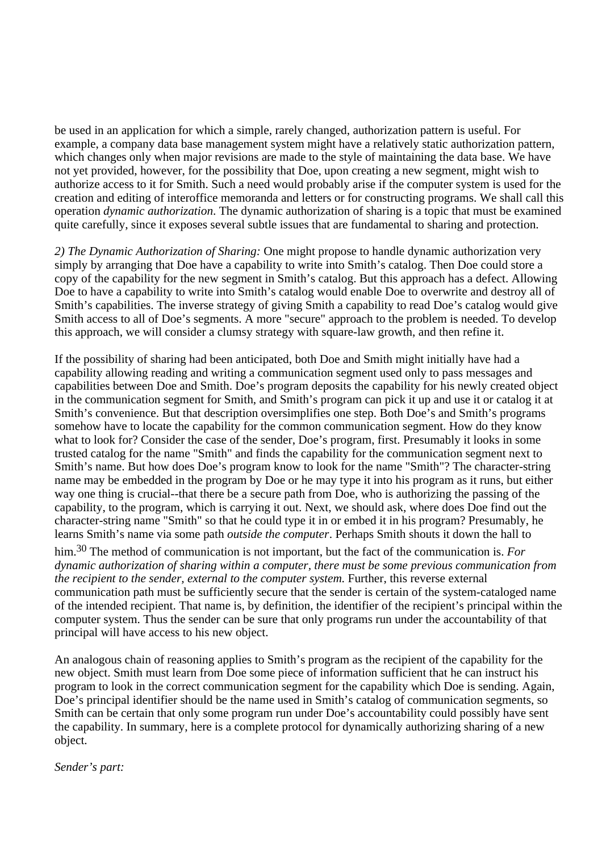be used in an application for which a simple, rarely changed, authorization pattern is useful. For example, a company data base management system might have a relatively static authorization pattern, which changes only when major revisions are made to the style of maintaining the data base. We have not yet provided, however, for the possibility that Doe, upon creating a new segment, might wish to authorize access to it for Smith. Such a need would probably arise if the computer system is used for the creation and editing of interoffice memoranda and letters or for constructing programs. We shall call this operation *dynamic authorization*. The dynamic authorization of sharing is a topic that must be examined quite carefully, since it exposes several subtle issues that are fundamental to sharing and protection.

*2) The Dynamic Authorization of Sharing:* One might propose to handle dynamic authorization very simply by arranging that Doe have a capability to write into Smith's catalog. Then Doe could store a copy of the capability for the new segment in Smith's catalog. But this approach has a defect. Allowing Doe to have a capability to write into Smith's catalog would enable Doe to overwrite and destroy all of Smith's capabilities. The inverse strategy of giving Smith a capability to read Doe's catalog would give Smith access to all of Doe's segments. A more "secure" approach to the problem is needed. To develop this approach, we will consider a clumsy strategy with square-law growth, and then refine it.

If the possibility of sharing had been anticipated, both Doe and Smith might initially have had a capability allowing reading and writing a communication segment used only to pass messages and capabilities between Doe and Smith. Doe's program deposits the capability for his newly created object in the communication segment for Smith, and Smith's program can pick it up and use it or catalog it at Smith's convenience. But that description oversimplifies one step. Both Doe's and Smith's programs somehow have to locate the capability for the common communication segment. How do they know what to look for? Consider the case of the sender, Doe's program, first. Presumably it looks in some trusted catalog for the name "Smith" and finds the capability for the communication segment next to Smith's name. But how does Doe's program know to look for the name "Smith"? The character-string name may be embedded in the program by Doe or he may type it into his program as it runs, but either way one thing is crucial--that there be a secure path from Doe, who is authorizing the passing of the capability, to the program, which is carrying it out. Next, we should ask, where does Doe find out the character-string name "Smith" so that he could type it in or embed it in his program? Presumably, he learns Smith's name via some path *outside the computer*. Perhaps Smith shouts it down the hall to

him.30 The method of communication is not important, but the fact of the communication is. *For dynamic authorization of sharing within a computer, there must be some previous communication from the recipient to the sender, external to the computer system.* Further, this reverse external communication path must be sufficiently secure that the sender is certain of the system-cataloged name of the intended recipient. That name is, by definition, the identifier of the recipient's principal within the computer system. Thus the sender can be sure that only programs run under the accountability of that principal will have access to his new object.

An analogous chain of reasoning applies to Smith's program as the recipient of the capability for the new object. Smith must learn from Doe some piece of information sufficient that he can instruct his program to look in the correct communication segment for the capability which Doe is sending. Again, Doe's principal identifier should be the name used in Smith's catalog of communication segments, so Smith can be certain that only some program run under Doe's accountability could possibly have sent the capability. In summary, here is a complete protocol for dynamically authorizing sharing of a new object.

*Sender's part:*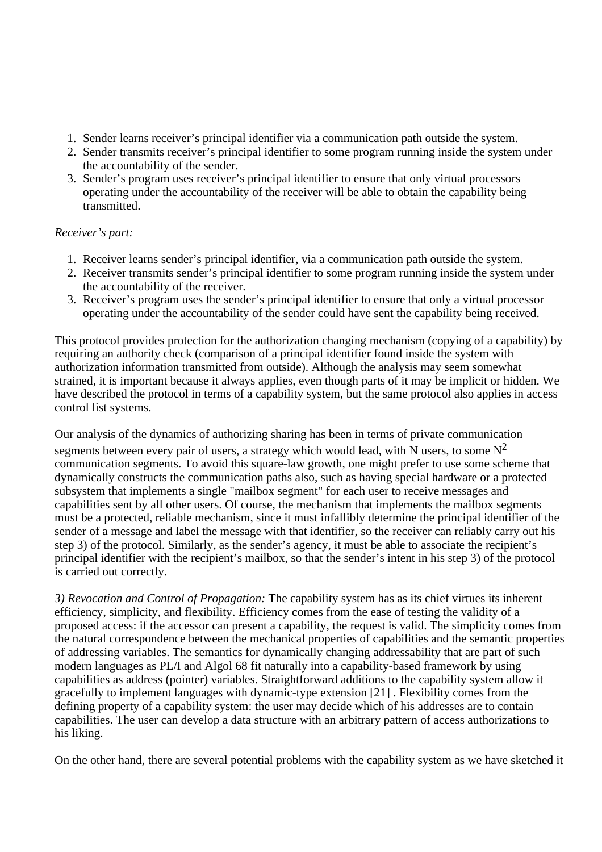- 1. Sender learns receiver's principal identifier via a communication path outside the system.
- 2. Sender transmits receiver's principal identifier to some program running inside the system under the accountability of the sender.
- 3. Sender's program uses receiver's principal identifier to ensure that only virtual processors operating under the accountability of the receiver will be able to obtain the capability being transmitted.

### *Receiver's part:*

- 1. Receiver learns sender's principal identifier, via a communication path outside the system.
- 2. Receiver transmits sender's principal identifier to some program running inside the system under the accountability of the receiver.
- 3. Receiver's program uses the sender's principal identifier to ensure that only a virtual processor operating under the accountability of the sender could have sent the capability being received.

This protocol provides protection for the authorization changing mechanism (copying of a capability) by requiring an authority check (comparison of a principal identifier found inside the system with authorization information transmitted from outside). Although the analysis may seem somewhat strained, it is important because it always applies, even though parts of it may be implicit or hidden. We have described the protocol in terms of a capability system, but the same protocol also applies in access control list systems.

Our analysis of the dynamics of authorizing sharing has been in terms of private communication segments between every pair of users, a strategy which would lead, with N users, to some  $N^2$ communication segments. To avoid this square-law growth, one might prefer to use some scheme that dynamically constructs the communication paths also, such as having special hardware or a protected subsystem that implements a single "mailbox segment" for each user to receive messages and capabilities sent by all other users. Of course, the mechanism that implements the mailbox segments must be a protected, reliable mechanism, since it must infallibly determine the principal identifier of the sender of a message and label the message with that identifier, so the receiver can reliably carry out his step 3) of the protocol. Similarly, as the sender's agency, it must be able to associate the recipient's principal identifier with the recipient's mailbox, so that the sender's intent in his step 3) of the protocol is carried out correctly.

*3) Revocation and Control of Propagation:* The capability system has as its chief virtues its inherent efficiency, simplicity, and flexibility. Efficiency comes from the ease of testing the validity of a proposed access: if the accessor can present a capability, the request is valid. The simplicity comes from the natural correspondence between the mechanical properties of capabilities and the semantic properties of addressing variables. The semantics for dynamically changing addressability that are part of such modern languages as PL/I and Algol 68 fit naturally into a capability-based framework by using capabilities as address (pointer) variables. Straightforward additions to the capability system allow it gracefully to implement languages with dynamic-type extension [21] . Flexibility comes from the defining property of a capability system: the user may decide which of his addresses are to contain capabilities. The user can develop a data structure with an arbitrary pattern of access authorizations to his liking.

On the other hand, there are several potential problems with the capability system as we have sketched it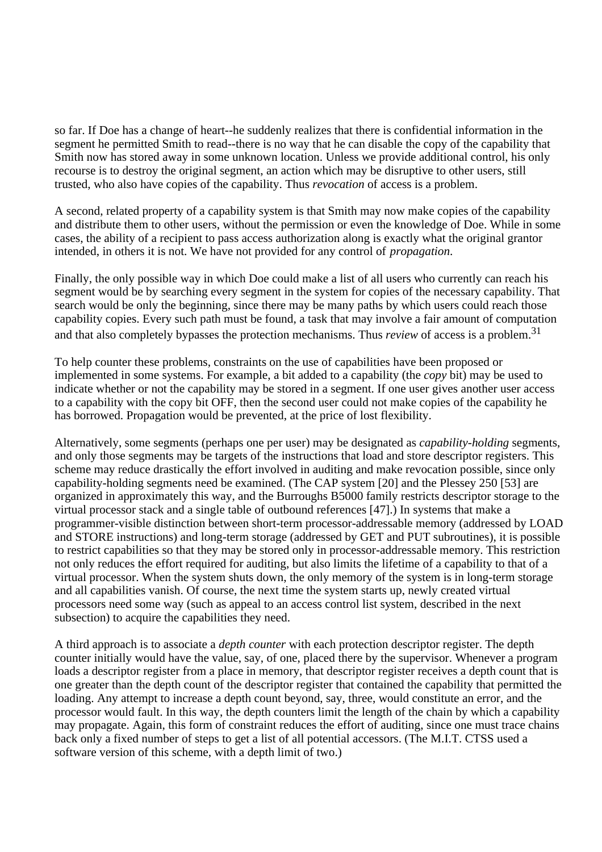so far. If Doe has a change of heart--he suddenly realizes that there is confidential information in the segment he permitted Smith to read--there is no way that he can disable the copy of the capability that Smith now has stored away in some unknown location. Unless we provide additional control, his only recourse is to destroy the original segment, an action which may be disruptive to other users, still trusted, who also have copies of the capability. Thus *revocation* of access is a problem.

A second, related property of a capability system is that Smith may now make copies of the capability and distribute them to other users, without the permission or even the knowledge of Doe. While in some cases, the ability of a recipient to pass access authorization along is exactly what the original grantor intended, in others it is not. We have not provided for any control of *propagation*.

Finally, the only possible way in which Doe could make a list of all users who currently can reach his segment would be by searching every segment in the system for copies of the necessary capability. That search would be only the beginning, since there may be many paths by which users could reach those capability copies. Every such path must be found, a task that may involve a fair amount of computation and that also completely bypasses the protection mechanisms. Thus *review* of access is a problem.<sup>31</sup>

To help counter these problems, constraints on the use of capabilities have been proposed or implemented in some systems. For example, a bit added to a capability (the *copy* bit) may be used to indicate whether or not the capability may be stored in a segment. If one user gives another user access to a capability with the copy bit OFF, then the second user could not make copies of the capability he has borrowed. Propagation would be prevented, at the price of lost flexibility.

Alternatively, some segments (perhaps one per user) may be designated as *capability-holding* segments, and only those segments may be targets of the instructions that load and store descriptor registers. This scheme may reduce drastically the effort involved in auditing and make revocation possible, since only capability-holding segments need be examined. (The CAP system [20] and the Plessey 250 [53] are organized in approximately this way, and the Burroughs B5000 family restricts descriptor storage to the virtual processor stack and a single table of outbound references [47].) In systems that make a programmer-visible distinction between short-term processor-addressable memory (addressed by LOAD and STORE instructions) and long-term storage (addressed by GET and PUT subroutines), it is possible to restrict capabilities so that they may be stored only in processor-addressable memory. This restriction not only reduces the effort required for auditing, but also limits the lifetime of a capability to that of a virtual processor. When the system shuts down, the only memory of the system is in long-term storage and all capabilities vanish. Of course, the next time the system starts up, newly created virtual processors need some way (such as appeal to an access control list system, described in the next subsection) to acquire the capabilities they need.

A third approach is to associate a *depth counter* with each protection descriptor register. The depth counter initially would have the value, say, of one, placed there by the supervisor. Whenever a program loads a descriptor register from a place in memory, that descriptor register receives a depth count that is one greater than the depth count of the descriptor register that contained the capability that permitted the loading. Any attempt to increase a depth count beyond, say, three, would constitute an error, and the processor would fault. In this way, the depth counters limit the length of the chain by which a capability may propagate. Again, this form of constraint reduces the effort of auditing, since one must trace chains back only a fixed number of steps to get a list of all potential accessors. (The M.I.T. CTSS used a software version of this scheme, with a depth limit of two.)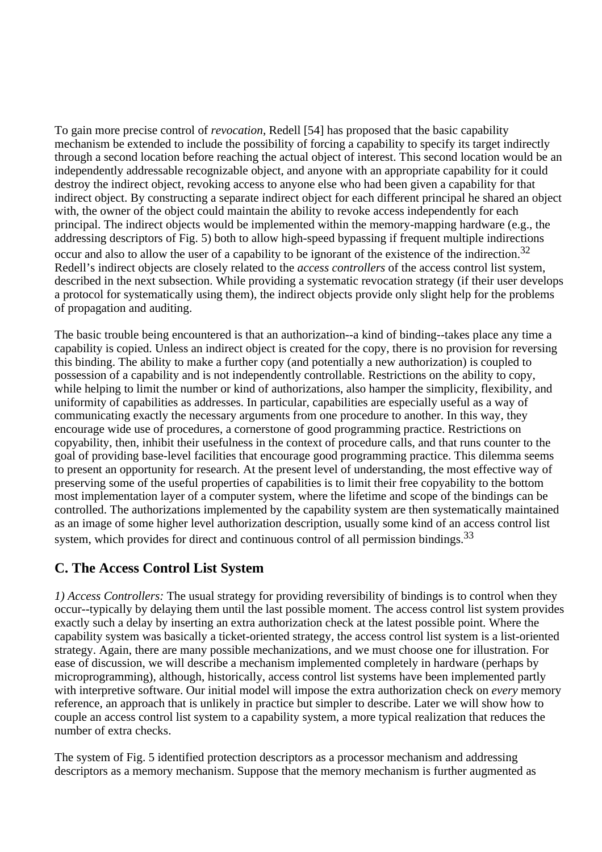To gain more precise control of *revocation*, Redell [54] has proposed that the basic capability mechanism be extended to include the possibility of forcing a capability to specify its target indirectly through a second location before reaching the actual object of interest. This second location would be an independently addressable recognizable object, and anyone with an appropriate capability for it could destroy the indirect object, revoking access to anyone else who had been given a capability for that indirect object. By constructing a separate indirect object for each different principal he shared an object with, the owner of the object could maintain the ability to revoke access independently for each principal. The indirect objects would be implemented within the memory-mapping hardware (e.g., the addressing descriptors of Fig. 5) both to allow high-speed bypassing if frequent multiple indirections occur and also to allow the user of a capability to be ignorant of the existence of the indirection.<sup>32</sup> Redell's indirect objects are closely related to the *access controllers* of the access control list system, described in the next subsection. While providing a systematic revocation strategy (if their user develops a protocol for systematically using them), the indirect objects provide only slight help for the problems of propagation and auditing.

The basic trouble being encountered is that an authorization--a kind of binding--takes place any time a capability is copied. Unless an indirect object is created for the copy, there is no provision for reversing this binding. The ability to make a further copy (and potentially a new authorization) is coupled to possession of a capability and is not independently controllable. Restrictions on the ability to copy, while helping to limit the number or kind of authorizations, also hamper the simplicity, flexibility, and uniformity of capabilities as addresses. In particular, capabilities are especially useful as a way of communicating exactly the necessary arguments from one procedure to another. In this way, they encourage wide use of procedures, a cornerstone of good programming practice. Restrictions on copyability, then, inhibit their usefulness in the context of procedure calls, and that runs counter to the goal of providing base-level facilities that encourage good programming practice. This dilemma seems to present an opportunity for research. At the present level of understanding, the most effective way of preserving some of the useful properties of capabilities is to limit their free copyability to the bottom most implementation layer of a computer system, where the lifetime and scope of the bindings can be controlled. The authorizations implemented by the capability system are then systematically maintained as an image of some higher level authorization description, usually some kind of an access control list system, which provides for direct and continuous control of all permission bindings.<sup>33</sup>

## **C. The Access Control List System**

*1) Access Controllers:* The usual strategy for providing reversibility of bindings is to control when they occur--typically by delaying them until the last possible moment. The access control list system provides exactly such a delay by inserting an extra authorization check at the latest possible point. Where the capability system was basically a ticket-oriented strategy, the access control list system is a list-oriented strategy. Again, there are many possible mechanizations, and we must choose one for illustration. For ease of discussion, we will describe a mechanism implemented completely in hardware (perhaps by microprogramming), although, historically, access control list systems have been implemented partly with interpretive software. Our initial model will impose the extra authorization check on *every* memory reference, an approach that is unlikely in practice but simpler to describe. Later we will show how to couple an access control list system to a capability system, a more typical realization that reduces the number of extra checks.

The system of Fig. 5 identified protection descriptors as a processor mechanism and addressing descriptors as a memory mechanism. Suppose that the memory mechanism is further augmented as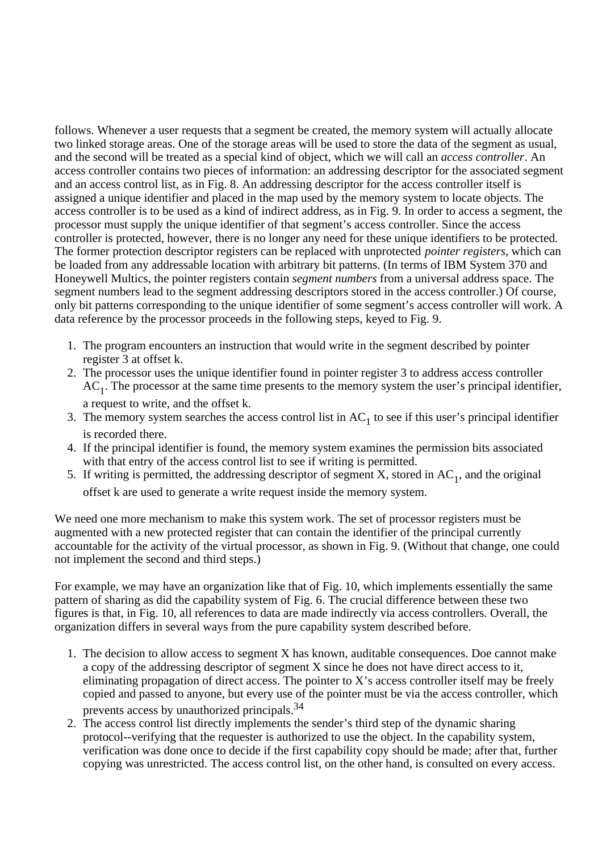follows. Whenever a user requests that a segment be created, the memory system will actually allocate two linked storage areas. One of the storage areas will be used to store the data of the segment as usual, and the second will be treated as a special kind of object, which we will call an *access controller*. An access controller contains two pieces of information: an addressing descriptor for the associated segment and an access control list, as in Fig. 8. An addressing descriptor for the access controller itself is assigned a unique identifier and placed in the map used by the memory system to locate objects. The access controller is to be used as a kind of indirect address, as in Fig. 9. In order to access a segment, the processor must supply the unique identifier of that segment's access controller. Since the access controller is protected, however, there is no longer any need for these unique identifiers to be protected. The former protection descriptor registers can be replaced with unprotected *pointer registers*, which can be loaded from any addressable location with arbitrary bit patterns. (In terms of IBM System 370 and Honeywell Multics, the pointer registers contain *segment numbers* from a universal address space. The segment numbers lead to the segment addressing descriptors stored in the access controller.) Of course, only bit patterns corresponding to the unique identifier of some segment's access controller will work. A data reference by the processor proceeds in the following steps, keyed to Fig. 9.

- 1. The program encounters an instruction that would write in the segment described by pointer register 3 at offset k.
- 2. The processor uses the unique identifier found in pointer register 3 to address access controller  $AC<sub>1</sub>$ . The processor at the same time presents to the memory system the user's principal identifier, a request to write, and the offset k.
- 3. The memory system searches the access control list in  $AC<sub>1</sub>$  to see if this user's principal identifier is recorded there.
- 4. If the principal identifier is found, the memory system examines the permission bits associated with that entry of the access control list to see if writing is permitted.
- 5. If writing is permitted, the addressing descriptor of segment X, stored in  $AC<sub>1</sub>$ , and the original offset k are used to generate a write request inside the memory system.

We need one more mechanism to make this system work. The set of processor registers must be augmented with a new protected register that can contain the identifier of the principal currently accountable for the activity of the virtual processor, as shown in Fig. 9. (Without that change, one could not implement the second and third steps.)

For example, we may have an organization like that of Fig. 10, which implements essentially the same pattern of sharing as did the capability system of Fig. 6. The crucial difference between these two figures is that, in Fig. 10, all references to data are made indirectly via access controllers. Overall, the organization differs in several ways from the pure capability system described before.

- 1. The decision to allow access to segment X has known, auditable consequences. Doe cannot make a copy of the addressing descriptor of segment X since he does not have direct access to it, eliminating propagation of direct access. The pointer to X's access controller itself may be freely copied and passed to anyone, but every use of the pointer must be via the access controller, which prevents access by unauthorized principals.<sup>34</sup>
- 2. The access control list directly implements the sender's third step of the dynamic sharing protocol--verifying that the requester is authorized to use the object. In the capability system, verification was done once to decide if the first capability copy should be made; after that, further copying was unrestricted. The access control list, on the other hand, is consulted on every access.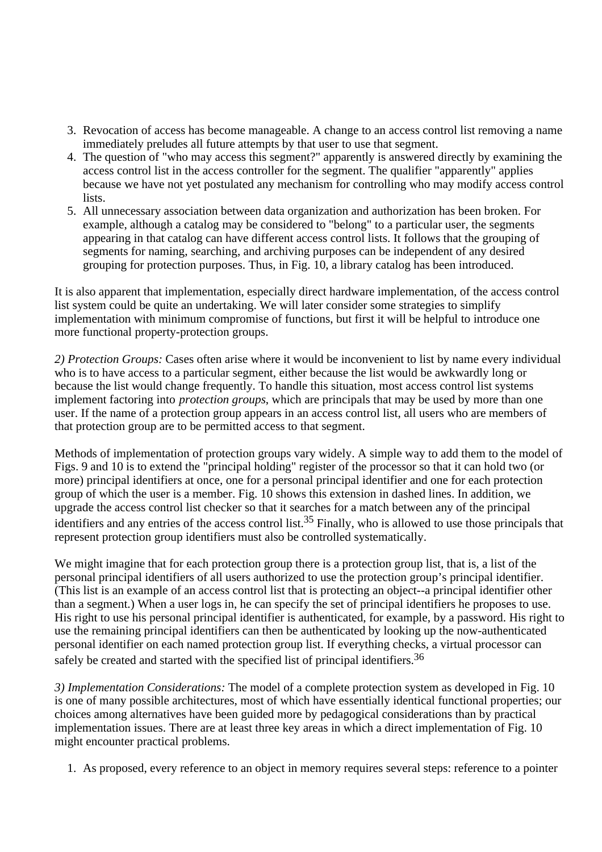- 3. Revocation of access has become manageable. A change to an access control list removing a name immediately preludes all future attempts by that user to use that segment.
- 4. The question of "who may access this segment?" apparently is answered directly by examining the access control list in the access controller for the segment. The qualifier "apparently" applies because we have not yet postulated any mechanism for controlling who may modify access control lists.
- 5. All unnecessary association between data organization and authorization has been broken. For example, although a catalog may be considered to "belong" to a particular user, the segments appearing in that catalog can have different access control lists. It follows that the grouping of segments for naming, searching, and archiving purposes can be independent of any desired grouping for protection purposes. Thus, in Fig. 10, a library catalog has been introduced.

It is also apparent that implementation, especially direct hardware implementation, of the access control list system could be quite an undertaking. We will later consider some strategies to simplify implementation with minimum compromise of functions, but first it will be helpful to introduce one more functional property-protection groups.

*2) Protection Groups:* Cases often arise where it would be inconvenient to list by name every individual who is to have access to a particular segment, either because the list would be awkwardly long or because the list would change frequently. To handle this situation, most access control list systems implement factoring into *protection groups*, which are principals that may be used by more than one user. If the name of a protection group appears in an access control list, all users who are members of that protection group are to be permitted access to that segment.

Methods of implementation of protection groups vary widely. A simple way to add them to the model of Figs. 9 and 10 is to extend the "principal holding" register of the processor so that it can hold two (or more) principal identifiers at once, one for a personal principal identifier and one for each protection group of which the user is a member. Fig. 10 shows this extension in dashed lines. In addition, we upgrade the access control list checker so that it searches for a match between any of the principal identifiers and any entries of the access control list.<sup>35</sup> Finally, who is allowed to use those principals that represent protection group identifiers must also be controlled systematically.

We might imagine that for each protection group there is a protection group list, that is, a list of the personal principal identifiers of all users authorized to use the protection group's principal identifier. (This list is an example of an access control list that is protecting an object--a principal identifier other than a segment.) When a user logs in, he can specify the set of principal identifiers he proposes to use. His right to use his personal principal identifier is authenticated, for example, by a password. His right to use the remaining principal identifiers can then be authenticated by looking up the now-authenticated personal identifier on each named protection group list. If everything checks, a virtual processor can safely be created and started with the specified list of principal identifiers.<sup>36</sup>

*3) Implementation Considerations:* The model of a complete protection system as developed in Fig. 10 is one of many possible architectures, most of which have essentially identical functional properties; our choices among alternatives have been guided more by pedagogical considerations than by practical implementation issues. There are at least three key areas in which a direct implementation of Fig. 10 might encounter practical problems.

1. As proposed, every reference to an object in memory requires several steps: reference to a pointer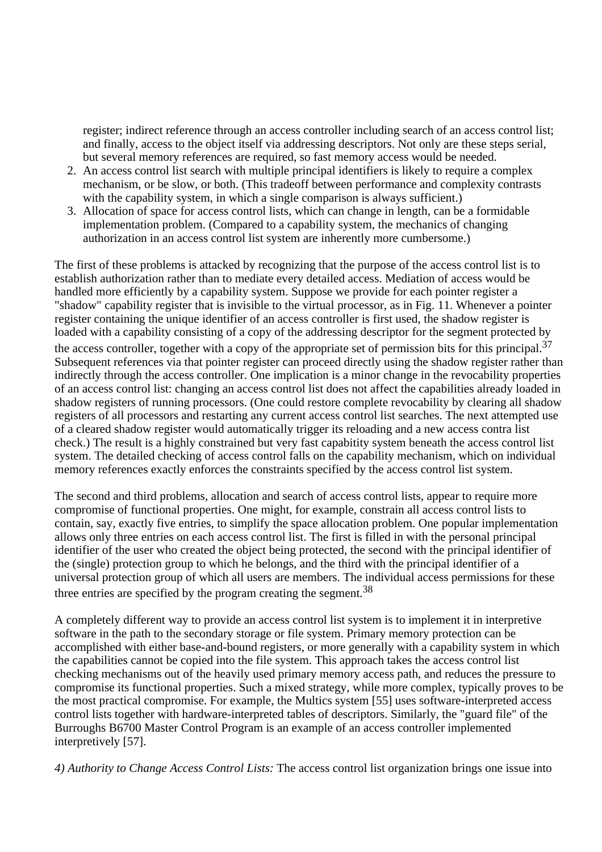register; indirect reference through an access controller including search of an access control list; and finally, access to the object itself via addressing descriptors. Not only are these steps serial, but several memory references are required, so fast memory access would be needed.

- 2. An access control list search with multiple principal identifiers is likely to require a complex mechanism, or be slow, or both. (This tradeoff between performance and complexity contrasts with the capability system, in which a single comparison is always sufficient.)
- 3. Allocation of space for access control lists, which can change in length, can be a formidable implementation problem. (Compared to a capability system, the mechanics of changing authorization in an access control list system are inherently more cumbersome.)

The first of these problems is attacked by recognizing that the purpose of the access control list is to establish authorization rather than to mediate every detailed access. Mediation of access would be handled more efficiently by a capability system. Suppose we provide for each pointer register a "shadow" capability register that is invisible to the virtual processor, as in Fig. 11. Whenever a pointer register containing the unique identifier of an access controller is first used, the shadow register is loaded with a capability consisting of a copy of the addressing descriptor for the segment protected by the access controller, together with a copy of the appropriate set of permission bits for this principal.<sup>37</sup> Subsequent references via that pointer register can proceed directly using the shadow register rather than indirectly through the access controller. One implication is a minor change in the revocability properties of an access control list: changing an access control list does not affect the capabilities already loaded in shadow registers of running processors. (One could restore complete revocability by clearing all shadow registers of all processors and restarting any current access control list searches. The next attempted use of a cleared shadow register would automatically trigger its reloading and a new access contra list check.) The result is a highly constrained but very fast capabitity system beneath the access control list system. The detailed checking of access control falls on the capability mechanism, which on individual memory references exactly enforces the constraints specified by the access control list system.

The second and third problems, allocation and search of access control lists, appear to require more compromise of functional properties. One might, for example, constrain all access control lists to contain, say, exactly five entries, to simplify the space allocation problem. One popular implementation allows only three entries on each access control list. The first is filled in with the personal principal identifier of the user who created the object being protected, the second with the principal identifier of the (single) protection group to which he belongs, and the third with the principal identifier of a universal protection group of which all users are members. The individual access permissions for these three entries are specified by the program creating the segment.<sup>38</sup>

A completely different way to provide an access control list system is to implement it in interpretive software in the path to the secondary storage or file system. Primary memory protection can be accomplished with either base-and-bound registers, or more generally with a capability system in which the capabilities cannot be copied into the file system. This approach takes the access control list checking mechanisms out of the heavily used primary memory access path, and reduces the pressure to compromise its functional properties. Such a mixed strategy, while more complex, typically proves to be the most practical compromise. For example, the Multics system [55] uses software-interpreted access control lists together with hardware-interpreted tables of descriptors. Similarly, the "guard file" of the Burroughs B6700 Master Control Program is an example of an access controller implemented interpretively [57].

*4) Authority to Change Access Control Lists:* The access control list organization brings one issue into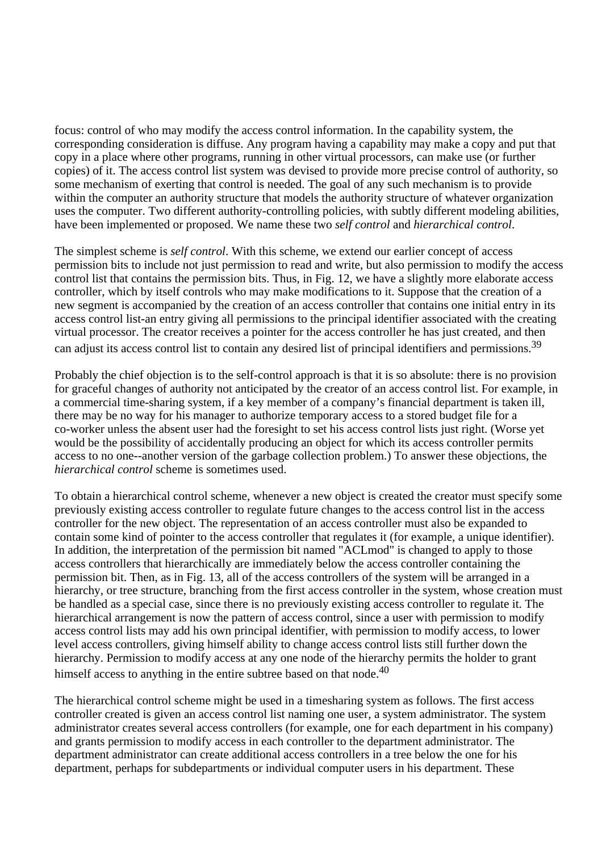focus: control of who may modify the access control information. In the capability system, the corresponding consideration is diffuse. Any program having a capability may make a copy and put that copy in a place where other programs, running in other virtual processors, can make use (or further copies) of it. The access control list system was devised to provide more precise control of authority, so some mechanism of exerting that control is needed. The goal of any such mechanism is to provide within the computer an authority structure that models the authority structure of whatever organization uses the computer. Two different authority-controlling policies, with subtly different modeling abilities, have been implemented or proposed. We name these two *self control* and *hierarchical control*.

The simplest scheme is *self control*. With this scheme, we extend our earlier concept of access permission bits to include not just permission to read and write, but also permission to modify the access control list that contains the permission bits. Thus, in Fig. 12, we have a slightly more elaborate access controller, which by itself controls who may make modifications to it. Suppose that the creation of a new segment is accompanied by the creation of an access controller that contains one initial entry in its access control list-an entry giving all permissions to the principal identifier associated with the creating virtual processor. The creator receives a pointer for the access controller he has just created, and then can adjust its access control list to contain any desired list of principal identifiers and permissions.<sup>39</sup>

Probably the chief objection is to the self-control approach is that it is so absolute: there is no provision for graceful changes of authority not anticipated by the creator of an access control list. For example, in a commercial time-sharing system, if a key member of a company's financial department is taken ill, there may be no way for his manager to authorize temporary access to a stored budget file for a co-worker unless the absent user had the foresight to set his access control lists just right. (Worse yet would be the possibility of accidentally producing an object for which its access controller permits access to no one--another version of the garbage collection problem.) To answer these objections, the *hierarchical control* scheme is sometimes used.

To obtain a hierarchical control scheme, whenever a new object is created the creator must specify some previously existing access controller to regulate future changes to the access control list in the access controller for the new object. The representation of an access controller must also be expanded to contain some kind of pointer to the access controller that regulates it (for example, a unique identifier). In addition, the interpretation of the permission bit named "ACLmod" is changed to apply to those access controllers that hierarchically are immediately below the access controller containing the permission bit. Then, as in Fig. 13, all of the access controllers of the system will be arranged in a hierarchy, or tree structure, branching from the first access controller in the system, whose creation must be handled as a special case, since there is no previously existing access controller to regulate it. The hierarchical arrangement is now the pattern of access control, since a user with permission to modify access control lists may add his own principal identifier, with permission to modify access, to lower level access controllers, giving himself ability to change access control lists still further down the hierarchy. Permission to modify access at any one node of the hierarchy permits the holder to grant himself access to anything in the entire subtree based on that node.<sup>40</sup>

The hierarchical control scheme might be used in a timesharing system as follows. The first access controller created is given an access control list naming one user, a system administrator. The system administrator creates several access controllers (for example, one for each department in his company) and grants permission to modify access in each controller to the department administrator. The department administrator can create additional access controllers in a tree below the one for his department, perhaps for subdepartments or individual computer users in his department. These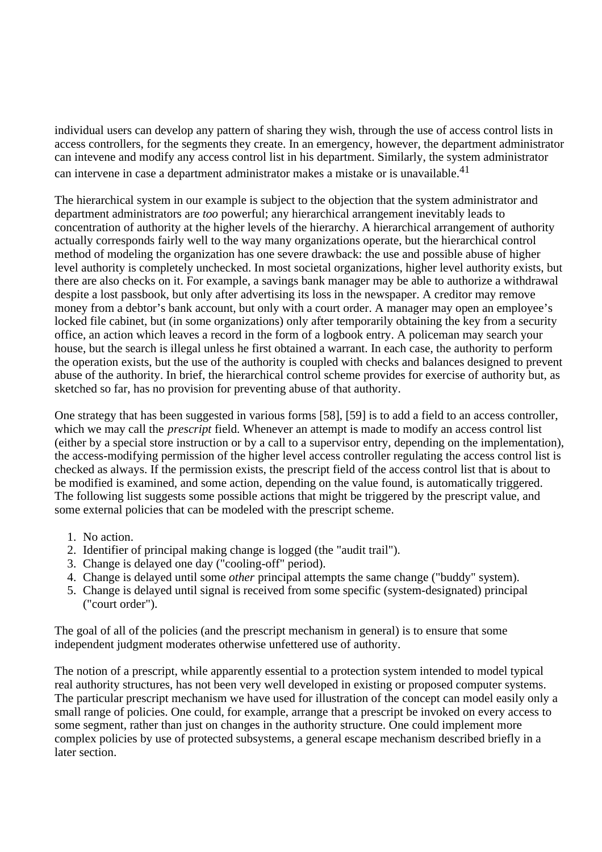individual users can develop any pattern of sharing they wish, through the use of access control lists in access controllers, for the segments they create. In an emergency, however, the department administrator can intevene and modify any access control list in his department. Similarly, the system administrator can intervene in case a department administrator makes a mistake or is unavailable.<sup>41</sup>

The hierarchical system in our example is subject to the objection that the system administrator and department administrators are *too* powerful; any hierarchical arrangement inevitably leads to concentration of authority at the higher levels of the hierarchy. A hierarchical arrangement of authority actually corresponds fairly well to the way many organizations operate, but the hierarchical control method of modeling the organization has one severe drawback: the use and possible abuse of higher level authority is completely unchecked. In most societal organizations, higher level authority exists, but there are also checks on it. For example, a savings bank manager may be able to authorize a withdrawal despite a lost passbook, but only after advertising its loss in the newspaper. A creditor may remove money from a debtor's bank account, but only with a court order. A manager may open an employee's locked file cabinet, but (in some organizations) only after temporarily obtaining the key from a security office, an action which leaves a record in the form of a logbook entry. A policeman may search your house, but the search is illegal unless he first obtained a warrant. In each case, the authority to perform the operation exists, but the use of the authority is coupled with checks and balances designed to prevent abuse of the authority. In brief, the hierarchical control scheme provides for exercise of authority but, as sketched so far, has no provision for preventing abuse of that authority.

One strategy that has been suggested in various forms [58], [59] is to add a field to an access controller, which we may call the *prescript* field. Whenever an attempt is made to modify an access control list (either by a special store instruction or by a call to a supervisor entry, depending on the implementation), the access-modifying permission of the higher level access controller regulating the access control list is checked as always. If the permission exists, the prescript field of the access control list that is about to be modified is examined, and some action, depending on the value found, is automatically triggered. The following list suggests some possible actions that might be triggered by the prescript value, and some external policies that can be modeled with the prescript scheme.

- 1. No action.
- 2. Identifier of principal making change is logged (the "audit trail").
- 3. Change is delayed one day ("cooling-off" period).
- 4. Change is delayed until some *other* principal attempts the same change ("buddy" system).
- 5. Change is delayed until signal is received from some specific (system-designated) principal ("court order").

The goal of all of the policies (and the prescript mechanism in general) is to ensure that some independent judgment moderates otherwise unfettered use of authority.

The notion of a prescript, while apparently essential to a protection system intended to model typical real authority structures, has not been very well developed in existing or proposed computer systems. The particular prescript mechanism we have used for illustration of the concept can model easily only a small range of policies. One could, for example, arrange that a prescript be invoked on every access to some segment, rather than just on changes in the authority structure. One could implement more complex policies by use of protected subsystems, a general escape mechanism described briefly in a later section.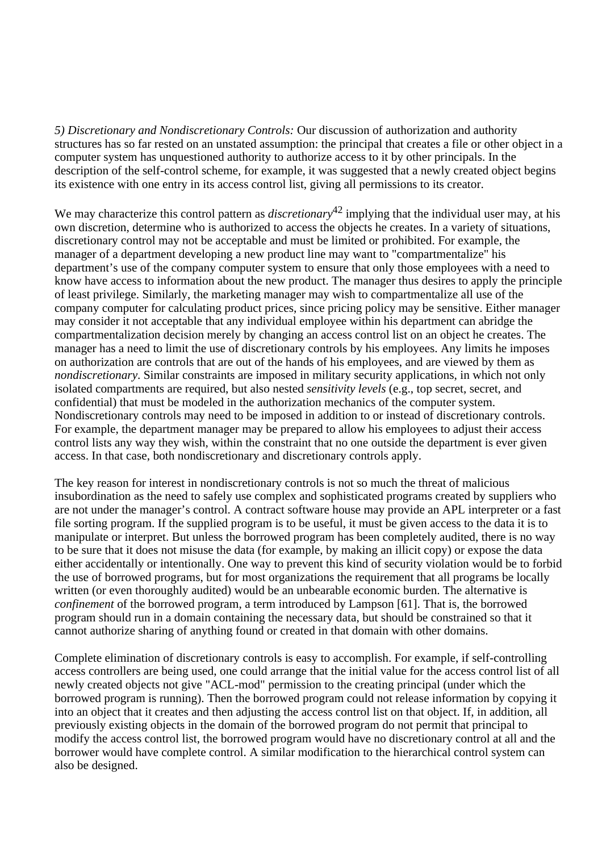*5) Discretionary and Nondiscretionary Controls:* Our discussion of authorization and authority structures has so far rested on an unstated assumption: the principal that creates a file or other object in a computer system has unquestioned authority to authorize access to it by other principals. In the description of the self-control scheme, for example, it was suggested that a newly created object begins its existence with one entry in its access control list, giving all permissions to its creator.

We may characterize this control pattern as *discretionary*<sup>42</sup> implying that the individual user may, at his own discretion, determine who is authorized to access the objects he creates. In a variety of situations, discretionary control may not be acceptable and must be limited or prohibited. For example, the manager of a department developing a new product line may want to "compartmentalize" his department's use of the company computer system to ensure that only those employees with a need to know have access to information about the new product. The manager thus desires to apply the principle of least privilege. Similarly, the marketing manager may wish to compartmentalize all use of the company computer for calculating product prices, since pricing policy may be sensitive. Either manager may consider it not acceptable that any individual employee within his department can abridge the compartmentalization decision merely by changing an access control list on an object he creates. The manager has a need to limit the use of discretionary controls by his employees. Any limits he imposes on authorization are controls that are out of the hands of his employees, and are viewed by them as *nondiscretionary*. Similar constraints are imposed in military security applications, in which not only isolated compartments are required, but also nested *sensitivity levels* (e.g., top secret, secret, and confidential) that must be modeled in the authorization mechanics of the computer system. Nondiscretionary controls may need to be imposed in addition to or instead of discretionary controls. For example, the department manager may be prepared to allow his employees to adjust their access control lists any way they wish, within the constraint that no one outside the department is ever given access. In that case, both nondiscretionary and discretionary controls apply.

The key reason for interest in nondiscretionary controls is not so much the threat of malicious insubordination as the need to safely use complex and sophisticated programs created by suppliers who are not under the manager's control. A contract software house may provide an APL interpreter or a fast file sorting program. If the supplied program is to be useful, it must be given access to the data it is to manipulate or interpret. But unless the borrowed program has been completely audited, there is no way to be sure that it does not misuse the data (for example, by making an illicit copy) or expose the data either accidentally or intentionally. One way to prevent this kind of security violation would be to forbid the use of borrowed programs, but for most organizations the requirement that all programs be locally written (or even thoroughly audited) would be an unbearable economic burden. The alternative is *confinement* of the borrowed program, a term introduced by Lampson [61]. That is, the borrowed program should run in a domain containing the necessary data, but should be constrained so that it cannot authorize sharing of anything found or created in that domain with other domains.

Complete elimination of discretionary controls is easy to accomplish. For example, if self-controlling access controllers are being used, one could arrange that the initial value for the access control list of all newly created objects not give "ACL-mod" permission to the creating principal (under which the borrowed program is running). Then the borrowed program could not release information by copying it into an object that it creates and then adjusting the access control list on that object. If, in addition, all previously existing objects in the domain of the borrowed program do not permit that principal to modify the access control list, the borrowed program would have no discretionary control at all and the borrower would have complete control. A similar modification to the hierarchical control system can also be designed.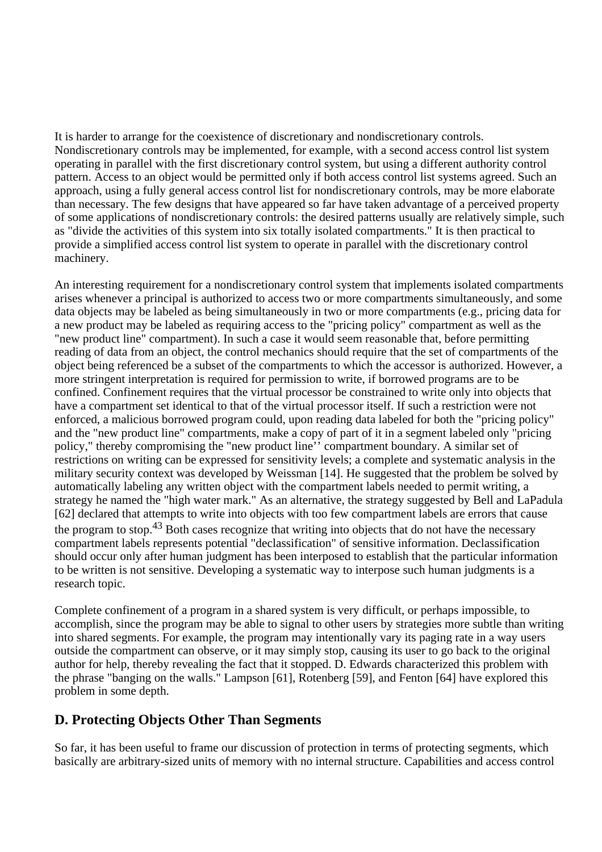It is harder to arrange for the coexistence of discretionary and nondiscretionary controls. Nondiscretionary controls may be implemented, for example, with a second access control list system operating in parallel with the first discretionary control system, but using a different authority control pattern. Access to an object would be permitted only if both access control list systems agreed. Such an approach, using a fully general access control list for nondiscretionary controls, may be more elaborate than necessary. The few designs that have appeared so far have taken advantage of a perceived property of some applications of nondiscretionary controls: the desired patterns usually are relatively simple, such as "divide the activities of this system into six totally isolated compartments." It is then practical to provide a simplified access control list system to operate in parallel with the discretionary control machinery.

An interesting requirement for a nondiscretionary control system that implements isolated compartments arises whenever a principal is authorized to access two or more compartments simultaneously, and some data objects may be labeled as being simultaneously in two or more compartments (e.g., pricing data for a new product may be labeled as requiring access to the "pricing policy" compartment as well as the "new product line" compartment). In such a case it would seem reasonable that, before permitting reading of data from an object, the control mechanics should require that the set of compartments of the object being referenced be a subset of the compartments to which the accessor is authorized. However, a more stringent interpretation is required for permission to write, if borrowed programs are to be confined. Confinement requires that the virtual processor be constrained to write only into objects that have a compartment set identical to that of the virtual processor itself. If such a restriction were not enforced, a malicious borrowed program could, upon reading data labeled for both the "pricing policy" and the "new product line" compartments, make a copy of part of it in a segment labeled only "pricing policy," thereby compromising the "new product line'' compartment boundary. A similar set of restrictions on writing can be expressed for sensitivity levels; a complete and systematic analysis in the military security context was developed by Weissman [14]. He suggested that the problem be solved by automatically labeling any written object with the compartment labels needed to permit writing, a strategy he named the "high water mark." As an alternative, the strategy suggested by Bell and LaPadula [62] declared that attempts to write into objects with too few compartment labels are errors that cause the program to stop.<sup>43</sup> Both cases recognize that writing into objects that do not have the necessary compartment labels represents potential "declassification" of sensitive information. Declassification should occur only after human judgment has been interposed to establish that the particular information to be written is not sensitive. Developing a systematic way to interpose such human judgments is a research topic.

Complete confinement of a program in a shared system is very difficult, or perhaps impossible, to accomplish, since the program may be able to signal to other users by strategies more subtle than writing into shared segments. For example, the program may intentionally vary its paging rate in a way users outside the compartment can observe, or it may simply stop, causing its user to go back to the original author for help, thereby revealing the fact that it stopped. D. Edwards characterized this problem with the phrase "banging on the walls." Lampson [61], Rotenberg [59], and Fenton [64] have explored this problem in some depth.

### **D. Protecting Objects Other Than Segments**

So far, it has been useful to frame our discussion of protection in terms of protecting segments, which basically are arbitrary-sized units of memory with no internal structure. Capabilities and access control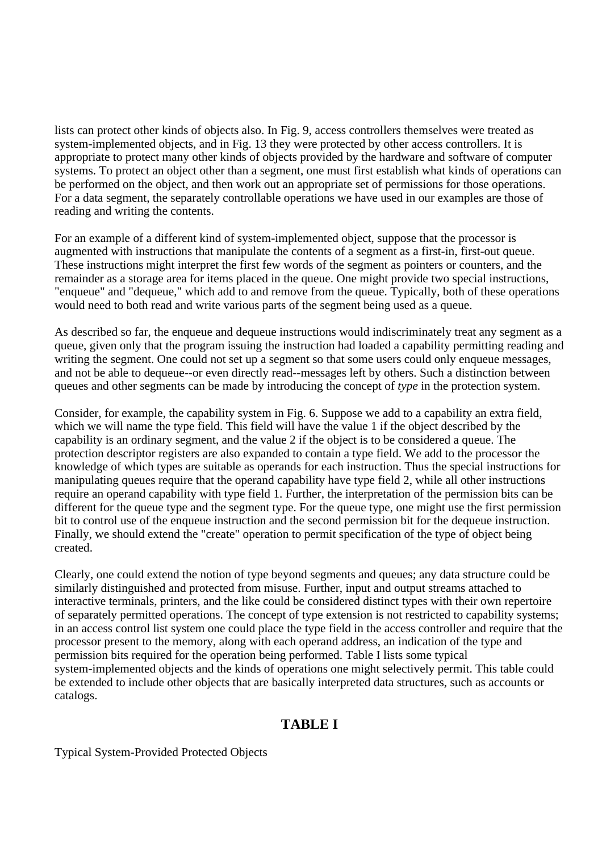lists can protect other kinds of objects also. In Fig. 9, access controllers themselves were treated as system-implemented objects, and in Fig. 13 they were protected by other access controllers. It is appropriate to protect many other kinds of objects provided by the hardware and software of computer systems. To protect an object other than a segment, one must first establish what kinds of operations can be performed on the object, and then work out an appropriate set of permissions for those operations. For a data segment, the separately controllable operations we have used in our examples are those of reading and writing the contents.

For an example of a different kind of system-implemented object, suppose that the processor is augmented with instructions that manipulate the contents of a segment as a first-in, first-out queue. These instructions might interpret the first few words of the segment as pointers or counters, and the remainder as a storage area for items placed in the queue. One might provide two special instructions, "enqueue" and "dequeue," which add to and remove from the queue. Typically, both of these operations would need to both read and write various parts of the segment being used as a queue.

As described so far, the enqueue and dequeue instructions would indiscriminately treat any segment as a queue, given only that the program issuing the instruction had loaded a capability permitting reading and writing the segment. One could not set up a segment so that some users could only enqueue messages, and not be able to dequeue--or even directly read--messages left by others. Such a distinction between queues and other segments can be made by introducing the concept of *type* in the protection system.

Consider, for example, the capability system in Fig. 6. Suppose we add to a capability an extra field, which we will name the type field. This field will have the value 1 if the object described by the capability is an ordinary segment, and the value 2 if the object is to be considered a queue. The protection descriptor registers are also expanded to contain a type field. We add to the processor the knowledge of which types are suitable as operands for each instruction. Thus the special instructions for manipulating queues require that the operand capability have type field 2, while all other instructions require an operand capability with type field 1. Further, the interpretation of the permission bits can be different for the queue type and the segment type. For the queue type, one might use the first permission bit to control use of the enqueue instruction and the second permission bit for the dequeue instruction. Finally, we should extend the "create" operation to permit specification of the type of object being created.

Clearly, one could extend the notion of type beyond segments and queues; any data structure could be similarly distinguished and protected from misuse. Further, input and output streams attached to interactive terminals, printers, and the like could be considered distinct types with their own repertoire of separately permitted operations. The concept of type extension is not restricted to capability systems; in an access control list system one could place the type field in the access controller and require that the processor present to the memory, along with each operand address, an indication of the type and permission bits required for the operation being performed. Table I lists some typical system-implemented objects and the kinds of operations one might selectively permit. This table could be extended to include other objects that are basically interpreted data structures, such as accounts or catalogs.

### **TABLE I**

Typical System-Provided Protected Objects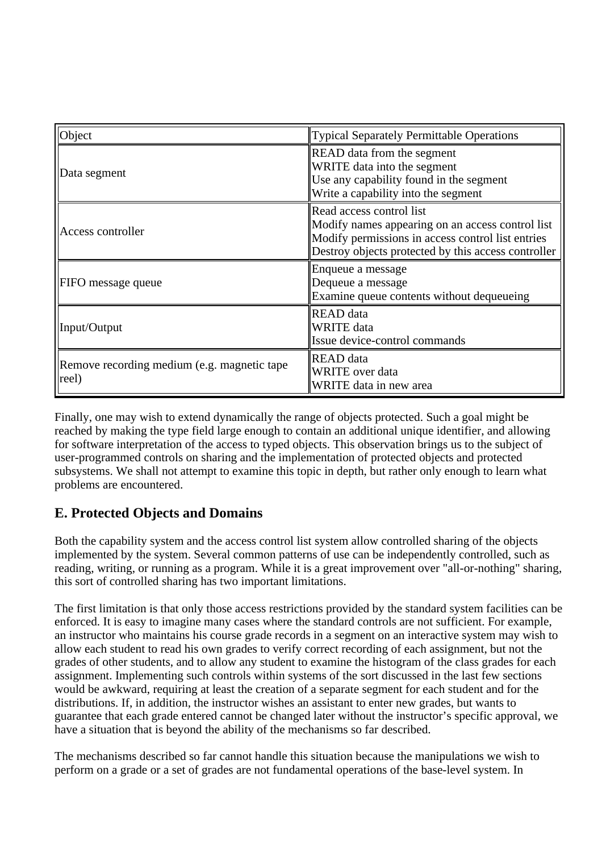| Object                                                | <b>Typical Separately Permittable Operations</b>                                                                                                                                         |  |
|-------------------------------------------------------|------------------------------------------------------------------------------------------------------------------------------------------------------------------------------------------|--|
| Data segment                                          | READ data from the segment<br>WRITE data into the segment<br>Use any capability found in the segment<br>Write a capability into the segment                                              |  |
| Access controller                                     | Read access control list<br>Modify names appearing on an access control list<br>Modify permissions in access control list entries<br>Destroy objects protected by this access controller |  |
| <b>FIFO</b> message queue                             | Enqueue a message<br>Dequeue a message<br>Examine queue contents without dequeueing                                                                                                      |  |
| Input/Output                                          | READ data<br><b>WRITE</b> data<br>Issue device-control commands                                                                                                                          |  |
| Remove recording medium (e.g. magnetic tape)<br>reel) | READ data<br><b>WRITE</b> over data<br>WRITE data in new area                                                                                                                            |  |

Finally, one may wish to extend dynamically the range of objects protected. Such a goal might be reached by making the type field large enough to contain an additional unique identifier, and allowing for software interpretation of the access to typed objects. This observation brings us to the subject of user-programmed controls on sharing and the implementation of protected objects and protected subsystems. We shall not attempt to examine this topic in depth, but rather only enough to learn what problems are encountered.

## **E. Protected Objects and Domains**

Both the capability system and the access control list system allow controlled sharing of the objects implemented by the system. Several common patterns of use can be independently controlled, such as reading, writing, or running as a program. While it is a great improvement over "all-or-nothing" sharing, this sort of controlled sharing has two important limitations.

The first limitation is that only those access restrictions provided by the standard system facilities can be enforced. It is easy to imagine many cases where the standard controls are not sufficient. For example, an instructor who maintains his course grade records in a segment on an interactive system may wish to allow each student to read his own grades to verify correct recording of each assignment, but not the grades of other students, and to allow any student to examine the histogram of the class grades for each assignment. Implementing such controls within systems of the sort discussed in the last few sections would be awkward, requiring at least the creation of a separate segment for each student and for the distributions. If, in addition, the instructor wishes an assistant to enter new grades, but wants to guarantee that each grade entered cannot be changed later without the instructor's specific approval, we have a situation that is beyond the ability of the mechanisms so far described.

The mechanisms described so far cannot handle this situation because the manipulations we wish to perform on a grade or a set of grades are not fundamental operations of the base-level system. In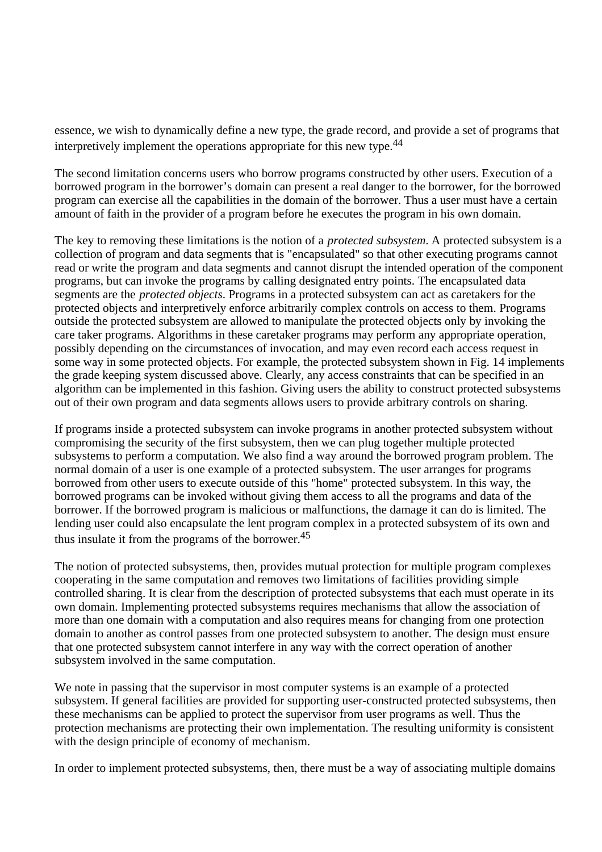essence, we wish to dynamically define a new type, the grade record, and provide a set of programs that interpretively implement the operations appropriate for this new type.<sup>44</sup>

The second limitation concerns users who borrow programs constructed by other users. Execution of a borrowed program in the borrower's domain can present a real danger to the borrower, for the borrowed program can exercise all the capabilities in the domain of the borrower. Thus a user must have a certain amount of faith in the provider of a program before he executes the program in his own domain.

The key to removing these limitations is the notion of a *protected subsystem*. A protected subsystem is a collection of program and data segments that is "encapsulated" so that other executing programs cannot read or write the program and data segments and cannot disrupt the intended operation of the component programs, but can invoke the programs by calling designated entry points. The encapsulated data segments are the *protected objects*. Programs in a protected subsystem can act as caretakers for the protected objects and interpretively enforce arbitrarily complex controls on access to them. Programs outside the protected subsystem are allowed to manipulate the protected objects only by invoking the care taker programs. Algorithms in these caretaker programs may perform any appropriate operation, possibly depending on the circumstances of invocation, and may even record each access request in some way in some protected objects. For example, the protected subsystem shown in Fig. 14 implements the grade keeping system discussed above. Clearly, any access constraints that can be specified in an algorithm can be implemented in this fashion. Giving users the ability to construct protected subsystems out of their own program and data segments allows users to provide arbitrary controls on sharing.

If programs inside a protected subsystem can invoke programs in another protected subsystem without compromising the security of the first subsystem, then we can plug together multiple protected subsystems to perform a computation. We also find a way around the borrowed program problem. The normal domain of a user is one example of a protected subsystem. The user arranges for programs borrowed from other users to execute outside of this "home" protected subsystem. In this way, the borrowed programs can be invoked without giving them access to all the programs and data of the borrower. If the borrowed program is malicious or malfunctions, the damage it can do is limited. The lending user could also encapsulate the lent program complex in a protected subsystem of its own and thus insulate it from the programs of the borrower.<sup>45</sup>

The notion of protected subsystems, then, provides mutual protection for multiple program complexes cooperating in the same computation and removes two limitations of facilities providing simple controlled sharing. It is clear from the description of protected subsystems that each must operate in its own domain. Implementing protected subsystems requires mechanisms that allow the association of more than one domain with a computation and also requires means for changing from one protection domain to another as control passes from one protected subsystem to another. The design must ensure that one protected subsystem cannot interfere in any way with the correct operation of another subsystem involved in the same computation.

We note in passing that the supervisor in most computer systems is an example of a protected subsystem. If general facilities are provided for supporting user-constructed protected subsystems, then these mechanisms can be applied to protect the supervisor from user programs as well. Thus the protection mechanisms are protecting their own implementation. The resulting uniformity is consistent with the design principle of economy of mechanism.

In order to implement protected subsystems, then, there must be a way of associating multiple domains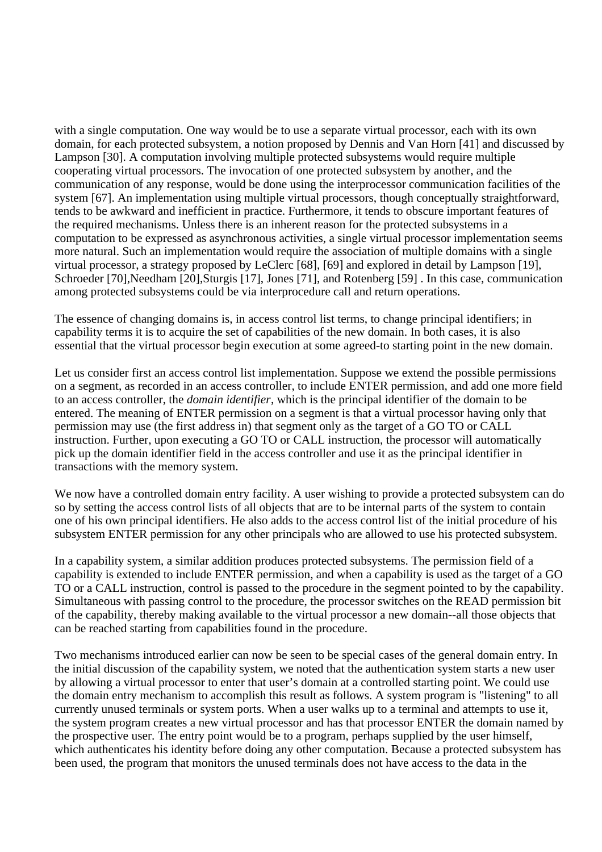with a single computation. One way would be to use a separate virtual processor, each with its own domain, for each protected subsystem, a notion proposed by Dennis and Van Horn [41] and discussed by Lampson [30]. A computation involving multiple protected subsystems would require multiple cooperating virtual processors. The invocation of one protected subsystem by another, and the communication of any response, would be done using the interprocessor communication facilities of the system [67]. An implementation using multiple virtual processors, though conceptually straightforward, tends to be awkward and inefficient in practice. Furthermore, it tends to obscure important features of the required mechanisms. Unless there is an inherent reason for the protected subsystems in a computation to be expressed as asynchronous activities, a single virtual processor implementation seems more natural. Such an implementation would require the association of multiple domains with a single virtual processor, a strategy proposed by LeClerc [68], [69] and explored in detail by Lampson [19], Schroeder [70], Needham [20], Sturgis [17], Jones [71], and Rotenberg [59]. In this case, communication among protected subsystems could be via interprocedure call and return operations.

The essence of changing domains is, in access control list terms, to change principal identifiers; in capability terms it is to acquire the set of capabilities of the new domain. In both cases, it is also essential that the virtual processor begin execution at some agreed-to starting point in the new domain.

Let us consider first an access control list implementation. Suppose we extend the possible permissions on a segment, as recorded in an access controller, to include ENTER permission, and add one more field to an access controller, the *domain identifier*, which is the principal identifier of the domain to be entered. The meaning of ENTER permission on a segment is that a virtual processor having only that permission may use (the first address in) that segment only as the target of a GO TO or CALL instruction. Further, upon executing a GO TO or CALL instruction, the processor will automatically pick up the domain identifier field in the access controller and use it as the principal identifier in transactions with the memory system.

We now have a controlled domain entry facility. A user wishing to provide a protected subsystem can do so by setting the access control lists of all objects that are to be internal parts of the system to contain one of his own principal identifiers. He also adds to the access control list of the initial procedure of his subsystem ENTER permission for any other principals who are allowed to use his protected subsystem.

In a capability system, a similar addition produces protected subsystems. The permission field of a capability is extended to include ENTER permission, and when a capability is used as the target of a GO TO or a CALL instruction, control is passed to the procedure in the segment pointed to by the capability. Simultaneous with passing control to the procedure, the processor switches on the READ permission bit of the capability, thereby making available to the virtual processor a new domain--all those objects that can be reached starting from capabilities found in the procedure.

Two mechanisms introduced earlier can now be seen to be special cases of the general domain entry. In the initial discussion of the capability system, we noted that the authentication system starts a new user by allowing a virtual processor to enter that user's domain at a controlled starting point. We could use the domain entry mechanism to accomplish this result as follows. A system program is "listening" to all currently unused terminals or system ports. When a user walks up to a terminal and attempts to use it, the system program creates a new virtual processor and has that processor ENTER the domain named by the prospective user. The entry point would be to a program, perhaps supplied by the user himself, which authenticates his identity before doing any other computation. Because a protected subsystem has been used, the program that monitors the unused terminals does not have access to the data in the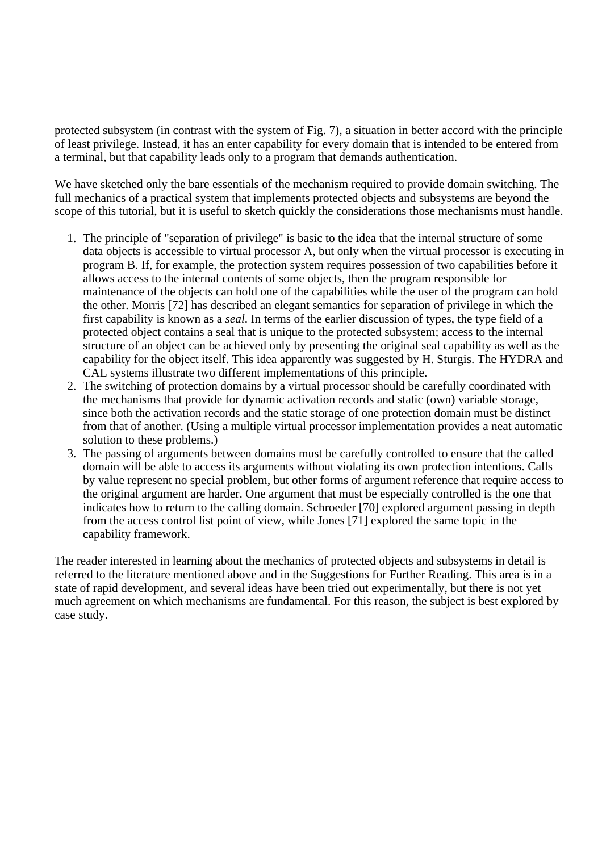protected subsystem (in contrast with the system of Fig. 7), a situation in better accord with the principle of least privilege. Instead, it has an enter capability for every domain that is intended to be entered from a terminal, but that capability leads only to a program that demands authentication.

We have sketched only the bare essentials of the mechanism required to provide domain switching. The full mechanics of a practical system that implements protected objects and subsystems are beyond the scope of this tutorial, but it is useful to sketch quickly the considerations those mechanisms must handle.

- 1. The principle of "separation of privilege" is basic to the idea that the internal structure of some data objects is accessible to virtual processor A, but only when the virtual processor is executing in program B. If, for example, the protection system requires possession of two capabilities before it allows access to the internal contents of some objects, then the program responsible for maintenance of the objects can hold one of the capabilities while the user of the program can hold the other. Morris [72] has described an elegant semantics for separation of privilege in which the first capability is known as a *seal*. In terms of the earlier discussion of types, the type field of a protected object contains a seal that is unique to the protected subsystem; access to the internal structure of an object can be achieved only by presenting the original seal capability as well as the capability for the object itself. This idea apparently was suggested by H. Sturgis. The HYDRA and CAL systems illustrate two different implementations of this principle.
- 2. The switching of protection domains by a virtual processor should be carefully coordinated with the mechanisms that provide for dynamic activation records and static (own) variable storage, since both the activation records and the static storage of one protection domain must be distinct from that of another. (Using a multiple virtual processor implementation provides a neat automatic solution to these problems.)
- 3. The passing of arguments between domains must be carefully controlled to ensure that the called domain will be able to access its arguments without violating its own protection intentions. Calls by value represent no special problem, but other forms of argument reference that require access to the original argument are harder. One argument that must be especially controlled is the one that indicates how to return to the calling domain. Schroeder [70] explored argument passing in depth from the access control list point of view, while Jones [71] explored the same topic in the capability framework.

The reader interested in learning about the mechanics of protected objects and subsystems in detail is referred to the literature mentioned above and in the Suggestions for Further Reading. This area is in a state of rapid development, and several ideas have been tried out experimentally, but there is not yet much agreement on which mechanisms are fundamental. For this reason, the subject is best explored by case study.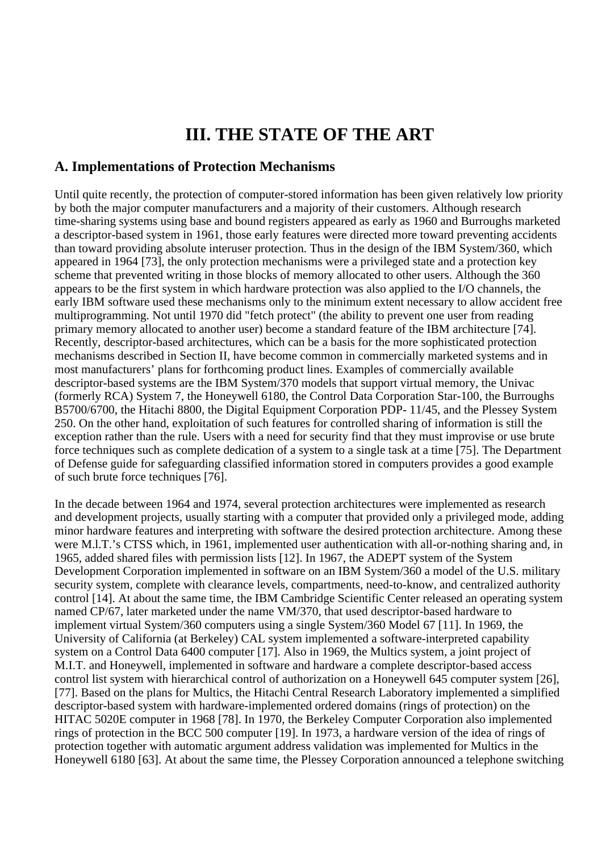## **III. THE STATE OF THE ART**

### **A. Implementations of Protection Mechanisms**

Until quite recently, the protection of computer-stored information has been given relatively low priority by both the major computer manufacturers and a majority of their customers. Although research time-sharing systems using base and bound registers appeared as early as 1960 and Burroughs marketed a descriptor-based system in 1961, those early features were directed more toward preventing accidents than toward providing absolute interuser protection. Thus in the design of the IBM System/360, which appeared in 1964 [73], the only protection mechanisms were a privileged state and a protection key scheme that prevented writing in those blocks of memory allocated to other users. Although the 360 appears to be the first system in which hardware protection was also applied to the I/O channels, the early IBM software used these mechanisms only to the minimum extent necessary to allow accident free multiprogramming. Not until 1970 did "fetch protect" (the ability to prevent one user from reading primary memory allocated to another user) become a standard feature of the IBM architecture [74]. Recently, descriptor-based architectures, which can be a basis for the more sophisticated protection mechanisms described in Section II, have become common in commercially marketed systems and in most manufacturers' plans for forthcoming product lines. Examples of commercially available descriptor-based systems are the IBM System/370 models that support virtual memory, the Univac (formerly RCA) System 7, the Honeywell 6180, the Control Data Corporation Star-100, the Burroughs B5700/6700, the Hitachi 8800, the Digital Equipment Corporation PDP- 11/45, and the Plessey System 250. On the other hand, exploitation of such features for controlled sharing of information is still the exception rather than the rule. Users with a need for security find that they must improvise or use brute force techniques such as complete dedication of a system to a single task at a time [75]. The Department of Defense guide for safeguarding classified information stored in computers provides a good example of such brute force techniques [76].

In the decade between 1964 and 1974, several protection architectures were implemented as research and development projects, usually starting with a computer that provided only a privileged mode, adding minor hardware features and interpreting with software the desired protection architecture. Among these were M.l.T.'s CTSS which, in 1961, implemented user authentication with all-or-nothing sharing and, in 1965, added shared files with permission lists [12]. In 1967, the ADEPT system of the System Development Corporation implemented in software on an IBM System/360 a model of the U.S. military security system, complete with clearance levels, compartments, need-to-know, and centralized authority control [14]. At about the same time, the IBM Cambridge Scientific Center released an operating system named CP/67, later marketed under the name VM/370, that used descriptor-based hardware to implement virtual System/360 computers using a single System/360 Model 67 [11]. In 1969, the University of California (at Berkeley) CAL system implemented a software-interpreted capability system on a Control Data 6400 computer [17]. Also in 1969, the Multics system, a joint project of M.I.T. and Honeywell, implemented in software and hardware a complete descriptor-based access control list system with hierarchical control of authorization on a Honeywell 645 computer system [26], [77]. Based on the plans for Multics, the Hitachi Central Research Laboratory implemented a simplified descriptor-based system with hardware-implemented ordered domains (rings of protection) on the HITAC 5020E computer in 1968 [78]. In 1970, the Berkeley Computer Corporation also implemented rings of protection in the BCC 500 computer [19]. In 1973, a hardware version of the idea of rings of protection together with automatic argument address validation was implemented for Multics in the Honeywell 6180 [63]. At about the same time, the Plessey Corporation announced a telephone switching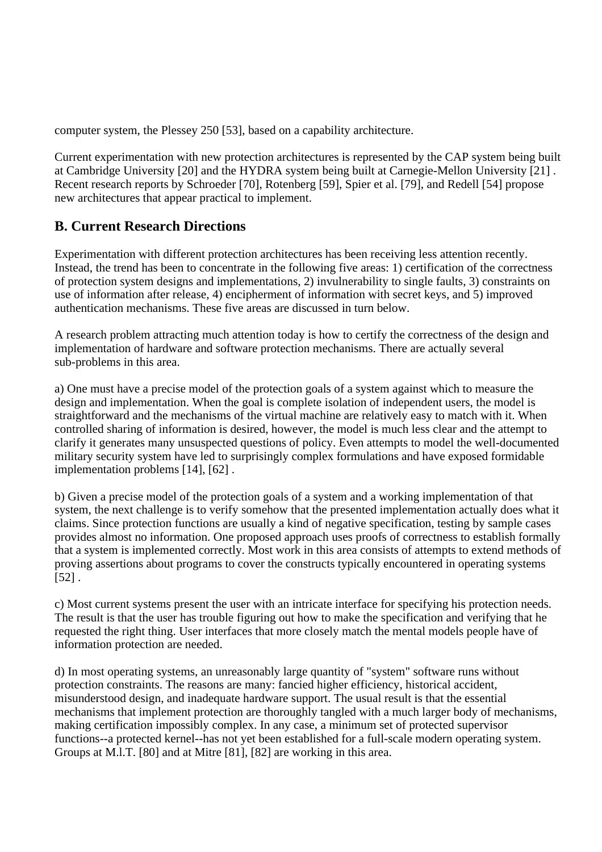computer system, the Plessey 250 [53], based on a capability architecture.

Current experimentation with new protection architectures is represented by the CAP system being built at Cambridge University [20] and the HYDRA system being built at Carnegie-Mellon University [21] . Recent research reports by Schroeder [70], Rotenberg [59], Spier et al. [79], and Redell [54] propose new architectures that appear practical to implement.

### **B. Current Research Directions**

Experimentation with different protection architectures has been receiving less attention recently. Instead, the trend has been to concentrate in the following five areas: 1) certification of the correctness of protection system designs and implementations, 2) invulnerability to single faults, 3) constraints on use of information after release, 4) encipherment of information with secret keys, and 5) improved authentication mechanisms. These five areas are discussed in turn below.

A research problem attracting much attention today is how to certify the correctness of the design and implementation of hardware and software protection mechanisms. There are actually several sub-problems in this area.

a) One must have a precise model of the protection goals of a system against which to measure the design and implementation. When the goal is complete isolation of independent users, the model is straightforward and the mechanisms of the virtual machine are relatively easy to match with it. When controlled sharing of information is desired, however, the model is much less clear and the attempt to clarify it generates many unsuspected questions of policy. Even attempts to model the well-documented military security system have led to surprisingly complex formulations and have exposed formidable implementation problems [14], [62] .

b) Given a precise model of the protection goals of a system and a working implementation of that system, the next challenge is to verify somehow that the presented implementation actually does what it claims. Since protection functions are usually a kind of negative specification, testing by sample cases provides almost no information. One proposed approach uses proofs of correctness to establish formally that a system is implemented correctly. Most work in this area consists of attempts to extend methods of proving assertions about programs to cover the constructs typically encountered in operating systems  $[52]$ .

c) Most current systems present the user with an intricate interface for specifying his protection needs. The result is that the user has trouble figuring out how to make the specification and verifying that he requested the right thing. User interfaces that more closely match the mental models people have of information protection are needed.

d) In most operating systems, an unreasonably large quantity of "system" software runs without protection constraints. The reasons are many: fancied higher efficiency, historical accident, misunderstood design, and inadequate hardware support. The usual result is that the essential mechanisms that implement protection are thoroughly tangled with a much larger body of mechanisms, making certification impossibly complex. In any case, a minimum set of protected supervisor functions--a protected kernel--has not yet been established for a full-scale modern operating system. Groups at M.l.T. [80] and at Mitre [81], [82] are working in this area.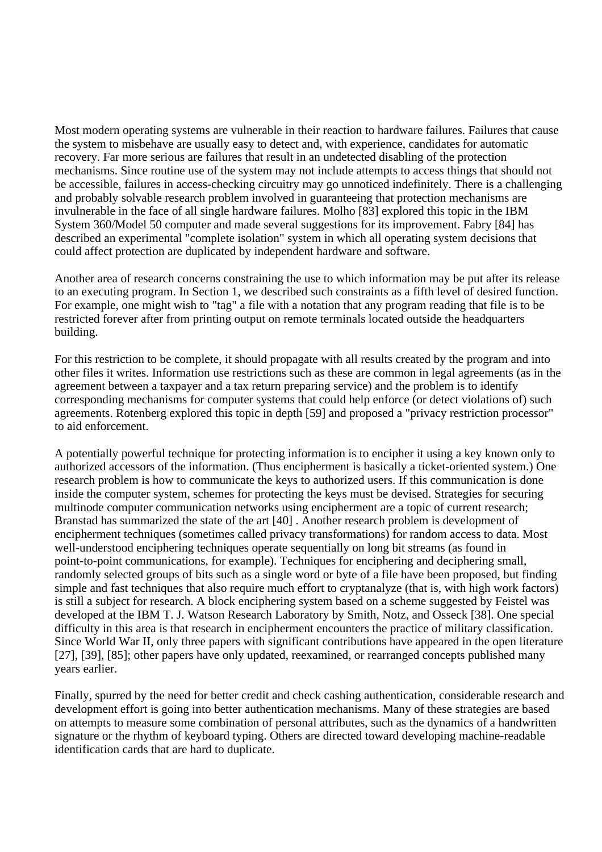Most modern operating systems are vulnerable in their reaction to hardware failures. Failures that cause the system to misbehave are usually easy to detect and, with experience, candidates for automatic recovery. Far more serious are failures that result in an undetected disabling of the protection mechanisms. Since routine use of the system may not include attempts to access things that should not be accessible, failures in access-checking circuitry may go unnoticed indefinitely. There is a challenging and probably solvable research problem involved in guaranteeing that protection mechanisms are invulnerable in the face of all single hardware failures. Molho [83] explored this topic in the IBM System 360/Model 50 computer and made several suggestions for its improvement. Fabry [84] has described an experimental "complete isolation" system in which all operating system decisions that could affect protection are duplicated by independent hardware and software.

Another area of research concerns constraining the use to which information may be put after its release to an executing program. In Section 1, we described such constraints as a fifth level of desired function. For example, one might wish to "tag" a file with a notation that any program reading that file is to be restricted forever after from printing output on remote terminals located outside the headquarters building.

For this restriction to be complete, it should propagate with all results created by the program and into other files it writes. Information use restrictions such as these are common in legal agreements (as in the agreement between a taxpayer and a tax return preparing service) and the problem is to identify corresponding mechanisms for computer systems that could help enforce (or detect violations of) such agreements. Rotenberg explored this topic in depth [59] and proposed a "privacy restriction processor" to aid enforcement.

A potentially powerful technique for protecting information is to encipher it using a key known only to authorized accessors of the information. (Thus encipherment is basically a ticket-oriented system.) One research problem is how to communicate the keys to authorized users. If this communication is done inside the computer system, schemes for protecting the keys must be devised. Strategies for securing multinode computer communication networks using encipherment are a topic of current research; Branstad has summarized the state of the art [40] . Another research problem is development of encipherment techniques (sometimes called privacy transformations) for random access to data. Most well-understood enciphering techniques operate sequentially on long bit streams (as found in point-to-point communications, for example). Techniques for enciphering and deciphering small, randomly selected groups of bits such as a single word or byte of a file have been proposed, but finding simple and fast techniques that also require much effort to cryptanalyze (that is, with high work factors) is still a subject for research. A block enciphering system based on a scheme suggested by Feistel was developed at the IBM T. J. Watson Research Laboratory by Smith, Notz, and Osseck [38]. One special difficulty in this area is that research in encipherment encounters the practice of military classification. Since World War II, only three papers with significant contributions have appeared in the open literature [27], [39], [85]; other papers have only updated, reexamined, or rearranged concepts published many years earlier.

Finally, spurred by the need for better credit and check cashing authentication, considerable research and development effort is going into better authentication mechanisms. Many of these strategies are based on attempts to measure some combination of personal attributes, such as the dynamics of a handwritten signature or the rhythm of keyboard typing. Others are directed toward developing machine-readable identification cards that are hard to duplicate.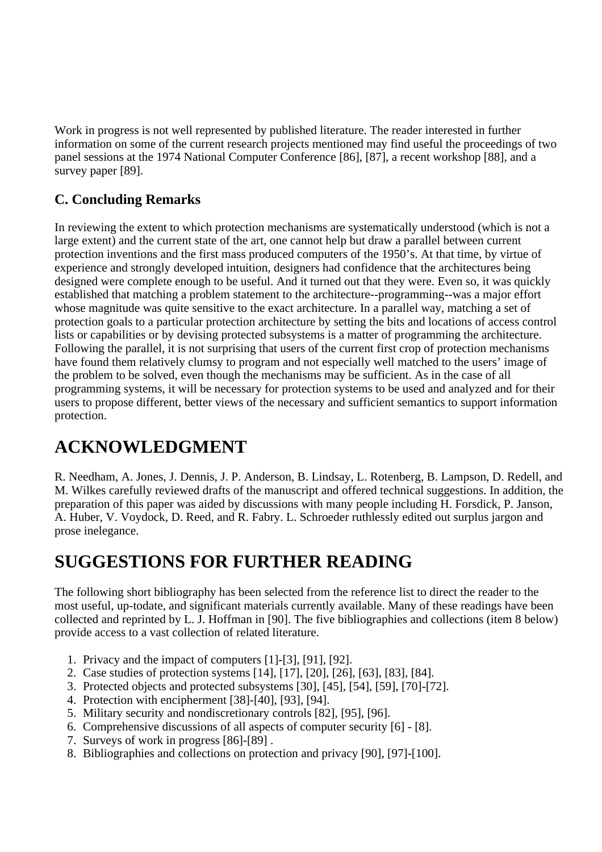Work in progress is not well represented by published literature. The reader interested in further information on some of the current research projects mentioned may find useful the proceedings of two panel sessions at the 1974 National Computer Conference [86], [87], a recent workshop [88], and a survey paper [89].

## **C. Concluding Remarks**

In reviewing the extent to which protection mechanisms are systematically understood (which is not a large extent) and the current state of the art, one cannot help but draw a parallel between current protection inventions and the first mass produced computers of the 1950's. At that time, by virtue of experience and strongly developed intuition, designers had confidence that the architectures being designed were complete enough to be useful. And it turned out that they were. Even so, it was quickly established that matching a problem statement to the architecture--programming--was a major effort whose magnitude was quite sensitive to the exact architecture. In a parallel way, matching a set of protection goals to a particular protection architecture by setting the bits and locations of access control lists or capabilities or by devising protected subsystems is a matter of programming the architecture. Following the parallel, it is not surprising that users of the current first crop of protection mechanisms have found them relatively clumsy to program and not especially well matched to the users' image of the problem to be solved, even though the mechanisms may be sufficient. As in the case of all programming systems, it will be necessary for protection systems to be used and analyzed and for their users to propose different, better views of the necessary and sufficient semantics to support information protection.

## **ACKNOWLEDGMENT**

R. Needham, A. Jones, J. Dennis, J. P. Anderson, B. Lindsay, L. Rotenberg, B. Lampson, D. Redell, and M. Wilkes carefully reviewed drafts of the manuscript and offered technical suggestions. In addition, the preparation of this paper was aided by discussions with many people including H. Forsdick, P. Janson, A. Huber, V. Voydock, D. Reed, and R. Fabry. L. Schroeder ruthlessly edited out surplus jargon and prose inelegance.

## **SUGGESTIONS FOR FURTHER READING**

The following short bibliography has been selected from the reference list to direct the reader to the most useful, up-todate, and significant materials currently available. Many of these readings have been collected and reprinted by L. J. Hoffman in [90]. The five bibliographies and collections (item 8 below) provide access to a vast collection of related literature.

- 1. Privacy and the impact of computers [1]-[3], [91], [92].
- 2. Case studies of protection systems [14], [17], [20], [26], [63], [83], [84].
- 3. Protected objects and protected subsystems [30], [45], [54], [59], [70]-[72].
- 4. Protection with encipherment [38]-[40], [93], [94].
- 5. Military security and nondiscretionary controls [82], [95], [96].
- 6. Comprehensive discussions of all aspects of computer security [6] [8].
- 7. Surveys of work in progress [86]-[89] .
- 8. Bibliographies and collections on protection and privacy [90], [97]-[100].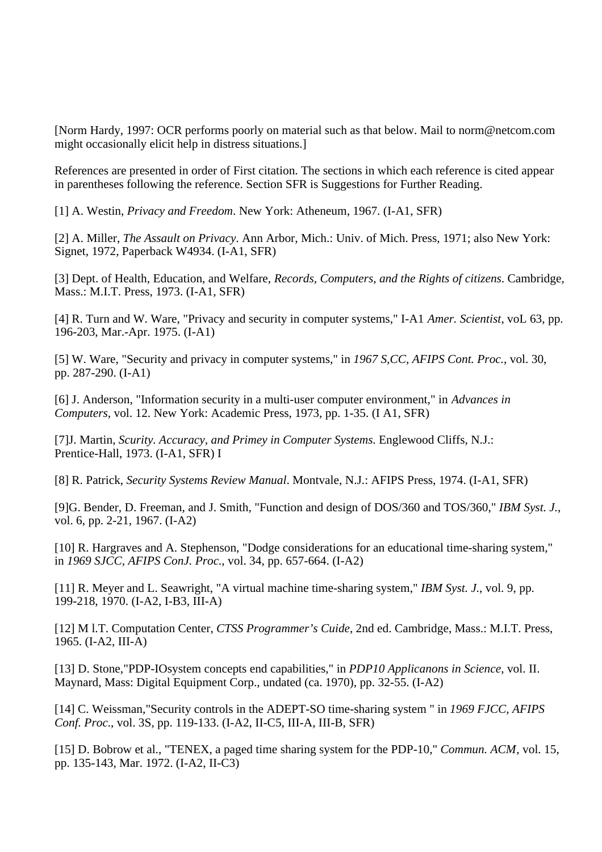[Norm Hardy, 1997: OCR performs poorly on material such as that below. Mail to norm@netcom.com might occasionally elicit help in distress situations.]

References are presented in order of First citation. The sections in which each reference is cited appear in parentheses following the reference. Section SFR is Suggestions for Further Reading.

[1] A. Westin, *Privacy and Freedom*. New York: Atheneum, 1967. (I-A1, SFR)

[2] A. Miller, *The Assault on Privacy*. Ann Arbor, Mich.: Univ. of Mich. Press, 1971; also New York: Signet, 1972, Paperback W4934. (I-A1, SFR)

[3] Dept. of Health, Education, and Welfare, *Records, Computers, and the Rights of citizens*. Cambridge, Mass.: M.I.T. Press, 1973. (I-A1, SFR)

[4] R. Turn and W. Ware, "Privacy and security in computer systems," I-A1 *Amer. Scientist*, voL 63, pp. 196-203, Mar.-Apr. 1975. (I-A1)

[5] W. Ware, "Security and privacy in computer systems," in *1967 S,CC, AFIPS Cont. Proc.*, vol. 30, pp. 287-290. (I-A1)

[6] J. Anderson, "Information security in a multi-user computer environment," in *Advances in Computers*, vol. 12. New York: Academic Press, 1973, pp. 1-35. (I A1, SFR)

[7]J. Martin, *Scurity. Accuracy, and Primey in Computer Systems*. Englewood Cliffs, N.J.: Prentice-Hall, 1973. (I-A1, SFR) I

[8] R. Patrick, *Security Systems Review Manual*. Montvale, N.J.: AFIPS Press, 1974. (I-A1, SFR)

[9]G. Bender, D. Freeman, and J. Smith, "Function and design of DOS/360 and TOS/360," *IBM Syst. J.*, vol. 6, pp. 2-21, 1967. (I-A2)

[10] R. Hargraves and A. Stephenson, "Dodge considerations for an educational time-sharing system," in *1969 SJCC, AFIPS ConJ. Proc.*, vol. 34, pp. 657-664. (I-A2)

[11] R. Meyer and L. Seawright, "A virtual machine time-sharing system," *IBM Syst. J.*, vol. 9, pp. 199-218, 1970. (I-A2, I-B3, III-A)

[12] M l.T. Computation Center, *CTSS Programmer's Cuide*, 2nd ed. Cambridge, Mass.: M.I.T. Press, 1965. (I-A2, III-A)

[13] D. Stone,"PDP-IOsystem concepts end capabilities," in *PDP10 Applicanons in Science*, vol. II. Maynard, Mass: Digital Equipment Corp., undated (ca. 1970), pp. 32-55. (I-A2)

[14] C. Weissman,"Security controls in the ADEPT-SO time-sharing system " in *1969 FJCC, AFIPS Conf. Proc.*, vol. 3S, pp. 119-133. (I-A2, II-C5, III-A, III-B, SFR)

[15] D. Bobrow et al., "TENEX, a paged time sharing system for the PDP-10," *Commun. ACM*, vol. 15, pp. 135-143, Mar. 1972. (I-A2, II-C3)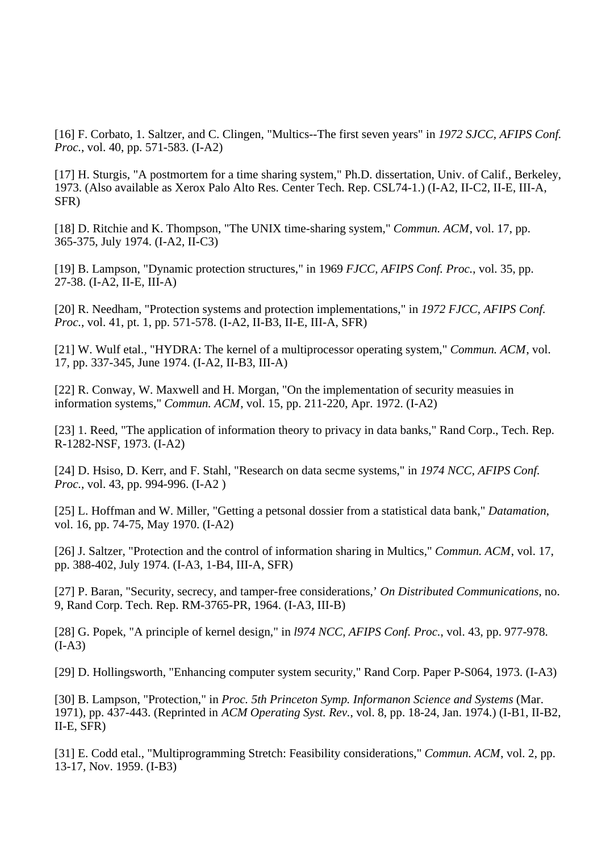[16] F. Corbato, 1. Saltzer, and C. Clingen, "Multics--The first seven years" in *1972 SJCC, AFIPS Conf. Proc.*, vol. 40, pp. 571-583. (I-A2)

[17] H. Sturgis, "A postmortem for a time sharing system," Ph.D. dissertation, Univ. of Calif., Berkeley, 1973. (Also available as Xerox Palo Alto Res. Center Tech. Rep. CSL74-1.) (I-A2, II-C2, II-E, III-A, SFR)

[18] D. Ritchie and K. Thompson, "The UNIX time-sharing system," *Commun. ACM*, vol. 17, pp. 365-375, July 1974. (I-A2, II-C3)

[19] B. Lampson, "Dynamic protection structures," in 1969 *FJCC, AFIPS Conf. Proc.*, vol. 35, pp. 27-38. (I-A2, II-E, III-A)

[20] R. Needham, "Protection systems and protection implementations," in *1972 FJCC, AFIPS Conf. Proc.*, vol. 41, pt. 1, pp. 571-578. (I-A2, II-B3, II-E, III-A, SFR)

[21] W. Wulf etal., "HYDRA: The kernel of a multiprocessor operating system," *Commun. ACM*, vol. 17, pp. 337-345, June 1974. (I-A2, II-B3, III-A)

[22] R. Conway, W. Maxwell and H. Morgan, "On the implementation of security measuies in information systems," *Commun. ACM*, vol. 15, pp. 211-220, Apr. 1972. (I-A2)

[23] 1. Reed, "The application of information theory to privacy in data banks," Rand Corp., Tech. Rep. R-1282-NSF, 1973. (I-A2)

[24] D. Hsiso, D. Kerr, and F. Stahl, "Research on data secme systems," in *1974 NCC, AFIPS Conf. Proc.*, vol. 43, pp. 994-996. (I-A2 )

[25] L. Hoffman and W. Miller, "Getting a petsonal dossier from a statistical data bank," *Datamation*, vol. 16, pp. 74-75, May 1970. (I-A2)

[26] J. Saltzer, "Protection and the control of information sharing in Multics," *Commun. ACM*, vol. 17, pp. 388-402, July 1974. (I-A3, 1-B4, III-A, SFR)

[27] P. Baran, "Security, secrecy, and tamper-free considerations,' *On Distributed Communications,* no. 9, Rand Corp. Tech. Rep. RM-3765-PR, 1964. (I-A3, III-B)

[28] G. Popek, "A principle of kernel design," in *l974 NCC, AFIPS Conf. Proc.*, vol. 43, pp. 977-978.  $(I-A3)$ 

[29] D. Hollingsworth, "Enhancing computer system security," Rand Corp. Paper P-S064, 1973. (I-A3)

[30] B. Lampson, "Protection," in *Proc. 5th Princeton Symp. Informanon Science and Systems* (Mar. 1971), pp. 437-443. (Reprinted in *ACM Operating Syst. Rev.*, vol. 8, pp. 18-24, Jan. 1974.) (I-B1, II-B2, II-E, SFR)

[31] E. Codd etal., "Multiprogramming Stretch: Feasibility considerations," *Commun. ACM*, vol. 2, pp. 13-17, Nov. 1959. (I-B3)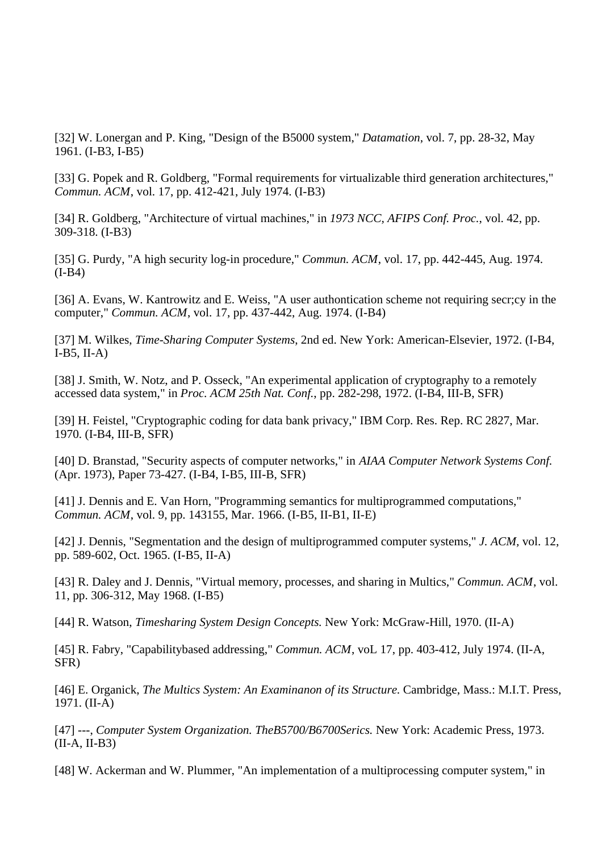[32] W. Lonergan and P. King, "Design of the B5000 system," *Datamation*, vol. 7, pp. 28-32, May 1961. (I-B3, I-B5)

[33] G. Popek and R. Goldberg, "Formal requirements for virtualizable third generation architectures," *Commun. ACM*, vol. 17, pp. 412-421, July 1974. (I-B3)

[34] R. Goldberg, "Architecture of virtual machines," in *1973 NCC, AFIPS Conf. Proc.*, vol. 42, pp. 309-318. (I-B3)

[35] G. Purdy, "A high security log-in procedure," *Commun. ACM*, vol. 17, pp. 442-445, Aug. 1974. (I-B4)

[36] A. Evans, W. Kantrowitz and E. Weiss, "A user authontication scheme not requiring secr;cy in the computer," *Commun. ACM*, vol. 17, pp. 437-442, Aug. 1974. (I-B4)

[37] M. Wilkes, *Time-Sharing Computer Systems*, 2nd ed. New York: American-Elsevier, 1972. (I-B4, I-B5, II-A)

[38] J. Smith, W. Notz, and P. Osseck, "An experimental application of cryptography to a remotely accessed data system," in *Proc. ACM 25th Nat. Conf.*, pp. 282-298, 1972. (I-B4, III-B, SFR)

[39] H. Feistel, "Cryptographic coding for data bank privacy," IBM Corp. Res. Rep. RC 2827, Mar. 1970. (I-B4, III-B, SFR)

[40] D. Branstad, "Security aspects of computer networks," in *AIAA Computer Network Systems Conf.* (Apr. 1973), Paper 73-427. (I-B4, I-B5, III-B, SFR)

[41] J. Dennis and E. Van Horn, "Programming semantics for multiprogrammed computations," *Commun. ACM*, vol. 9, pp. 143155, Mar. 1966. (I-B5, II-B1, II-E)

[42] J. Dennis, "Segmentation and the design of multiprogrammed computer systems," *J. ACM,* vol. 12, pp. 589-602, Oct. 1965. (I-B5, II-A)

[43] R. Daley and J. Dennis, "Virtual memory, processes, and sharing in Multics," *Commun. ACM*, vol. 11, pp. 306-312, May 1968. (I-B5)

[44] R. Watson, *Timesharing System Design Concepts.* New York: McGraw-Hill, 1970. (II-A)

[45] R. Fabry, "Capabilitybased addressing," *Commun. ACM*, voL 17, pp. 403-412, July 1974. (II-A, SFR)

[46] E. Organick, *The Multics System: An Examinanon of its Structure.* Cambridge, Mass.: M.I.T. Press, 1971. (II-A)

[47] ---, *Computer System Organization. TheB5700/B6700Serics.* New York: Academic Press, 1973. (II-A, II-B3)

[48] W. Ackerman and W. Plummer, "An implementation of a multiprocessing computer system," in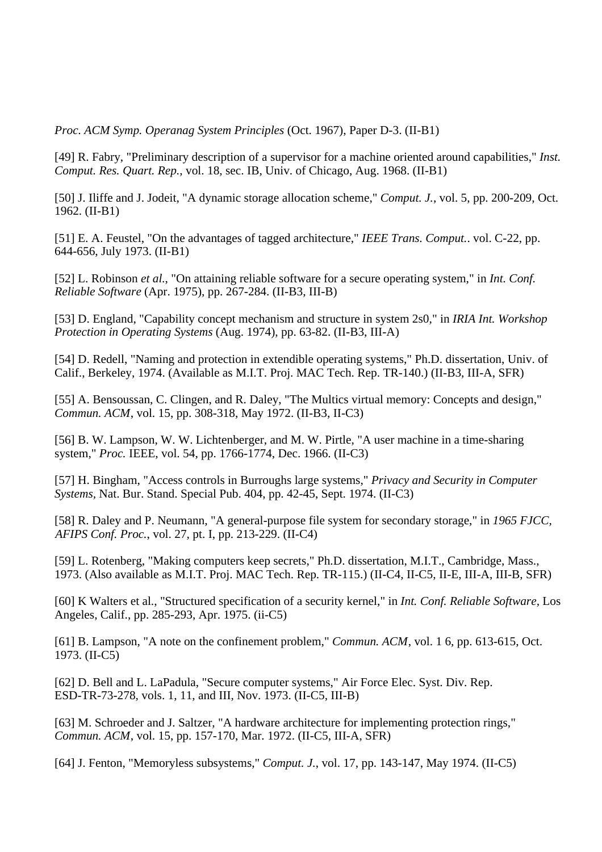*Proc. ACM Symp. Operanag System Principles* (Oct. 1967), Paper D-3. (II-B1)

[49] R. Fabry, "Preliminary description of a supervisor for a machine oriented around capabilities," *Inst. Comput. Res. Quart. Rep.*, vol. 18, sec. IB, Univ. of Chicago, Aug. 1968. (II-B1)

[50] J. Iliffe and J. Jodeit, "A dynamic storage allocation scheme," *Comput. J.*, vol. 5, pp. 200-209, Oct. 1962. (II-B1)

[51] E. A. Feustel, "On the advantages of tagged architecture," *IEEE Trans. Comput.*. vol. C-22, pp. 644-656, July 1973. (II-B1)

[52] L. Robinson *et al.*, "On attaining reliable software for a secure operating system," in *Int. Conf. Reliable Software* (Apr. 1975), pp. 267-284. (II-B3, III-B)

[53] D. England, "Capability concept mechanism and structure in system 2s0," in *IRIA Int. Workshop Protection in Operating Systems* (Aug. 1974), pp. 63-82. (II-B3, III-A)

[54] D. Redell, "Naming and protection in extendible operating systems," Ph.D. dissertation, Univ. of Calif., Berkeley, 1974. (Available as M.I.T. Proj. MAC Tech. Rep. TR-140.) (II-B3, III-A, SFR)

[55] A. Bensoussan, C. Clingen, and R. Daley, "The Multics virtual memory: Concepts and design," *Commun. ACM*, vol. 15, pp. 308-318, May 1972. (II-B3, II-C3)

[56] B. W. Lampson, W. W. Lichtenberger, and M. W. Pirtle, "A user machine in a time-sharing system," *Proc.* IEEE, vol. 54, pp. 1766-1774, Dec. 1966. (II-C3)

[57] H. Bingham, "Access controls in Burroughs large systems," *Privacy and Security in Computer Systems,* Nat. Bur. Stand. Special Pub. 404, pp. 42-45, Sept. 1974. (II-C3)

[58] R. Daley and P. Neumann, "A general-purpose file system for secondary storage," in *1965 FJCC, AFIPS Conf. Proc.*, vol. 27, pt. I, pp. 213-229. (II-C4)

[59] L. Rotenberg, "Making computers keep secrets," Ph.D. dissertation, M.I.T., Cambridge, Mass., 1973. (Also available as M.I.T. Proj. MAC Tech. Rep. TR-115.) (II-C4, II-C5, II-E, III-A, III-B, SFR)

[60] K Walters et al., "Structured specification of a security kernel," in *Int. Conf. Reliable Software,* Los Angeles, Calif., pp. 285-293, Apr. 1975. (ii-C5)

[61] B. Lampson, "A note on the confinement problem," *Commun. ACM*, vol. 1 6, pp. 613-615, Oct. 1973. (II-C5)

[62] D. Bell and L. LaPadula, "Secure computer systems," Air Force Elec. Syst. Div. Rep. ESD-TR-73-278, vols. 1, 11, and III, Nov. 1973. (II-C5, III-B)

[63] M. Schroeder and J. Saltzer, "A hardware architecture for implementing protection rings," *Commun. ACM*, vol. 15, pp. 157-170, Mar. 1972. (II-C5, III-A, SFR)

[64] J. Fenton, "Memoryless subsystems," *Comput. J.*, vol. 17, pp. 143-147, May 1974. (II-C5)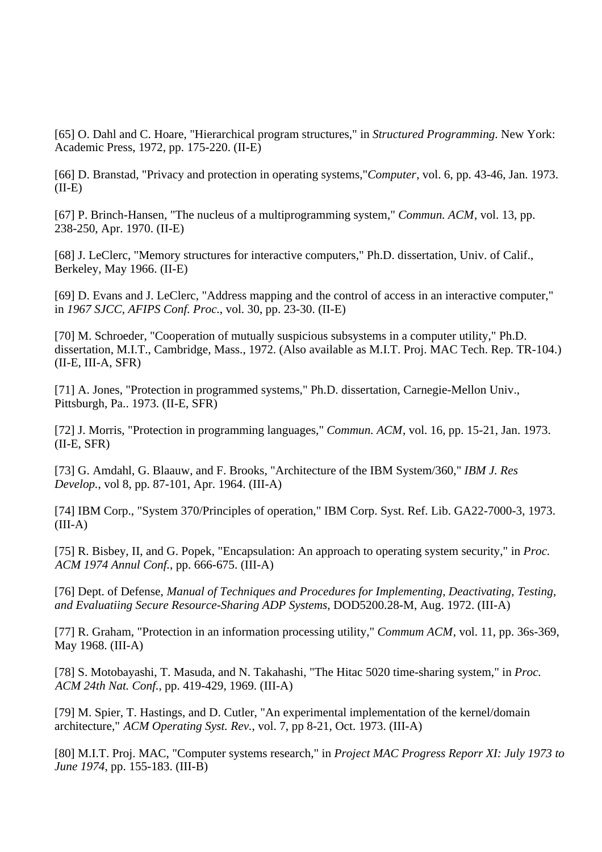[65] O. Dahl and C. Hoare, "Hierarchical program structures," in *Structured Programming*. New York: Academic Press, 1972, pp. 175-220. (II-E)

[66] D. Branstad, "Privacy and protection in operating systems,"*Computer*, vol. 6, pp. 43-46, Jan. 1973.  $(II-E)$ 

[67] P. Brinch-Hansen, "The nucleus of a multiprogramming system," *Commun. ACM*, vol. 13, pp. 238-250, Apr. 1970. (II-E)

[68] J. LeClerc, "Memory structures for interactive computers," Ph.D. dissertation, Univ. of Calif., Berkeley, May 1966. (II-E)

[69] D. Evans and J. LeClerc, "Address mapping and the control of access in an interactive computer," in *1967 SJCC, AFIPS Conf. Proc.*, vol. 30, pp. 23-30. (II-E)

[70] M. Schroeder, "Cooperation of mutually suspicious subsystems in a computer utility," Ph.D. dissertation, M.I.T., Cambridge, Mass., 1972. (Also available as M.I.T. Proj. MAC Tech. Rep. TR-104.) (II-E, III-A, SFR)

[71] A. Jones, "Protection in programmed systems," Ph.D. dissertation, Carnegie-Mellon Univ., Pittsburgh, Pa.. 1973. (II-E, SFR)

[72] J. Morris, "Protection in programming languages," *Commun. ACM*, vol. 16, pp. 15-21, Jan. 1973. (II-E, SFR)

[73] G. Amdahl, G. Blaauw, and F. Brooks, "Architecture of the IBM System/360," *IBM J. Res Develop.*, vol 8, pp. 87-101, Apr. 1964. (III-A)

[74] IBM Corp., "System 370/Principles of operation," IBM Corp. Syst. Ref. Lib. GA22-7000-3, 1973.  $(III-A)$ 

[75] R. Bisbey, II, and G. Popek, "Encapsulation: An approach to operating system security," in *Proc. ACM 1974 Annul Conf.*, pp. 666-675. (III-A)

[76] Dept. of Defense, *Manual of Techniques and Procedures for Implementing, Deactivating, Testing, and Evaluatiing Secure Resource-Sharing ADP Systems*, DOD5200.28-M, Aug. 1972. (III-A)

[77] R. Graham, "Protection in an information processing utility," *Commum ACM*, vol. 11, pp. 36s-369, May 1968. (III-A)

[78] S. Motobayashi, T. Masuda, and N. Takahashi, "The Hitac 5020 time-sharing system," in *Proc. ACM 24th Nat. Conf.*, pp. 419-429, 1969. (III-A)

[79] M. Spier, T. Hastings, and D. Cutler, "An experimental implementation of the kernel/domain architecture," *ACM Operating Syst. Rev.*, vol. 7, pp 8-21, Oct. 1973. (III-A)

[80] M.I.T. Proj. MAC, "Computer systems research," in *Project MAC Progress Reporr XI: July 1973 to June 1974*, pp. 155-183. (III-B)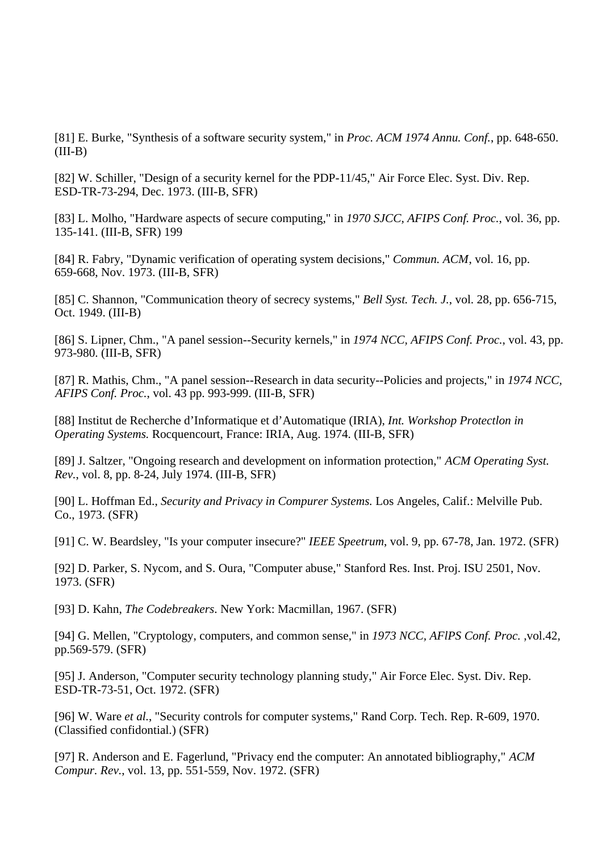[81] E. Burke, "Synthesis of a software security system," in *Proc. ACM 1974 Annu. Conf.*, pp. 648-650.  $(III-B)$ 

[82] W. Schiller, "Design of a security kernel for the PDP-11/45," Air Force Elec. Syst. Div. Rep. ESD-TR-73-294, Dec. 1973. (III-B, SFR)

[83] L. Molho, "Hardware aspects of secure computing," in *1970 SJCC, AFIPS Conf. Proc.*, vol. 36, pp. 135-141. (III-B, SFR) 199

[84] R. Fabry, "Dynamic verification of operating system decisions," *Commun. ACM*, vol. 16, pp. 659-668, Nov. 1973. (III-B, SFR)

[85] C. Shannon, "Communication theory of secrecy systems," *Bell Syst. Tech. J.*, vol. 28, pp. 656-715, Oct. 1949. (III-B)

[86] S. Lipner, Chm., "A panel session--Security kernels," in *1974 NCC, AFIPS Conf. Proc.*, vol. 43, pp. 973-980. (III-B, SFR)

[87] R. Mathis, Chm., "A panel session--Research in data security--Policies and projects," in *1974 NCC, AFIPS Conf. Proc.*, vol. 43 pp. 993-999. (III-B, SFR)

[88] Institut de Recherche d'Informatique et d'Automatique (IRIA), *Int. Workshop Protectlon in Operating Systems.* Rocquencourt, France: IRIA, Aug. 1974. (III-B, SFR)

[89] J. Saltzer, "Ongoing research and development on information protection," *ACM Operating Syst. Rev.*, vol. 8, pp. 8-24, July 1974. (III-B, SFR)

[90] L. Hoffman Ed., *Security and Privacy in Compurer Systems.* Los Angeles, Calif.: Melville Pub. Co., 1973. (SFR)

[91] C. W. Beardsley, "Is your computer insecure?" *IEEE Speetrum*, vol. 9, pp. 67-78, Jan. 1972. (SFR)

[92] D. Parker, S. Nycom, and S. Oura, "Computer abuse," Stanford Res. Inst. Proj. ISU 2501, Nov. 1973. (SFR)

[93] D. Kahn, *The Codebreakers*. New York: Macmillan, 1967. (SFR)

[94] G. Mellen, "Cryptology, computers, and common sense," in *1973 NCC, AFlPS Conf. Proc.* ,vol.42, pp.569-579. (SFR)

[95] J. Anderson, "Computer security technology planning study," Air Force Elec. Syst. Div. Rep. ESD-TR-73-51, Oct. 1972. (SFR)

[96] W. Ware *et al.*, "Security controls for computer systems," Rand Corp. Tech. Rep. R-609, 1970. (Classified confidontial.) (SFR)

[97] R. Anderson and E. Fagerlund, "Privacy end the computer: An annotated bibliography," *ACM Compur. Rev.*, vol. 13, pp. 551-559, Nov. 1972. (SFR)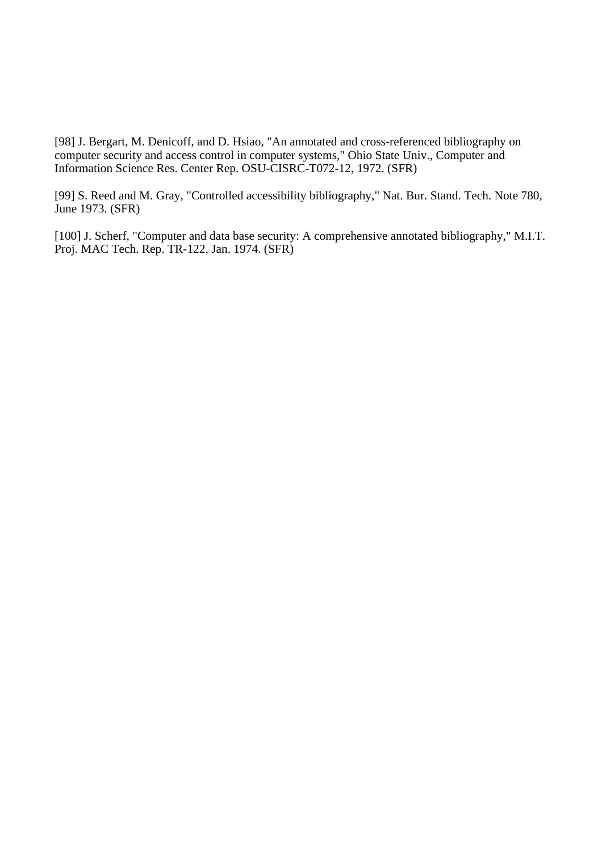[98] J. Bergart, M. Denicoff, and D. Hsiao, "An annotated and cross-referenced bibliography on computer security and access control in computer systems," Ohio State Univ., Computer and Information Science Res. Center Rep. OSU-CISRC-T072-12, 1972. (SFR)

[99] S. Reed and M. Gray, "Controlled accessibility bibliography," Nat. Bur. Stand. Tech. Note 780, June 1973. (SFR)

[100] J. Scherf, "Computer and data base security: A comprehensive annotated bibliography," M.I.T. Proj. MAC Tech. Rep. TR-122, Jan. 1974. (SFR)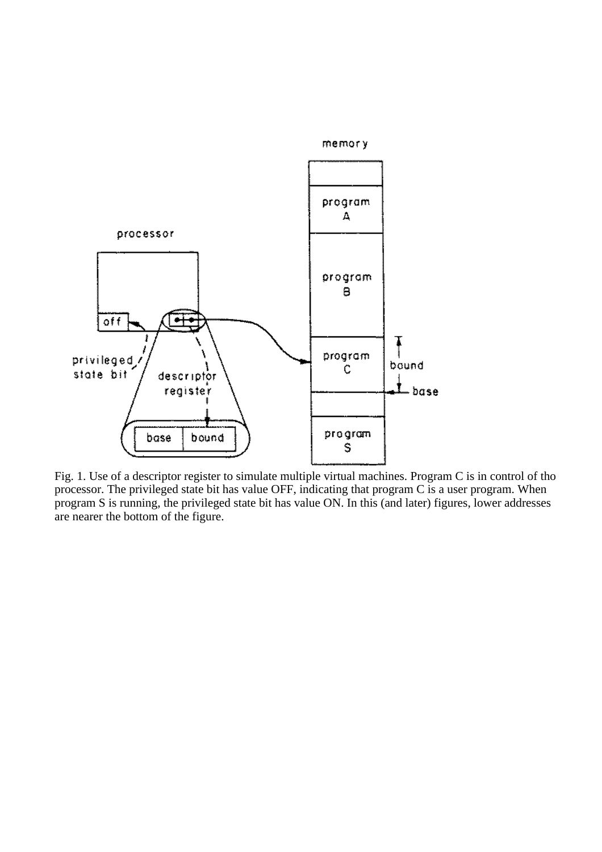

Fig. 1. Use of a descriptor register to simulate multiple virtual machines. Program C is in control of tho processor. The privileged state bit has value OFF, indicating that program C is a user program. When program S is running, the privileged state bit has value ON. In this (and later) figures, lower addresses are nearer the bottom of the figure.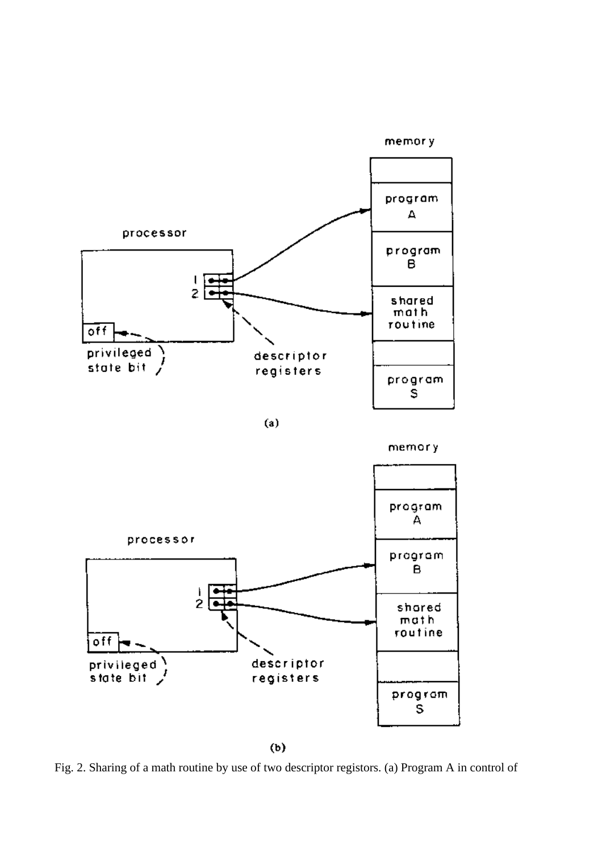

Fig. 2. Sharing of a math routine by use of two descriptor registors. (a) Program A in control of

 $(b)$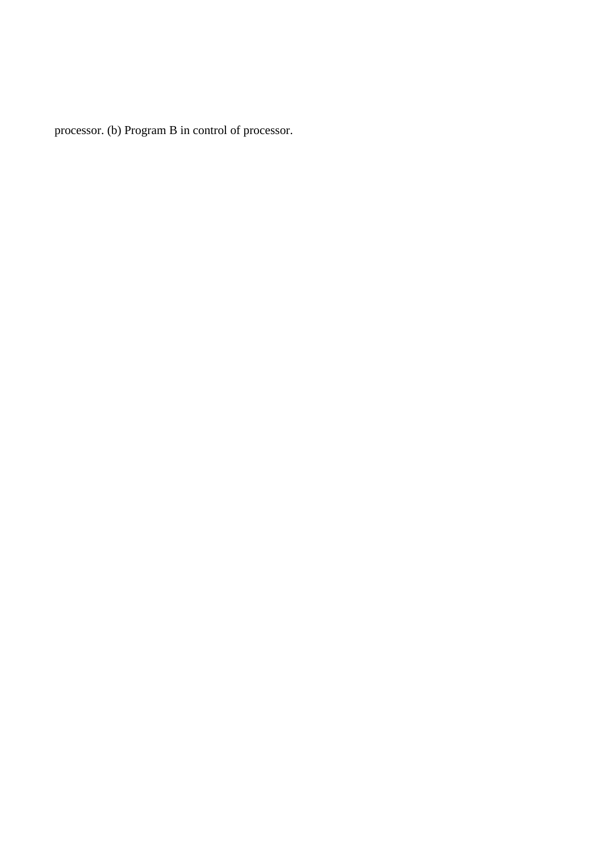processor. (b) Program B in control of processor.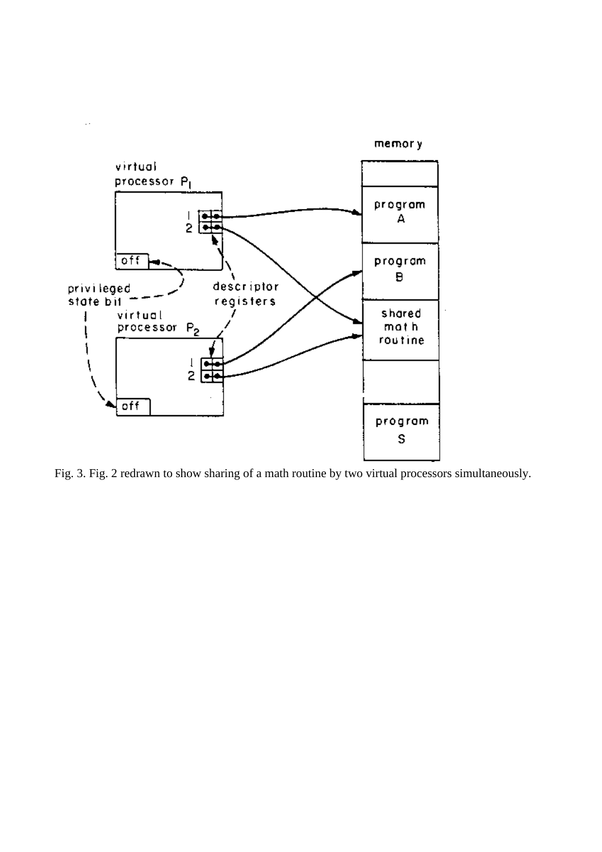

Fig. 3. Fig. 2 redrawn to show sharing of a math routine by two virtual processors simultaneously.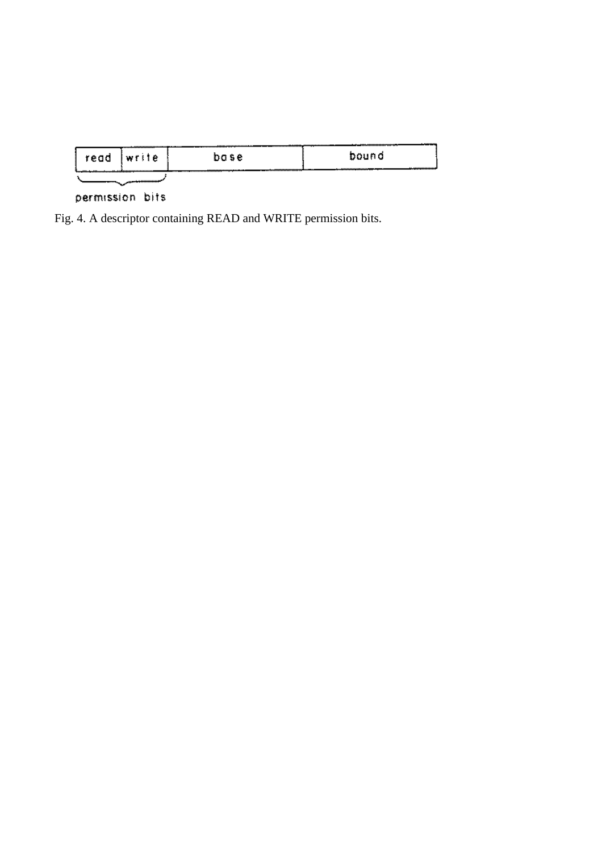| read                         | <br>$\cdot$ and $\cdot$ ( $\uparrow$ $\uparrow$ | ,,,,,,,,,,,,,,,,,,,,,, | ___<br>------------------------<br>bound<br><br><br>,,,,,,,,,,,,,,,, |
|------------------------------|-------------------------------------------------|------------------------|----------------------------------------------------------------------|
| ,,,,,,,,,,,,,,,,,,,,,,,,,,,, |                                                 |                        |                                                                      |
| -----                        |                                                 |                        |                                                                      |

permission bits

Fig. 4. A descriptor containing READ and WRITE permission bits.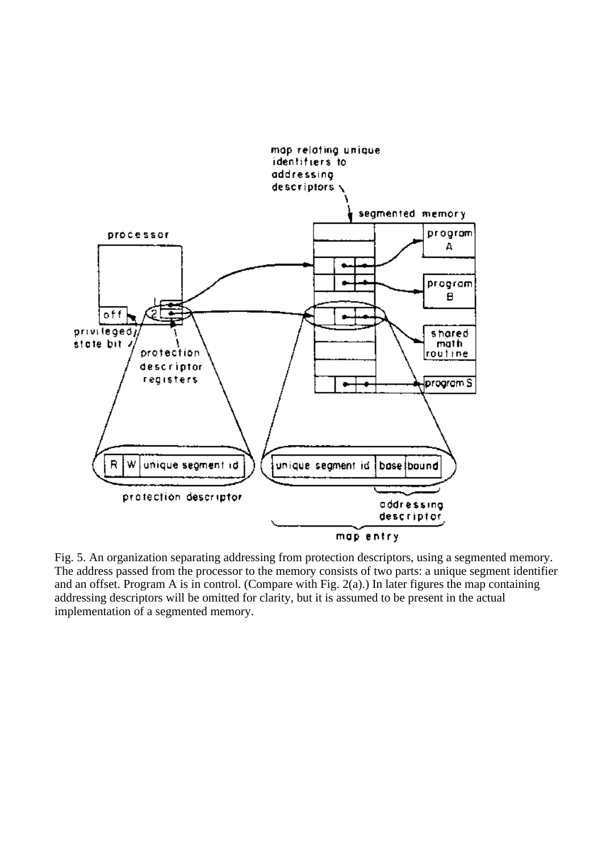

Fig. 5. An organization separating addressing from protection descriptors, using a segmented memory. The address passed from the processor to the memory consists of two parts: a unique segment identifier and an offset. Program A is in control. (Compare with Fig. 2(a).) In later figures the map containing addressing descriptors will be omitted for clarity, but it is assumed to be present in the actual implementation of a segmented memory.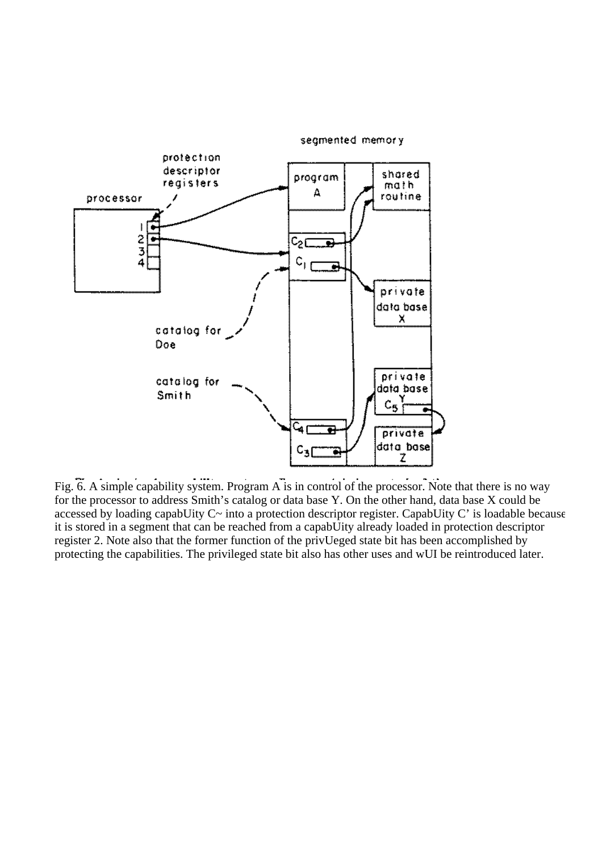

Fig. 6. A simple capability system. Program A is in control of the processor. Note that there is no way for the processor to address Smith's catalog or data base Y. On the other hand, data base X could be accessed by loading capabUity C~ into a protection descriptor register. CapabUity C' is loadable because it is stored in a segment that can be reached from a capabUity already loaded in protection descriptor register 2. Note also that the former function of the privUeged state bit has been accomplished by protecting the capabilities. The privileged state bit also has other uses and wUI be reintroduced later.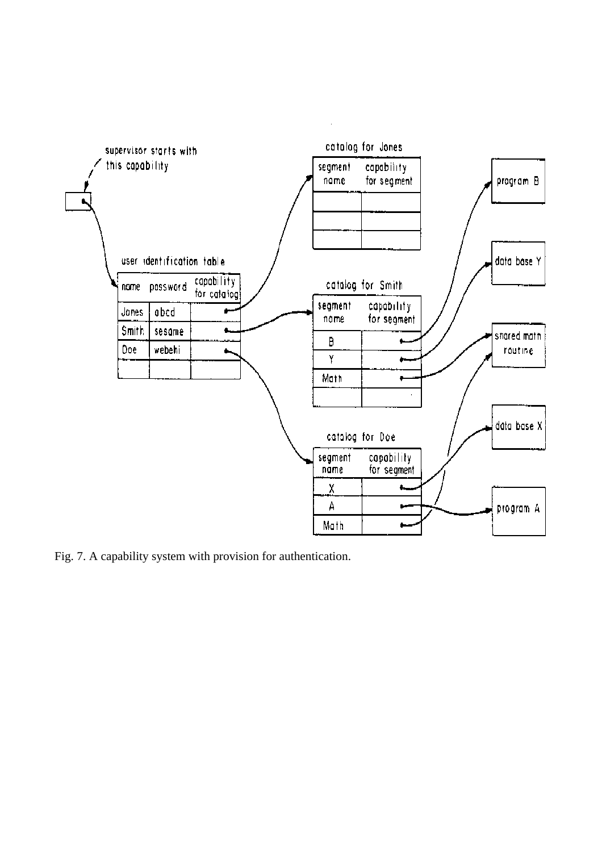

Fig. 7. A capability system with provision for authentication.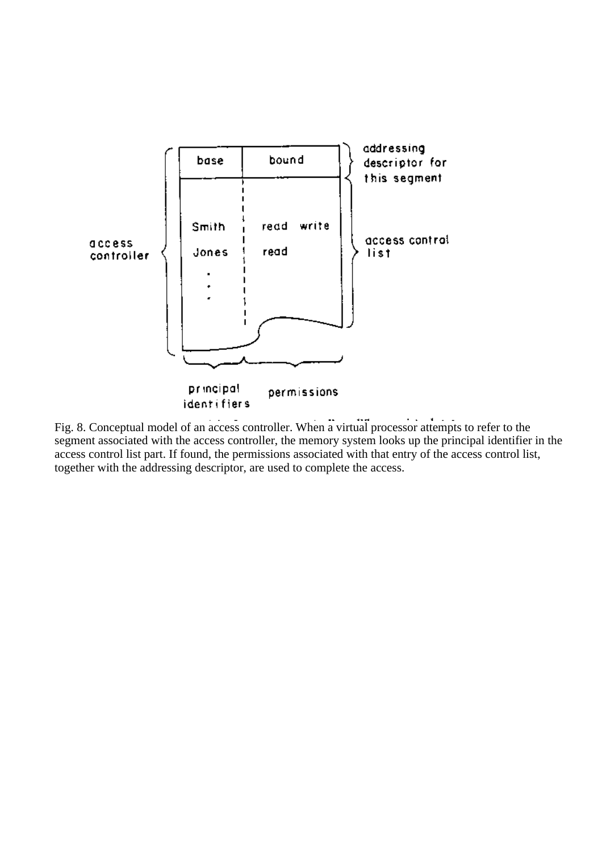

Fig. 8. Conceptual model of an access controller. When a virtual processor attempts to refer to the segment associated with the access controller, the memory system looks up the principal identifier in the access control list part. If found, the permissions associated with that entry of the access control list, together with the addressing descriptor, are used to complete the access.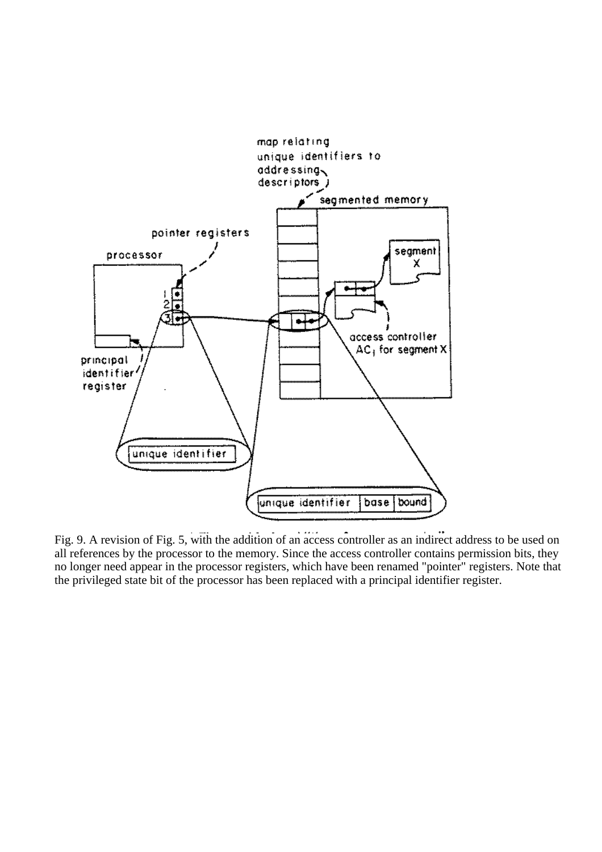

Fig. 9. A revision of Fig. 5, with the addition of an access controller as an indirect address to be used on all references by the processor to the memory. Since the access controller contains permission bits, they no longer need appear in the processor registers, which have been renamed "pointer" registers. Note that the privileged state bit of the processor has been replaced with a principal identifier register.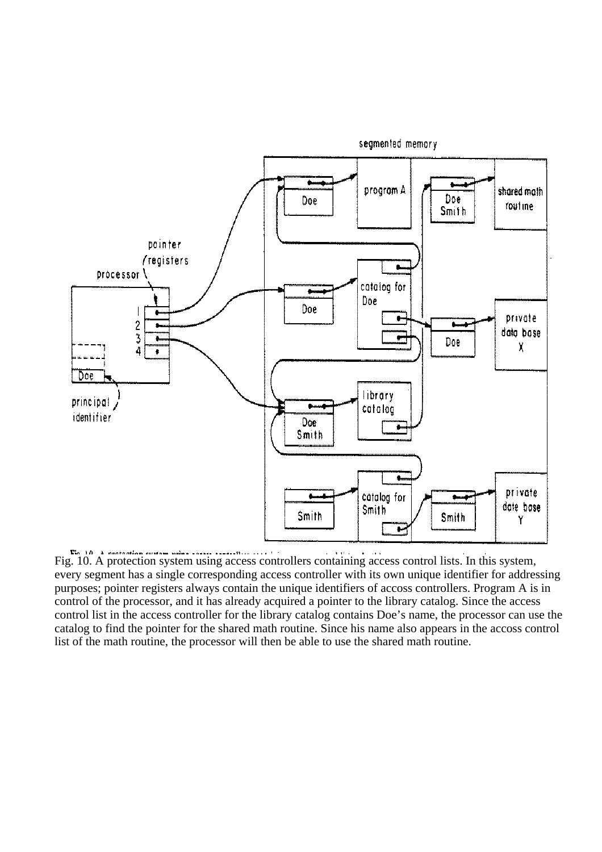

Fig. 10. A protection system using access controllers containing access control lists. In this system, every segment has a single corresponding access controller with its own unique identifier for addressing purposes; pointer registers always contain the unique identifiers of accoss controllers. Program A is in control of the processor, and it has already acquired a pointer to the library catalog. Since the access control list in the access controller for the library catalog contains Doe's name, the processor can use the catalog to find the pointer for the shared math routine. Since his name also appears in the accoss control list of the math routine, the processor will then be able to use the shared math routine.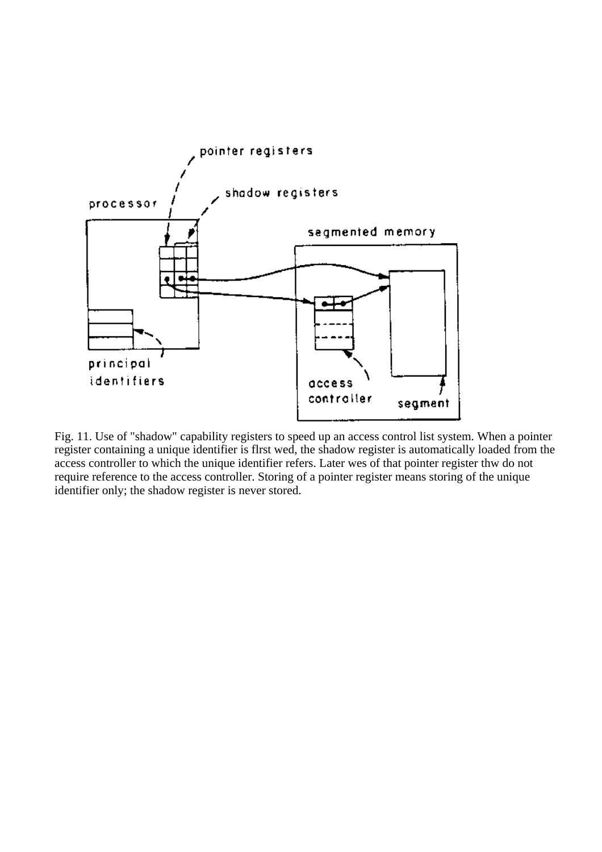

Fig. 11. Use of "shadow" capability registers to speed up an access control list system. When a pointer register containing a unique identifier is flrst wed, the shadow register is automatically loaded from the access controller to which the unique identifier refers. Later wes of that pointer register thw do not require reference to the access controller. Storing of a pointer register means storing of the unique identifier only; the shadow register is never stored.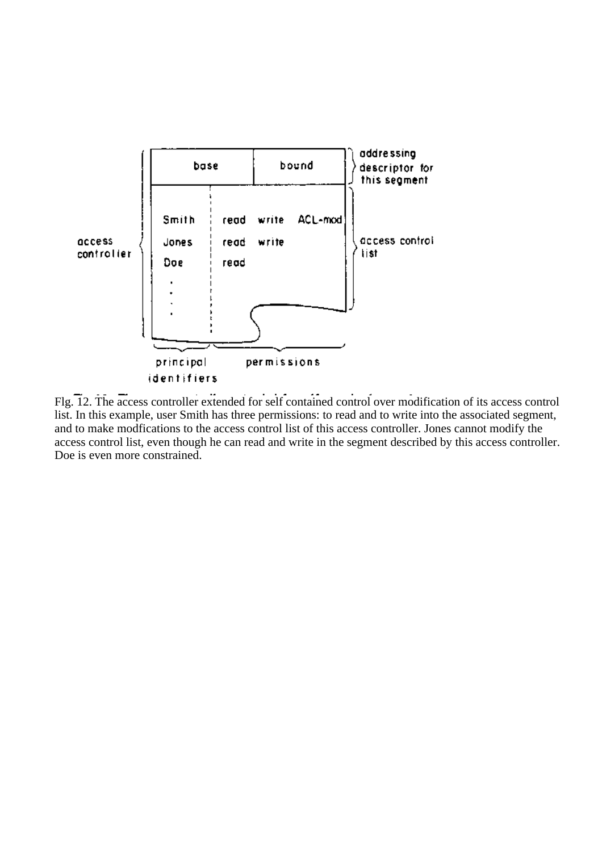

Flg. 12. The access controller extended for self contained control over modification of its access control list. In this example, user Smith has three permissions: to read and to write into the associated segment, and to make modfications to the access control list of this access controller. Jones cannot modify the access control list, even though he can read and write in the segment described by this access controller. Doe is even more constrained.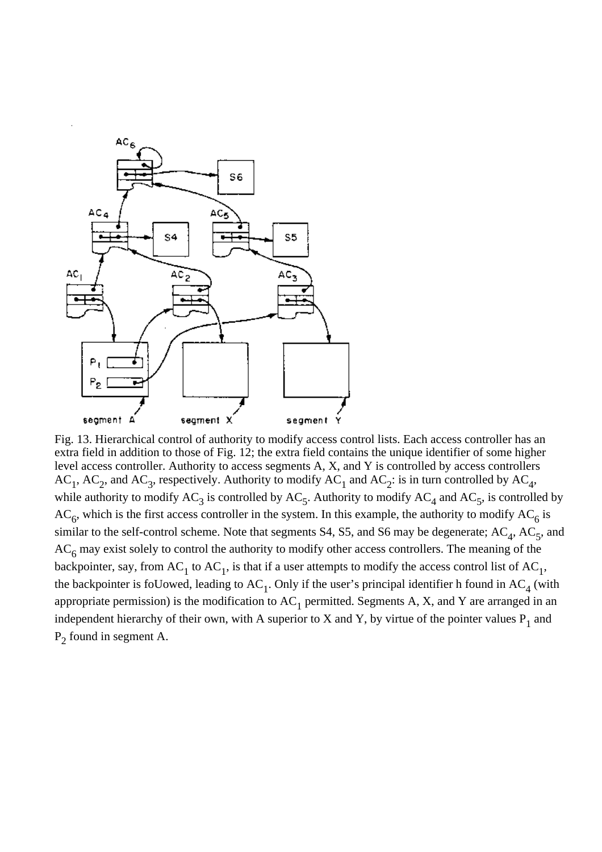

Fig. 13. Hierarchical control of authority to modify access control lists. Each access controller has an extra field in addition to those of Fig. 12; the extra field contains the unique identifier of some higher level access controller. Authority to access segments A, X, and Y is controlled by access controllers  $AC_1$ ,  $AC_2$ , and  $AC_3$ , respectively. Authority to modify  $AC_1$  and  $AC_2$ : is in turn controlled by  $AC_4$ , while authority to modify  $AC_3$  is controlled by  $AC_5$ . Authority to modify  $AC_4$  and  $AC_5$ , is controlled by  $AC_6$ , which is the first access controller in the system. In this example, the authority to modify  $AC_6$  is similar to the self-control scheme. Note that segments S4, S5, and S6 may be degenerate;  $AC_4$ ,  $AC_5$ , and  $AC_6$  may exist solely to control the authority to modify other access controllers. The meaning of the backpointer, say, from AC<sub>1</sub> to AC<sub>1</sub>, is that if a user attempts to modify the access control list of AC<sub>1</sub>, the backpointer is foUowed, leading to  $AC_1$ . Only if the user's principal identifier h found in  $AC_4$  (with appropriate permission) is the modification to  $AC_1$  permitted. Segments A, X, and Y are arranged in an independent hierarchy of their own, with A superior to X and Y, by virtue of the pointer values  $P_1$  and  $P_2$  found in segment A.